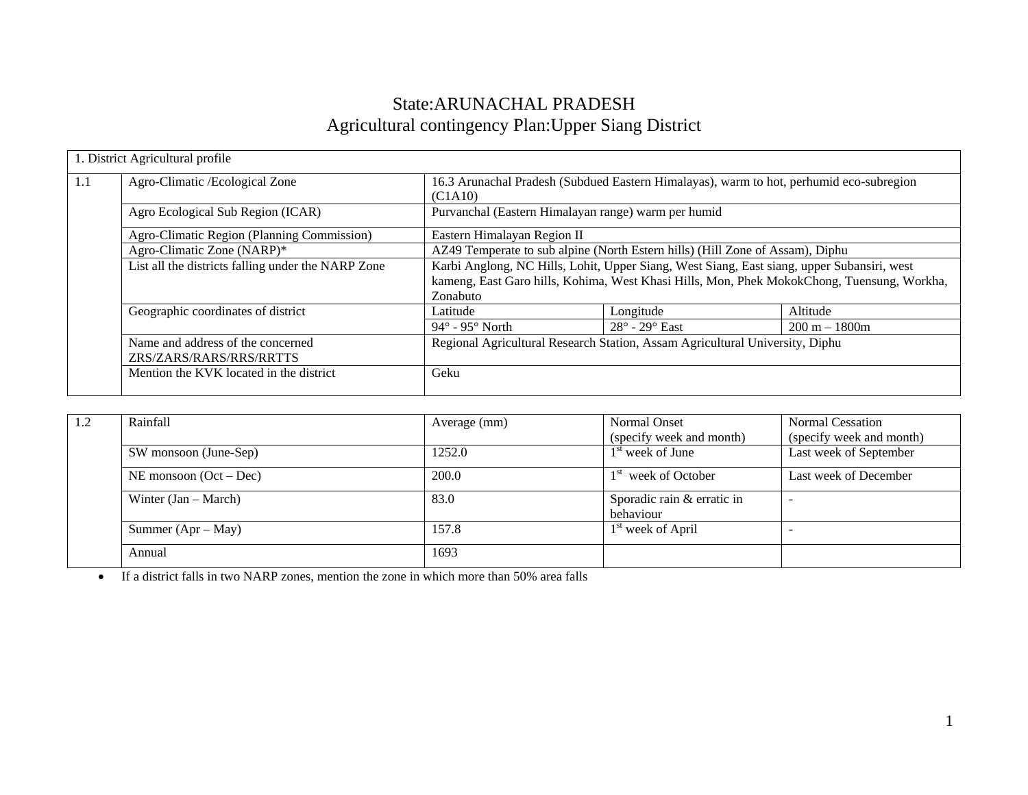# State:ARUNACHAL PRADESH Agricultural contingency Plan:Upper Siang District

|     | 1. District Agricultural profile                             |                                                                                                                                                                                                      |                                                                                         |                 |  |  |
|-----|--------------------------------------------------------------|------------------------------------------------------------------------------------------------------------------------------------------------------------------------------------------------------|-----------------------------------------------------------------------------------------|-----------------|--|--|
| 1.1 | Agro-Climatic / Ecological Zone                              | (C1A10)                                                                                                                                                                                              | 16.3 Arunachal Pradesh (Subdued Eastern Himalayas), warm to hot, perhumid eco-subregion |                 |  |  |
|     | Agro Ecological Sub Region (ICAR)                            | Purvanchal (Eastern Himalayan range) warm per humid                                                                                                                                                  |                                                                                         |                 |  |  |
|     | Agro-Climatic Region (Planning Commission)                   | Eastern Himalayan Region II                                                                                                                                                                          |                                                                                         |                 |  |  |
|     | Agro-Climatic Zone (NARP)*                                   | AZ49 Temperate to sub alpine (North Estern hills) (Hill Zone of Assam), Diphu                                                                                                                        |                                                                                         |                 |  |  |
|     | List all the districts falling under the NARP Zone           | Karbi Anglong, NC Hills, Lohit, Upper Siang, West Siang, East siang, upper Subansiri, west<br>kameng, East Garo hills, Kohima, West Khasi Hills, Mon, Phek MokokChong, Tuensung, Workha,<br>Zonabuto |                                                                                         |                 |  |  |
|     | Geographic coordinates of district                           | Latitude                                                                                                                                                                                             | Longitude                                                                               | Altitude        |  |  |
|     |                                                              | $94^\circ$ - $95^\circ$ North                                                                                                                                                                        | $28^\circ$ - $29^\circ$ East                                                            | $200 m - 1800m$ |  |  |
|     | Name and address of the concerned<br>ZRS/ZARS/RARS/RRS/RRTTS | Regional Agricultural Research Station, Assam Agricultural University, Diphu                                                                                                                         |                                                                                         |                 |  |  |
|     | Mention the KVK located in the district                      | Geku                                                                                                                                                                                                 |                                                                                         |                 |  |  |

| 1.2 | Rainfall                 | Average (mm) | Normal Onset                    | Normal Cessation         |
|-----|--------------------------|--------------|---------------------------------|--------------------------|
|     |                          |              | (specify week and month)        | (specify week and month) |
|     | SW monsoon (June-Sep)    | 1252.0       | $1st$ week of June              | Last week of September   |
|     | NE monsoon $(Oct - Dec)$ | 200.0        | 1 <sup>st</sup> week of October | Last week of December    |
|     | Winter $(Jan - March)$   | 83.0         | Sporadic rain & erratic in      |                          |
|     |                          |              | behaviour                       |                          |
|     | Summer $(Apr - May)$     | 157.8        | 1 <sup>st</sup> week of April   |                          |
|     | Annual                   | 1693         |                                 |                          |

• If a district falls in two NARP zones, mention the zone in which more than 50% area falls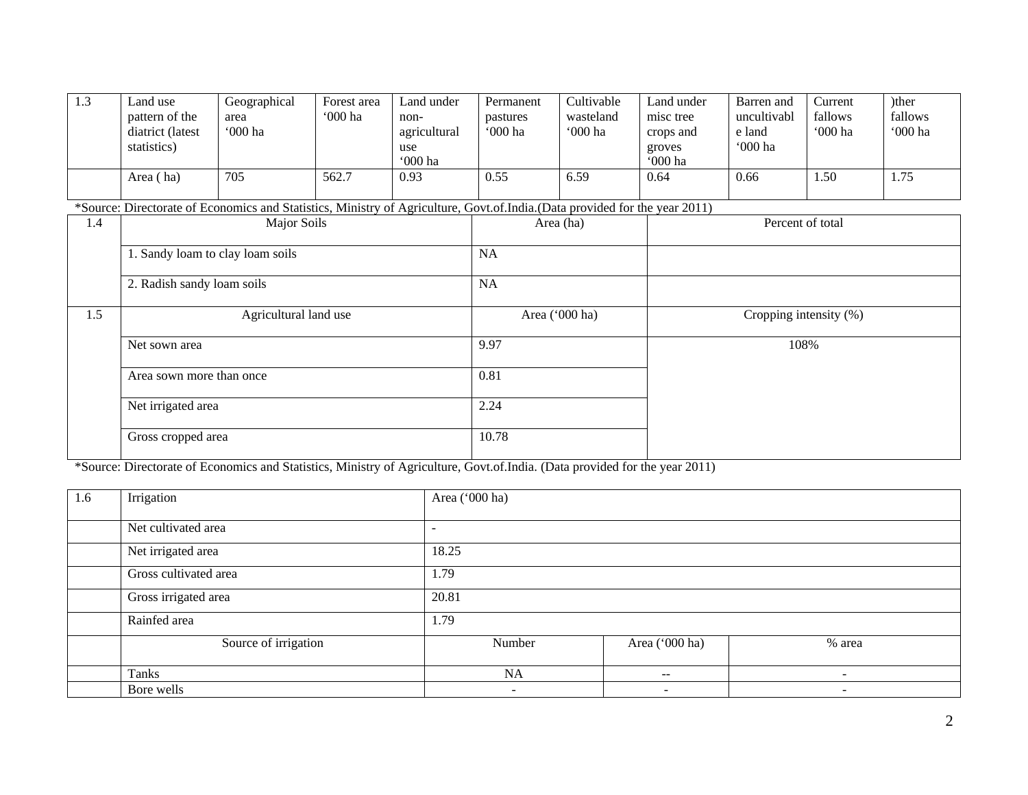| 1.3 | Land use<br>pattern of the<br>diatrict (latest<br>statistics)<br>Area (ha) | Geographical<br>area<br>'000 ha<br>705                                                                                     | Forest area<br>$000$ ha<br>562.7 | Land under<br>non-<br>agricultural<br>use<br>'000 ha<br>0.93 | Permanent<br>pastures<br>'000 ha<br>0.55 | Cultivable<br>wasteland<br><b>'000 ha</b><br>6.59 | Land under<br>misc tree<br>crops and<br>groves<br>'000 ha<br>0.64 | Barren and<br>uncultivabl<br>e land<br>'000 ha<br>0.66 | Current<br>fallows<br>'000 ha<br>1.50 | )ther<br>fallows<br>'000 ha<br>1.75 |
|-----|----------------------------------------------------------------------------|----------------------------------------------------------------------------------------------------------------------------|----------------------------------|--------------------------------------------------------------|------------------------------------------|---------------------------------------------------|-------------------------------------------------------------------|--------------------------------------------------------|---------------------------------------|-------------------------------------|
|     |                                                                            |                                                                                                                            |                                  |                                                              |                                          |                                                   |                                                                   |                                                        |                                       |                                     |
|     |                                                                            | *Source: Directorate of Economics and Statistics, Ministry of Agriculture, Govt.of.India.(Data provided for the year 2011) |                                  |                                                              |                                          |                                                   |                                                                   |                                                        |                                       |                                     |
| 1.4 |                                                                            | Major Soils                                                                                                                |                                  |                                                              |                                          | Area (ha)                                         |                                                                   | Percent of total                                       |                                       |                                     |
|     | 1. Sandy loam to clay loam soils                                           |                                                                                                                            |                                  |                                                              | NA                                       |                                                   |                                                                   |                                                        |                                       |                                     |
|     |                                                                            |                                                                                                                            |                                  |                                                              |                                          |                                                   |                                                                   |                                                        |                                       |                                     |
|     | 2. Radish sandy loam soils                                                 |                                                                                                                            |                                  |                                                              | NA                                       |                                                   |                                                                   |                                                        |                                       |                                     |
| 1.5 |                                                                            | Agricultural land use                                                                                                      |                                  |                                                              |                                          | Area ('000 ha)                                    |                                                                   |                                                        | Cropping intensity (%)                |                                     |
|     | Net sown area                                                              |                                                                                                                            |                                  |                                                              | 9.97                                     |                                                   |                                                                   |                                                        | 108%                                  |                                     |
|     | Area sown more than once                                                   |                                                                                                                            |                                  |                                                              | 0.81                                     |                                                   |                                                                   |                                                        |                                       |                                     |
|     | Net irrigated area                                                         |                                                                                                                            |                                  |                                                              | 2.24                                     |                                                   |                                                                   |                                                        |                                       |                                     |
|     | Gross cropped area                                                         |                                                                                                                            |                                  |                                                              | 10.78                                    |                                                   |                                                                   |                                                        |                                       |                                     |

\*Source: Directorate of Economics and Statistics, Ministry of Agriculture, Govt.of.India. (Data provided for the year 2011)

| 1.6 | Irrigation            | Area ('000 ha)           |                          |                          |
|-----|-----------------------|--------------------------|--------------------------|--------------------------|
|     |                       |                          |                          |                          |
|     | Net cultivated area   | $\overline{\phantom{a}}$ |                          |                          |
|     | Net irrigated area    | 18.25                    |                          |                          |
|     | Gross cultivated area | 1.79                     |                          |                          |
|     | Gross irrigated area  | 20.81                    |                          |                          |
|     | Rainfed area          | 1.79                     |                          |                          |
|     | Source of irrigation  | Number                   | Area ('000 ha)           | % area                   |
|     | Tanks                 | NA                       | $\qquad \qquad -$        | $\overline{\phantom{a}}$ |
|     | Bore wells            | ۰.                       | $\overline{\phantom{a}}$ | $\overline{\phantom{a}}$ |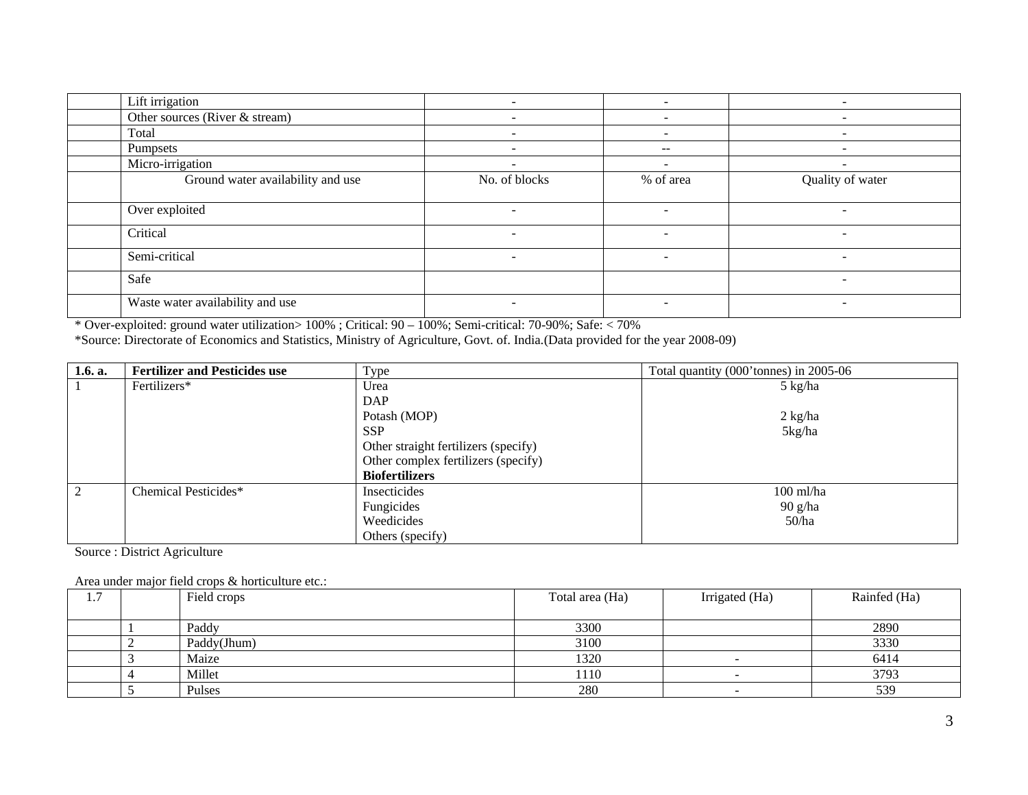| Lift irrigation                   |                          |                          |                          |
|-----------------------------------|--------------------------|--------------------------|--------------------------|
| Other sources (River & stream)    | $\overline{\phantom{a}}$ |                          | $\overline{\phantom{a}}$ |
| Total                             | $\sim$                   | $\overline{\phantom{0}}$ | $\overline{\phantom{0}}$ |
| Pumpsets                          | $\sim$                   | $- -$                    |                          |
| Micro-irrigation                  | $\overline{\phantom{a}}$ | $\overline{\phantom{a}}$ | $\overline{\phantom{a}}$ |
| Ground water availability and use | No. of blocks            | % of area                | Quality of water         |
| Over exploited                    | $\sim$                   | $\sim$                   | $\overline{\phantom{a}}$ |
| Critical                          | $\sim$                   | $\overline{\phantom{a}}$ | $\overline{\phantom{a}}$ |
| Semi-critical                     | $\sim$                   | $\overline{\phantom{a}}$ | $\overline{\phantom{a}}$ |
| Safe                              |                          |                          | -                        |
| Waste water availability and use  | $\sim$                   | $\overline{\phantom{a}}$ | $\overline{\phantom{a}}$ |

\* Over-exploited: ground water utilization> 100% ; Critical: 90 – 100%; Semi-critical: 70-90%; Safe: < 70%

\*Source: Directorate of Economics and Statistics, Ministry of Agriculture, Govt. of. India.(Data provided for the year 2008-09)

| 1.6. a.        | <b>Fertilizer and Pesticides use</b> | Type                                 | Total quantity (000' tonnes) in 2005-06 |
|----------------|--------------------------------------|--------------------------------------|-----------------------------------------|
|                | Fertilizers*                         | Urea                                 | $5 \text{ kg/ha}$                       |
|                |                                      | DAP                                  |                                         |
|                |                                      | Potash (MOP)                         | $2 \text{ kg/ha}$                       |
|                |                                      | <b>SSP</b>                           | 5kg/ha                                  |
|                |                                      | Other straight fertilizers (specify) |                                         |
|                |                                      | Other complex fertilizers (specify)  |                                         |
|                |                                      | <b>Biofertilizers</b>                |                                         |
| $\overline{2}$ | Chemical Pesticides*                 | Insecticides                         | $100$ ml/ha                             |
|                |                                      | Fungicides                           | $90$ g/ha                               |
|                |                                      | Weedicides                           | 50/ha                                   |
|                |                                      | Others (specify)                     |                                         |

Source : District Agriculture

Area under major field crops & horticulture etc.:

| –<br>$\pm \cdot$ |   | Field crops | Total area (Ha) | Irrigated (Ha) | Rainfed (Ha) |
|------------------|---|-------------|-----------------|----------------|--------------|
|                  |   |             |                 |                |              |
|                  |   | Paddy       | 3300            |                | 2890         |
|                  | ∼ | Paddy(Jhum) | 3100            |                | 3330         |
|                  |   | Maize       | 1320            |                | 6414         |
|                  |   | Millet      | 1110            |                | 3793         |
|                  |   | Pulses      | 280             |                | 539          |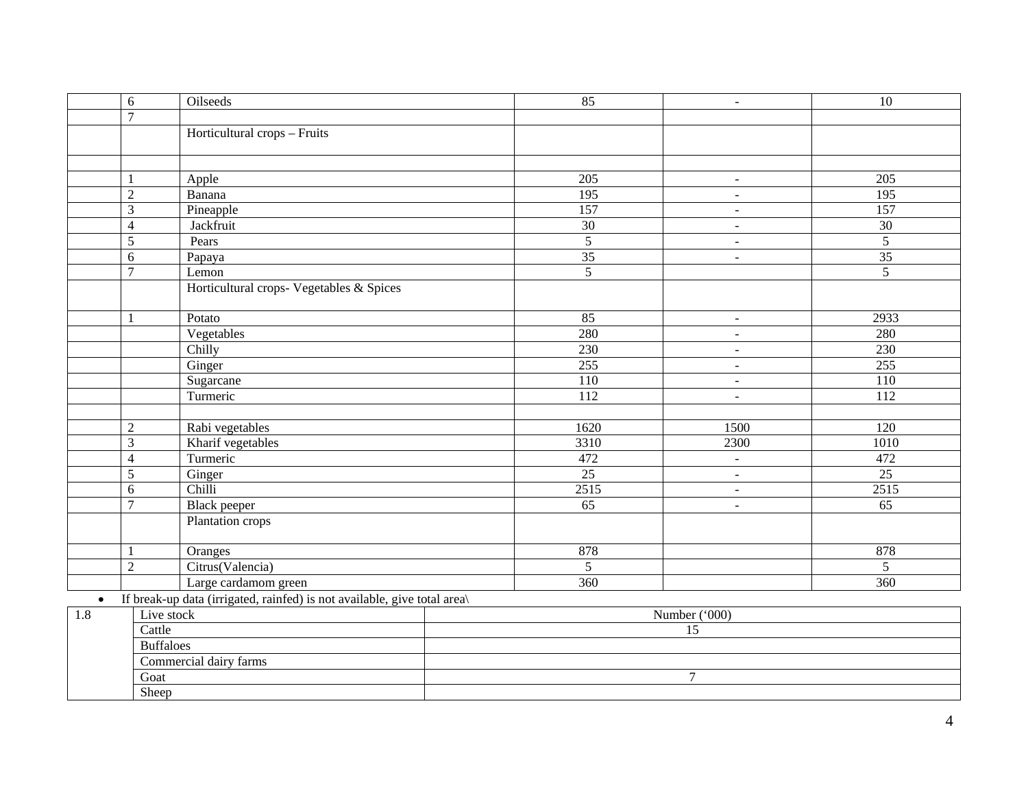|           | $\sqrt{6}$       | Oilseeds                                                                 | 85              | $\blacksquare$           | 10               |  |  |
|-----------|------------------|--------------------------------------------------------------------------|-----------------|--------------------------|------------------|--|--|
|           | $\overline{7}$   |                                                                          |                 |                          |                  |  |  |
|           |                  | Horticultural crops - Fruits                                             |                 |                          |                  |  |  |
|           |                  |                                                                          |                 |                          |                  |  |  |
|           |                  |                                                                          |                 |                          |                  |  |  |
|           | $\mathbf{1}$     | Apple                                                                    | 205             | $\blacksquare$           | 205              |  |  |
|           | $\overline{2}$   | Banana                                                                   | 195             | $\blacksquare$           | $\overline{195}$ |  |  |
|           | 3                | Pineapple                                                                | 157             | $\sim$                   | 157              |  |  |
|           | $\overline{4}$   | Jackfruit                                                                | 30              | $\sim$                   | 30               |  |  |
|           | 5                | Pears                                                                    | $\overline{5}$  | $\blacksquare$           | $\overline{5}$   |  |  |
|           | 6                | Papaya                                                                   | 35              | $\blacksquare$           | 35               |  |  |
|           | $\overline{7}$   | Lemon                                                                    | $\overline{5}$  |                          | $\overline{5}$   |  |  |
|           |                  | Horticultural crops- Vegetables & Spices                                 |                 |                          |                  |  |  |
|           |                  |                                                                          |                 |                          |                  |  |  |
|           | $\mathbf{1}$     | Potato                                                                   | 85              | $\overline{\phantom{a}}$ | 2933             |  |  |
|           |                  | Vegetables                                                               | 280             | $\omega$                 | 280              |  |  |
|           |                  | Chilly                                                                   | 230             | $\sim$                   | 230              |  |  |
|           |                  | Ginger                                                                   | 255             | $\sim$                   | 255              |  |  |
|           |                  | Sugarcane                                                                | 110             | $\blacksquare$           | 110              |  |  |
|           |                  | Turmeric                                                                 | 112             | $\blacksquare$           | 112              |  |  |
|           |                  |                                                                          |                 |                          |                  |  |  |
|           | $\overline{2}$   | Rabi vegetables                                                          | 1620            | 1500                     | 120              |  |  |
|           | 3                | Kharif vegetables                                                        | 3310            | 2300                     | 1010             |  |  |
|           | $\overline{4}$   | Turmeric                                                                 | 472             | $\omega$                 | 472              |  |  |
|           | 5                | Ginger                                                                   | 25              | $\mathbf{r}$             | $\overline{25}$  |  |  |
|           | 6                | Chilli                                                                   | 2515            | $\blacksquare$           | 2515             |  |  |
|           | $\overline{7}$   | Black peeper                                                             | $\overline{65}$ | $\sim$                   | $\overline{65}$  |  |  |
|           |                  | Plantation crops                                                         |                 |                          |                  |  |  |
|           |                  |                                                                          |                 |                          |                  |  |  |
|           | $\mathbf{1}$     | Oranges                                                                  | 878             |                          | 878              |  |  |
|           | $\overline{2}$   | Citrus(Valencia)                                                         | 5               |                          | 5                |  |  |
|           |                  | Large cardamom green                                                     | 360             |                          | 360              |  |  |
| $\bullet$ |                  | If break-up data (irrigated, rainfed) is not available, give total area) |                 |                          |                  |  |  |
| 1.8       | Live stock       |                                                                          |                 | Number ('000)            |                  |  |  |
|           | Cattle           |                                                                          |                 | 15                       |                  |  |  |
|           | <b>Buffaloes</b> |                                                                          |                 |                          |                  |  |  |
|           |                  | Commercial dairy farms                                                   |                 |                          |                  |  |  |
|           | Goat             |                                                                          |                 | $\overline{7}$           |                  |  |  |
|           | Sheep            |                                                                          |                 |                          |                  |  |  |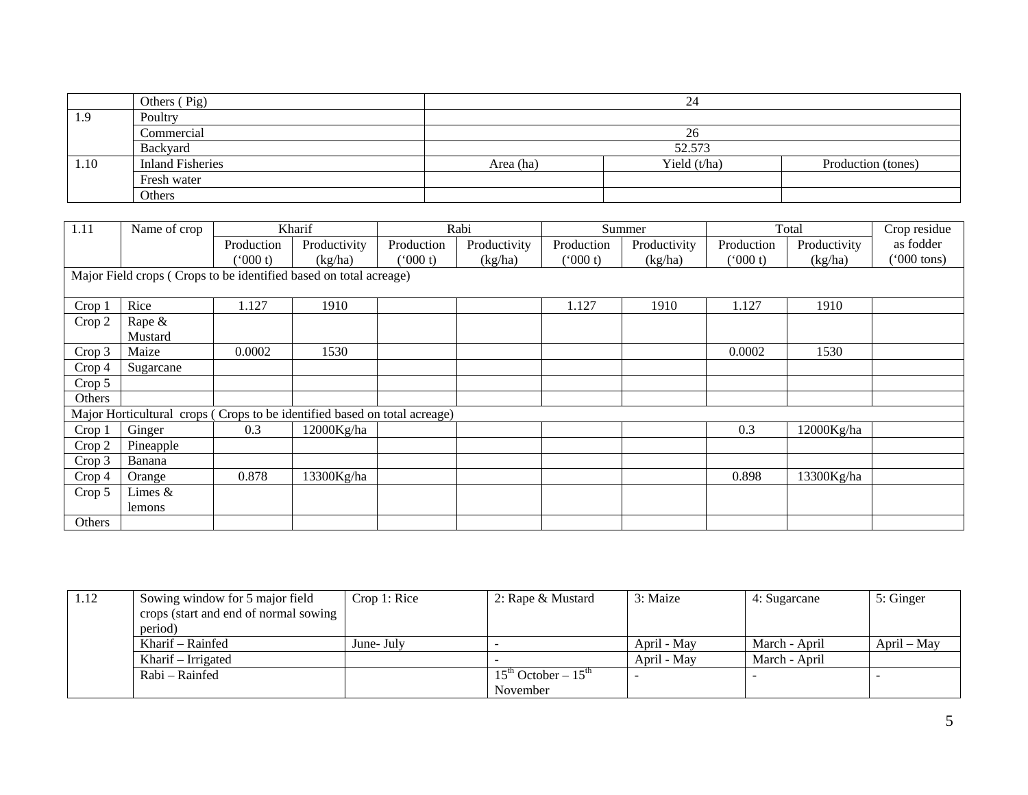|      | Others (Pig)            |           | 24             |                    |  |
|------|-------------------------|-----------|----------------|--------------------|--|
| 1.9  | Poultry                 |           |                |                    |  |
|      | Commercial              |           | 26             |                    |  |
|      | Backyard                | 52.573    |                |                    |  |
| 1.10 | <b>Inland Fisheries</b> | Area (ha) | Yield $(t/ha)$ | Production (tones) |  |
|      | Fresh water             |           |                |                    |  |
|      | Others                  |           |                |                    |  |

| 1.11              | Name of crop                                                              |            | Kharif       |            | Rabi         |            | Summer       |            | Total        | Crop residue         |
|-------------------|---------------------------------------------------------------------------|------------|--------------|------------|--------------|------------|--------------|------------|--------------|----------------------|
|                   |                                                                           | Production | Productivity | Production | Productivity | Production | Productivity | Production | Productivity | as fodder            |
|                   |                                                                           | (000 t)    | (kg/ha)      | (000 t)    | (kg/ha)      | (000 t)    | (kg/ha)      | (000 t)    | (kg/ha)      | $^{\prime}000$ tons) |
|                   | Major Field crops (Crops to be identified based on total acreage)         |            |              |            |              |            |              |            |              |                      |
|                   |                                                                           |            |              |            |              |            |              |            |              |                      |
| Crop <sub>1</sub> | Rice                                                                      | 1.127      | 1910         |            |              | 1.127      | 1910         | 1.127      | 1910         |                      |
| Crop 2            | Rape $\&$                                                                 |            |              |            |              |            |              |            |              |                      |
|                   | Mustard                                                                   |            |              |            |              |            |              |            |              |                      |
| Crop 3            | Maize                                                                     | 0.0002     | 1530         |            |              |            |              | 0.0002     | 1530         |                      |
| Crop <sub>4</sub> | Sugarcane                                                                 |            |              |            |              |            |              |            |              |                      |
| Crop 5            |                                                                           |            |              |            |              |            |              |            |              |                      |
| Others            |                                                                           |            |              |            |              |            |              |            |              |                      |
|                   | Major Horticultural crops (Crops to be identified based on total acreage) |            |              |            |              |            |              |            |              |                      |
| Crop 1            | Ginger                                                                    | 0.3        | 12000Kg/ha   |            |              |            |              | 0.3        | 12000Kg/ha   |                      |
| Crop 2            | Pineapple                                                                 |            |              |            |              |            |              |            |              |                      |
| Crop 3            | Banana                                                                    |            |              |            |              |            |              |            |              |                      |
| Crop <sub>4</sub> | Orange                                                                    | 0.878      | 13300Kg/ha   |            |              |            |              | 0.898      | 13300Kg/ha   |                      |
| Crop 5            | Limes &                                                                   |            |              |            |              |            |              |            |              |                      |
|                   | lemons                                                                    |            |              |            |              |            |              |            |              |                      |
| Others            |                                                                           |            |              |            |              |            |              |            |              |                      |

| 1.12 | Sowing window for 5 major field       | Crop 1: Rice | 2: Rape & Mustard       | 3: Maize    | 4: Sugarcane  | 5: Ginger     |
|------|---------------------------------------|--------------|-------------------------|-------------|---------------|---------------|
|      | crops (start and end of normal sowing |              |                         |             |               |               |
|      | period)                               |              |                         |             |               |               |
|      | Kharif – Rainfed                      | June- July   |                         | April - May | March - April | $April - May$ |
|      | Kharif – Irrigated                    |              |                         | April - May | March - April |               |
|      | Rabi – Rainfed                        |              | $15th$ October – $15th$ |             |               |               |
|      |                                       |              | November                |             |               |               |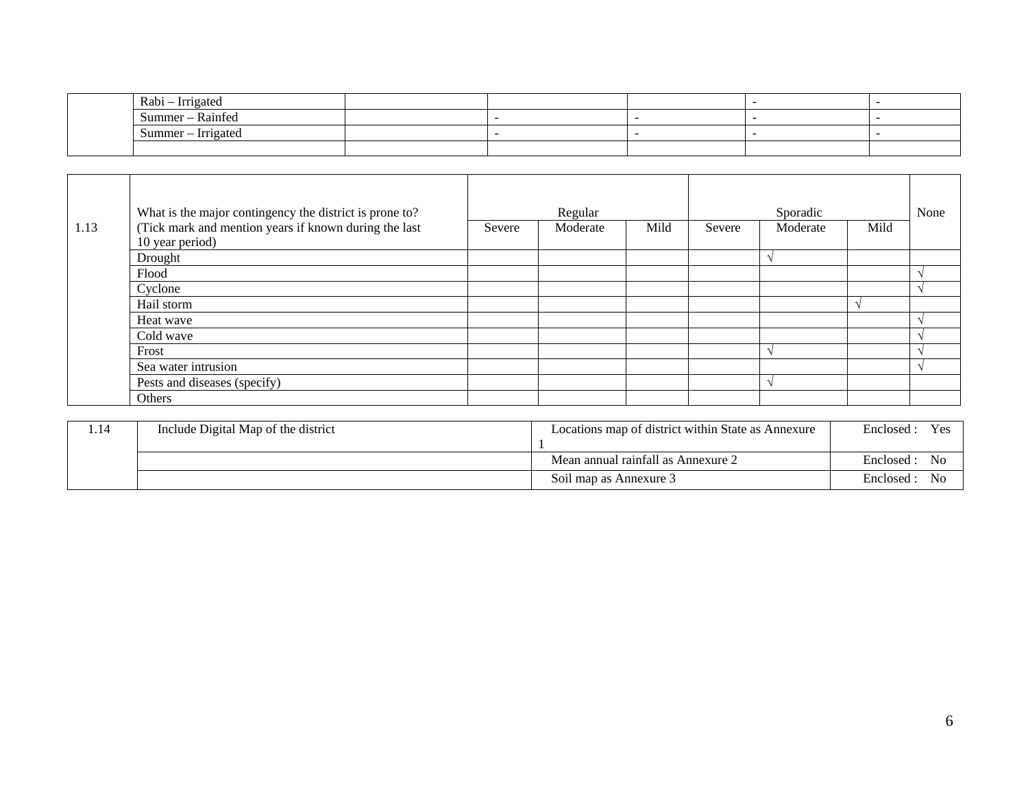| $\sim$ $\sim$<br>Rabi<br>Irrigated<br>$\sim$ |  |  |  |
|----------------------------------------------|--|--|--|
| $\sim$<br>Summer – Rainfed                   |  |  |  |
| Summer – Irrigated                           |  |  |  |
|                                              |  |  |  |

| 1.13 | What is the major contingency the district is prone to?<br>(Tick mark and mention years if known during the last<br>10 year period) | Severe | Regular<br>Moderate | Mild | Severe | Sporadic<br>Moderate | Mild | None |
|------|-------------------------------------------------------------------------------------------------------------------------------------|--------|---------------------|------|--------|----------------------|------|------|
|      | Drought                                                                                                                             |        |                     |      |        |                      |      |      |
|      | Flood                                                                                                                               |        |                     |      |        |                      |      |      |
|      | Cyclone                                                                                                                             |        |                     |      |        |                      |      |      |
|      | Hail storm                                                                                                                          |        |                     |      |        |                      |      |      |
|      | Heat wave                                                                                                                           |        |                     |      |        |                      |      |      |
|      | Cold wave                                                                                                                           |        |                     |      |        |                      |      |      |
|      | Frost                                                                                                                               |        |                     |      |        |                      |      |      |
|      | Sea water intrusion                                                                                                                 |        |                     |      |        |                      |      |      |
|      | Pests and diseases (specify)                                                                                                        |        |                     |      |        |                      |      |      |
|      | Others                                                                                                                              |        |                     |      |        |                      |      |      |

| $\blacksquare$<br>1.14 | Include Digital Map of the district | Locations map of district within State as Annexure | Yes<br>Enclosed    |
|------------------------|-------------------------------------|----------------------------------------------------|--------------------|
|                        |                                     | Mean annual rainfall as Annexure 2                 | No<br>Enclosed:    |
|                        |                                     | Soil map as Annexure 3                             | - No<br>Enclosed : |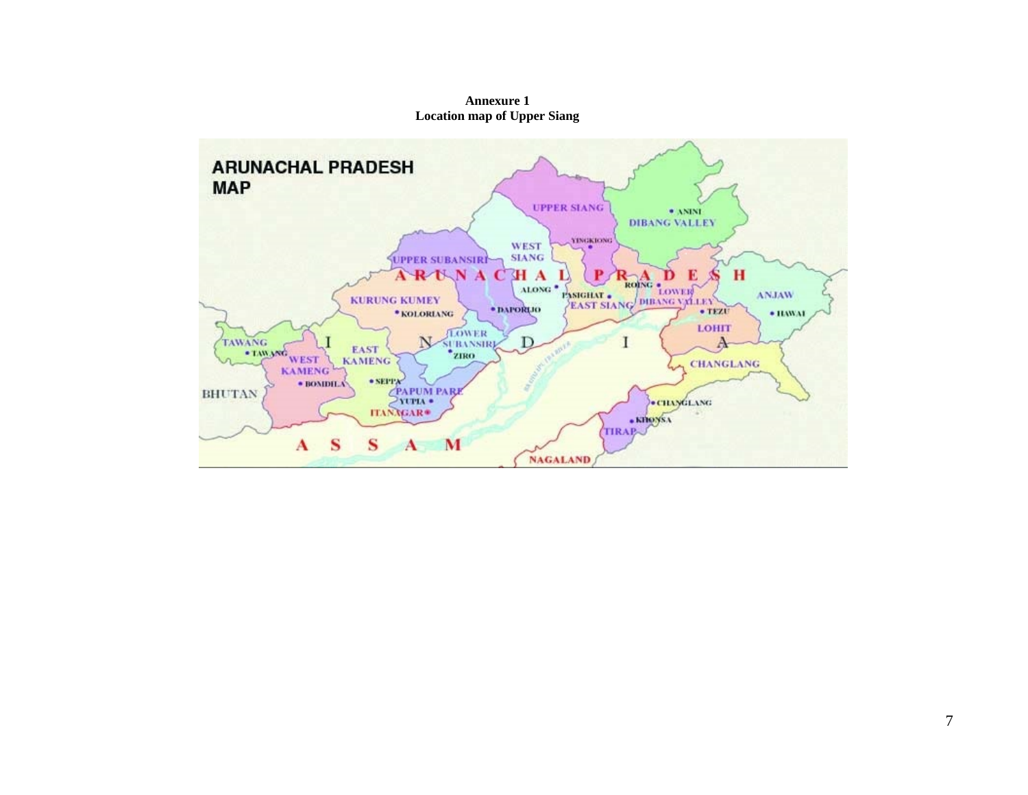

**Annexure 1 Location map of Upper Siang**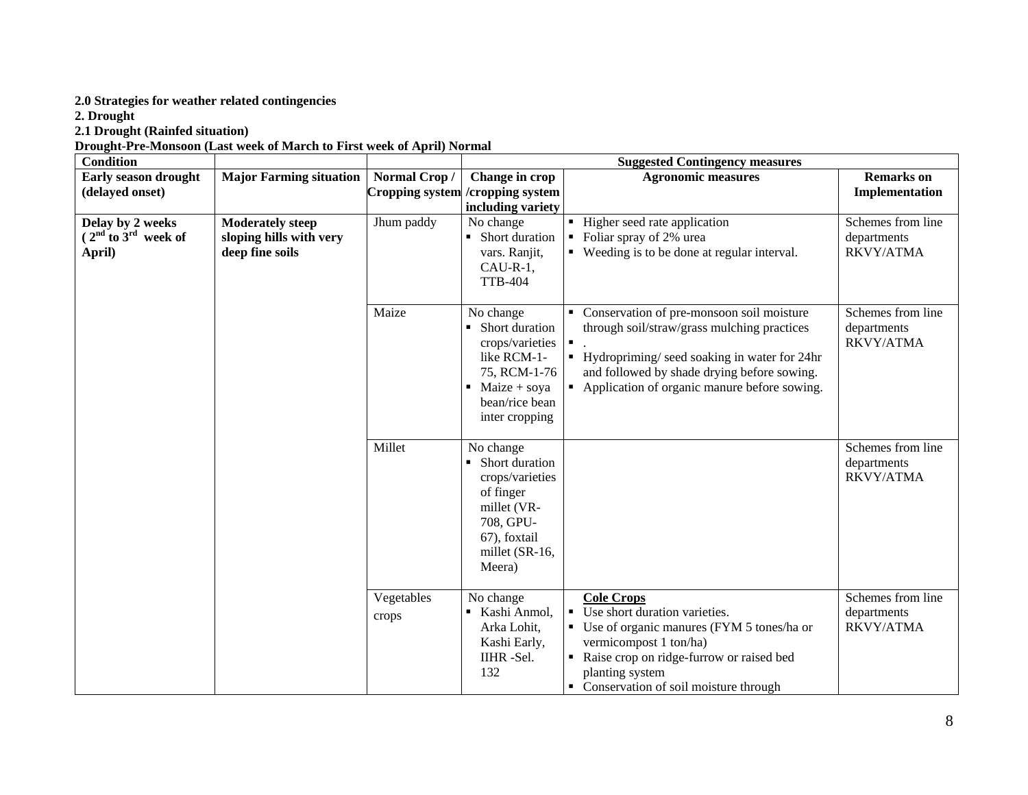# **2.0 Strategies for weather related contingencies**

**2. Drought**

#### **2.1 Drought (Rainfed situation)**

**Drought-Pre-Monsoon (Last week of March to First week of April) Normal**

| <b>Condition</b>                                      |                                                                       |                        |                                                                                                                                                       | <b>Suggested Contingency measures</b>                                                                                                                                                                                                      |                                                      |
|-------------------------------------------------------|-----------------------------------------------------------------------|------------------------|-------------------------------------------------------------------------------------------------------------------------------------------------------|--------------------------------------------------------------------------------------------------------------------------------------------------------------------------------------------------------------------------------------------|------------------------------------------------------|
| Early season drought                                  | <b>Major Farming situation</b>                                        | Normal Crop/           | Change in crop                                                                                                                                        | <b>Agronomic measures</b>                                                                                                                                                                                                                  | <b>Remarks</b> on                                    |
| (delayed onset)                                       |                                                                       | <b>Cropping system</b> | /cropping system                                                                                                                                      |                                                                                                                                                                                                                                            | Implementation                                       |
|                                                       |                                                                       |                        | including variety                                                                                                                                     |                                                                                                                                                                                                                                            |                                                      |
| Delay by 2 weeks<br>$(2nd$ to $3rd$ week of<br>April) | <b>Moderately steep</b><br>sloping hills with very<br>deep fine soils | Jhum paddy             | No change<br>• Short duration<br>vars. Ranjit,<br>$CAU-R-1$ ,<br><b>TTB-404</b>                                                                       | • Higher seed rate application<br>• Foliar spray of 2% urea<br>• Weeding is to be done at regular interval.                                                                                                                                | Schemes from line<br>departments<br>RKVY/ATMA        |
|                                                       |                                                                       | Maize                  | No change<br>Short duration<br>crops/varieties<br>like RCM-1-<br>75, RCM-1-76<br>$\blacksquare$ Maize + soya<br>bean/rice bean<br>inter cropping      | • Conservation of pre-monsoon soil moisture<br>through soil/straw/grass mulching practices<br>Hydropriming/seed soaking in water for 24hr<br>and followed by shade drying before sowing.<br>• Application of organic manure before sowing. | Schemes from line<br>departments<br><b>RKVY/ATMA</b> |
|                                                       |                                                                       | Millet                 | No change<br>Short duration<br>$\blacksquare$<br>crops/varieties<br>of finger<br>millet (VR-<br>708, GPU-<br>67), foxtail<br>millet (SR-16,<br>Meera) |                                                                                                                                                                                                                                            | Schemes from line<br>departments<br><b>RKVY/ATMA</b> |
|                                                       |                                                                       | Vegetables<br>crops    | No change<br>■ Kashi Anmol,<br>Arka Lohit,<br>Kashi Early,<br>IIHR-Sel.<br>132                                                                        | <b>Cole Crops</b><br>• Use short duration varieties.<br>• Use of organic manures (FYM 5 tones/ha or<br>vermicompost 1 ton/ha)<br>Raise crop on ridge-furrow or raised bed<br>planting system<br>• Conservation of soil moisture through    | Schemes from line<br>departments<br>RKVY/ATMA        |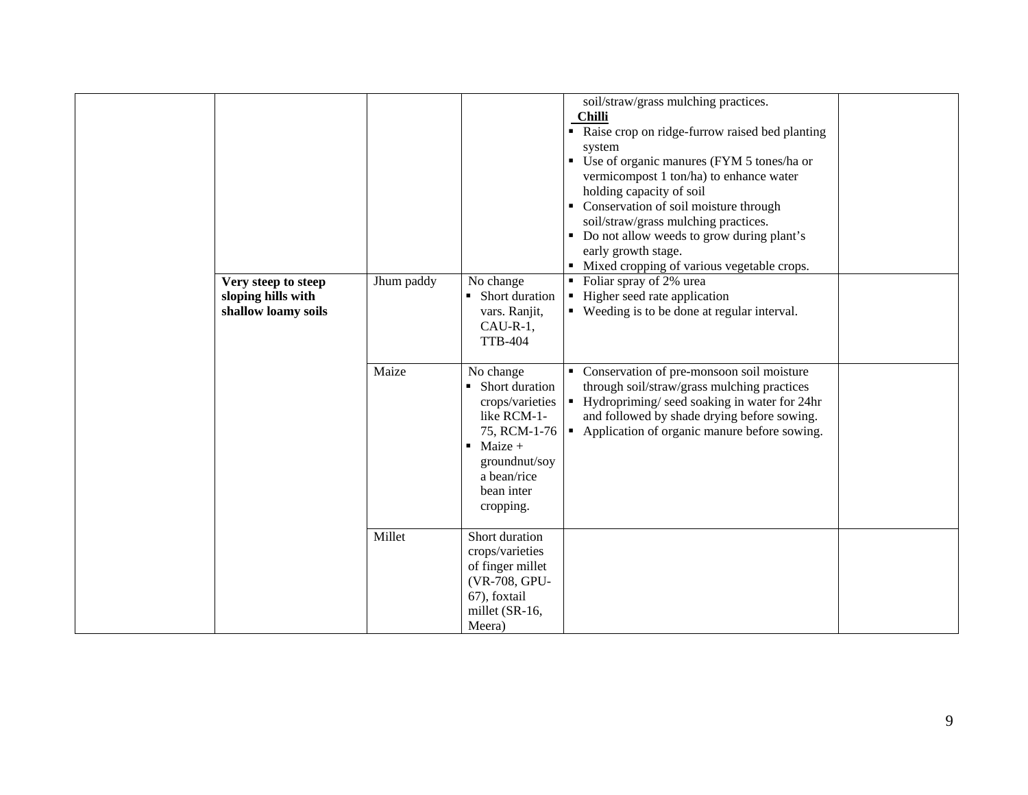| Very steep to steep<br>sloping hills with<br>shallow loamy soils | Jhum paddy | No change<br>Short duration<br>vars. Ranjit,<br>$CAU-R-1,$<br><b>TTB-404</b>                                                                         | soil/straw/grass mulching practices.<br><b>Chilli</b><br>• Raise crop on ridge-furrow raised bed planting<br>system<br>• Use of organic manures (FYM 5 tones/ha or<br>vermicompost 1 ton/ha) to enhance water<br>holding capacity of soil<br>• Conservation of soil moisture through<br>soil/straw/grass mulching practices.<br>• Do not allow weeds to grow during plant's<br>early growth stage.<br>• Mixed cropping of various vegetable crops.<br>• Foliar spray of 2% urea<br>Higher seed rate application<br>• Weeding is to be done at regular interval. |  |
|------------------------------------------------------------------|------------|------------------------------------------------------------------------------------------------------------------------------------------------------|-----------------------------------------------------------------------------------------------------------------------------------------------------------------------------------------------------------------------------------------------------------------------------------------------------------------------------------------------------------------------------------------------------------------------------------------------------------------------------------------------------------------------------------------------------------------|--|
|                                                                  | Maize      | No change<br>• Short duration<br>crops/varieties<br>like RCM-1-<br>$\blacksquare$ Maize +<br>groundnut/soy<br>a bean/rice<br>bean inter<br>cropping. | • Conservation of pre-monsoon soil moisture<br>through soil/straw/grass mulching practices<br>Hydropriming/seed soaking in water for 24hr<br>and followed by shade drying before sowing.<br>75, RCM-1-76   Application of organic manure before sowing.                                                                                                                                                                                                                                                                                                         |  |
|                                                                  | Millet     | Short duration<br>crops/varieties<br>of finger millet<br>(VR-708, GPU-<br>67), foxtail<br>millet (SR-16,<br>Meera)                                   |                                                                                                                                                                                                                                                                                                                                                                                                                                                                                                                                                                 |  |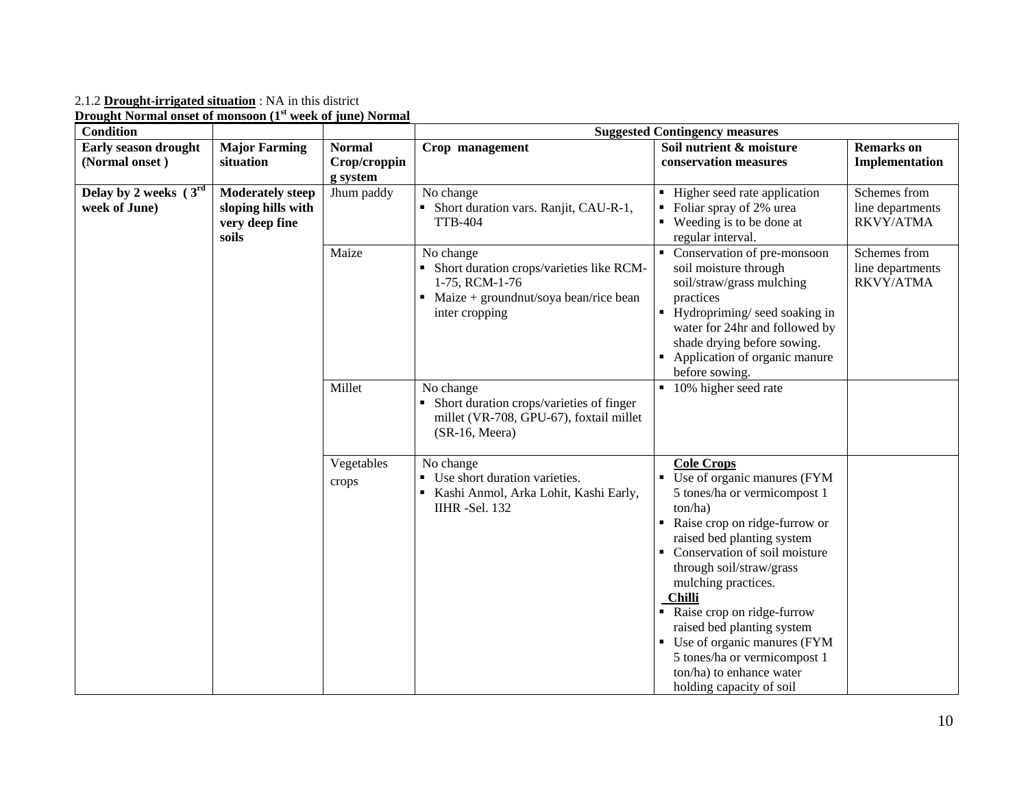2.1.2 **Drought-irrigated situation** : NA in this district

**Drought Normal onset of monsoon (1st week of june) Normal**

| <b>Condition</b>                              |                                                                          |                                           |                                                                                                                                                      | <b>Suggested Contingency measures</b>                                                                                                                                                                                                                                                                                                                                                                                                                                  |                                               |
|-----------------------------------------------|--------------------------------------------------------------------------|-------------------------------------------|------------------------------------------------------------------------------------------------------------------------------------------------------|------------------------------------------------------------------------------------------------------------------------------------------------------------------------------------------------------------------------------------------------------------------------------------------------------------------------------------------------------------------------------------------------------------------------------------------------------------------------|-----------------------------------------------|
| <b>Early season drought</b><br>(Normal onset) | <b>Major Farming</b><br>situation                                        | <b>Normal</b><br>Crop/croppin<br>g system | Crop management                                                                                                                                      | Soil nutrient & moisture<br>conservation measures                                                                                                                                                                                                                                                                                                                                                                                                                      | <b>Remarks</b> on<br>Implementation           |
| Delay by 2 weeks $(3rd$<br>week of June)      | <b>Moderately steep</b><br>sloping hills with<br>very deep fine<br>soils | Jhum paddy                                | No change<br>• Short duration vars. Ranjit, CAU-R-1,<br><b>TTB-404</b>                                                                               | Higher seed rate application<br>Foliar spray of 2% urea<br>Weeding is to be done at<br>regular interval.                                                                                                                                                                                                                                                                                                                                                               | Schemes from<br>line departments<br>RKVY/ATMA |
|                                               |                                                                          | Maize                                     | No change<br>• Short duration crops/varieties like RCM-<br>1-75, RCM-1-76<br>$\blacksquare$ Maize + ground nut/soya bean/rice bean<br>inter cropping | Conservation of pre-monsoon<br>soil moisture through<br>soil/straw/grass mulching<br>practices<br>Hydropriming/ seed soaking in<br>water for 24hr and followed by<br>shade drying before sowing.<br>Application of organic manure<br>before sowing.                                                                                                                                                                                                                    | Schemes from<br>line departments<br>RKVY/ATMA |
|                                               |                                                                          | Millet                                    | No change<br>• Short duration crops/varieties of finger<br>millet (VR-708, GPU-67), foxtail millet<br>(SR-16, Meera)                                 | • 10% higher seed rate                                                                                                                                                                                                                                                                                                                                                                                                                                                 |                                               |
|                                               |                                                                          | Vegetables<br>crops                       | No change<br>• Use short duration varieties.<br>Kashi Anmol, Arka Lohit, Kashi Early,<br><b>IIHR</b> -Sel. 132                                       | <b>Cole Crops</b><br>Use of organic manures (FYM<br>$\blacksquare$<br>5 tones/ha or vermicompost 1<br>ton/ha)<br>Raise crop on ridge-furrow or<br>raised bed planting system<br>• Conservation of soil moisture<br>through soil/straw/grass<br>mulching practices.<br><b>Chilli</b><br>Raise crop on ridge-furrow<br>raised bed planting system<br>Use of organic manures (FYM<br>5 tones/ha or vermicompost 1<br>ton/ha) to enhance water<br>holding capacity of soil |                                               |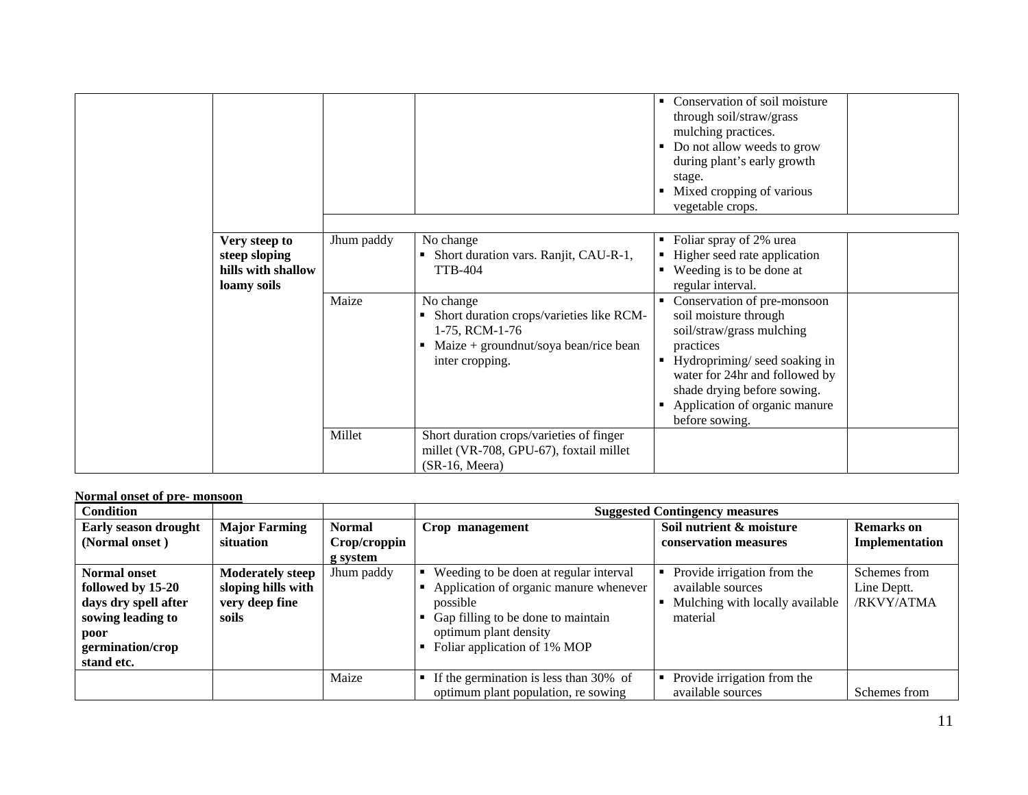|                                                                     |            |                                                                                                                                                | Conservation of soil moisture<br>٠<br>through soil/straw/grass<br>mulching practices.<br>Do not allow weeds to grow<br>during plant's early growth<br>stage.<br>Mixed cropping of various<br>vegetable crops.                                           |  |
|---------------------------------------------------------------------|------------|------------------------------------------------------------------------------------------------------------------------------------------------|---------------------------------------------------------------------------------------------------------------------------------------------------------------------------------------------------------------------------------------------------------|--|
| Very steep to<br>steep sloping<br>hills with shallow<br>loamy soils | Jhum paddy | No change<br>Short duration vars. Ranjit, CAU-R-1,<br>٠<br><b>TTB-404</b>                                                                      | Foliar spray of 2% urea<br>Higher seed rate application<br>٠<br>Weeding is to be done at<br>regular interval.                                                                                                                                           |  |
|                                                                     | Maize      | No change<br>Short duration crops/varieties like RCM-<br>٠<br>1-75, RCM-1-76<br>Maize + ground nut/soya bean/rice bean<br>٠<br>inter cropping. | Conservation of pre-monsoon<br>soil moisture through<br>soil/straw/grass mulching<br>practices<br>Hydropriming/seed soaking in<br>п<br>water for 24hr and followed by<br>shade drying before sowing.<br>Application of organic manure<br>before sowing. |  |
|                                                                     | Millet     | Short duration crops/varieties of finger<br>millet (VR-708, GPU-67), foxtail millet<br>$(SR-16, Meera)$                                        |                                                                                                                                                                                                                                                         |  |

### **Normal onset of pre- monsoon**

| <b>Condition</b>                                                                                                                |                                                                          |               |                                                                                                                                                                                             | <b>Suggested Contingency measures</b>                                                           |                                           |
|---------------------------------------------------------------------------------------------------------------------------------|--------------------------------------------------------------------------|---------------|---------------------------------------------------------------------------------------------------------------------------------------------------------------------------------------------|-------------------------------------------------------------------------------------------------|-------------------------------------------|
| <b>Early season drought</b>                                                                                                     | <b>Major Farming</b>                                                     | <b>Normal</b> | Crop management                                                                                                                                                                             | Soil nutrient & moisture                                                                        | <b>Remarks</b> on                         |
| (Normal onset)                                                                                                                  | situation                                                                | Crop/croppin  |                                                                                                                                                                                             | conservation measures                                                                           | Implementation                            |
|                                                                                                                                 |                                                                          | g system      |                                                                                                                                                                                             |                                                                                                 |                                           |
| <b>Normal onset</b><br>followed by 15-20<br>days dry spell after<br>sowing leading to<br>poor<br>germination/crop<br>stand etc. | <b>Moderately steep</b><br>sloping hills with<br>very deep fine<br>soils | Jhum paddy    | Weeding to be doen at regular interval<br>Application of organic manure whenever<br>possible<br>Gap filling to be done to maintain<br>optimum plant density<br>Foliar application of 1% MOP | Provide irrigation from the<br>available sources<br>Mulching with locally available<br>material | Schemes from<br>Line Deptt.<br>/RKVY/ATMA |
|                                                                                                                                 |                                                                          | Maize         | If the germination is less than 30% of<br>optimum plant population, re sowing                                                                                                               | Provide irrigation from the<br>available sources                                                | Schemes from                              |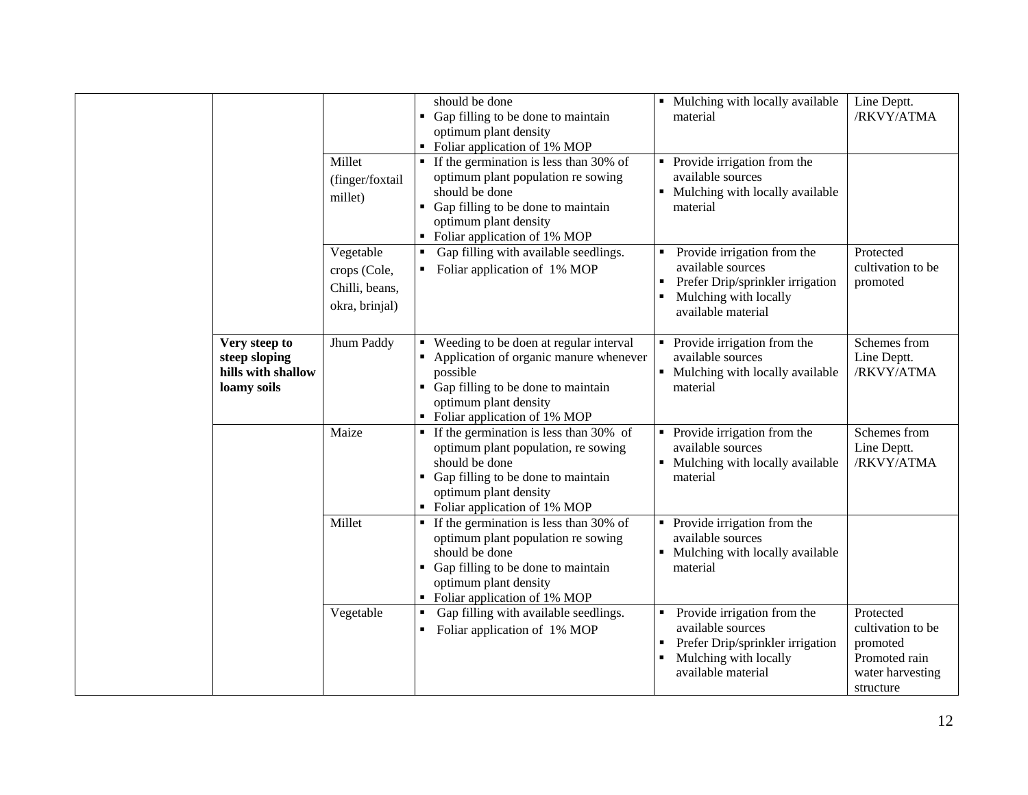|                                                                     | Millet<br>(finger/foxtail<br>millet)                          | should be done<br>• Gap filling to be done to maintain<br>optimum plant density<br>• Foliar application of 1% MOP<br>$\blacksquare$ If the germination is less than 30% of<br>optimum plant population re sowing<br>should be done<br>• Gap filling to be done to maintain<br>optimum plant density<br>• Foliar application of 1% MOP | • Mulching with locally available<br>material<br>Provide irrigation from the<br>available sources<br>• Mulching with locally available<br>material | Line Deptt.<br>/RKVY/ATMA                                                                    |
|---------------------------------------------------------------------|---------------------------------------------------------------|---------------------------------------------------------------------------------------------------------------------------------------------------------------------------------------------------------------------------------------------------------------------------------------------------------------------------------------|----------------------------------------------------------------------------------------------------------------------------------------------------|----------------------------------------------------------------------------------------------|
|                                                                     | Vegetable<br>crops (Cole,<br>Chilli, beans,<br>okra, brinjal) | Gap filling with available seedlings.<br>• Foliar application of 1% MOP                                                                                                                                                                                                                                                               | Provide irrigation from the<br>available sources<br>Prefer Drip/sprinkler irrigation<br>Mulching with locally<br>available material                | Protected<br>cultivation to be<br>promoted                                                   |
| Very steep to<br>steep sloping<br>hills with shallow<br>loamy soils | Jhum Paddy                                                    | • Weeding to be doen at regular interval<br>• Application of organic manure whenever<br>possible<br>• Gap filling to be done to maintain<br>optimum plant density<br>• Foliar application of 1% MOP                                                                                                                                   | Provide irrigation from the<br>available sources<br>Mulching with locally available<br>material                                                    | Schemes from<br>Line Deptt.<br>/RKVY/ATMA                                                    |
|                                                                     | Maize                                                         | $\blacksquare$ If the germination is less than 30% of<br>optimum plant population, re sowing<br>should be done<br>• Gap filling to be done to maintain<br>optimum plant density<br>• Foliar application of 1% MOP                                                                                                                     | Provide irrigation from the<br>$\blacksquare$<br>available sources<br>Mulching with locally available<br>material                                  | Schemes from<br>Line Deptt.<br>/RKVY/ATMA                                                    |
|                                                                     | Millet                                                        | $\blacksquare$ If the germination is less than 30% of<br>optimum plant population re sowing<br>should be done<br>• Gap filling to be done to maintain<br>optimum plant density<br>• Foliar application of 1% MOP                                                                                                                      | Provide irrigation from the<br>$\blacksquare$<br>available sources<br>Mulching with locally available<br>material                                  |                                                                                              |
|                                                                     | Vegetable                                                     | Gap filling with available seedlings.<br>Foliar application of 1% MOP<br>٠                                                                                                                                                                                                                                                            | Provide irrigation from the<br>available sources<br>Prefer Drip/sprinkler irrigation<br>Mulching with locally<br>available material                | Protected<br>cultivation to be<br>promoted<br>Promoted rain<br>water harvesting<br>structure |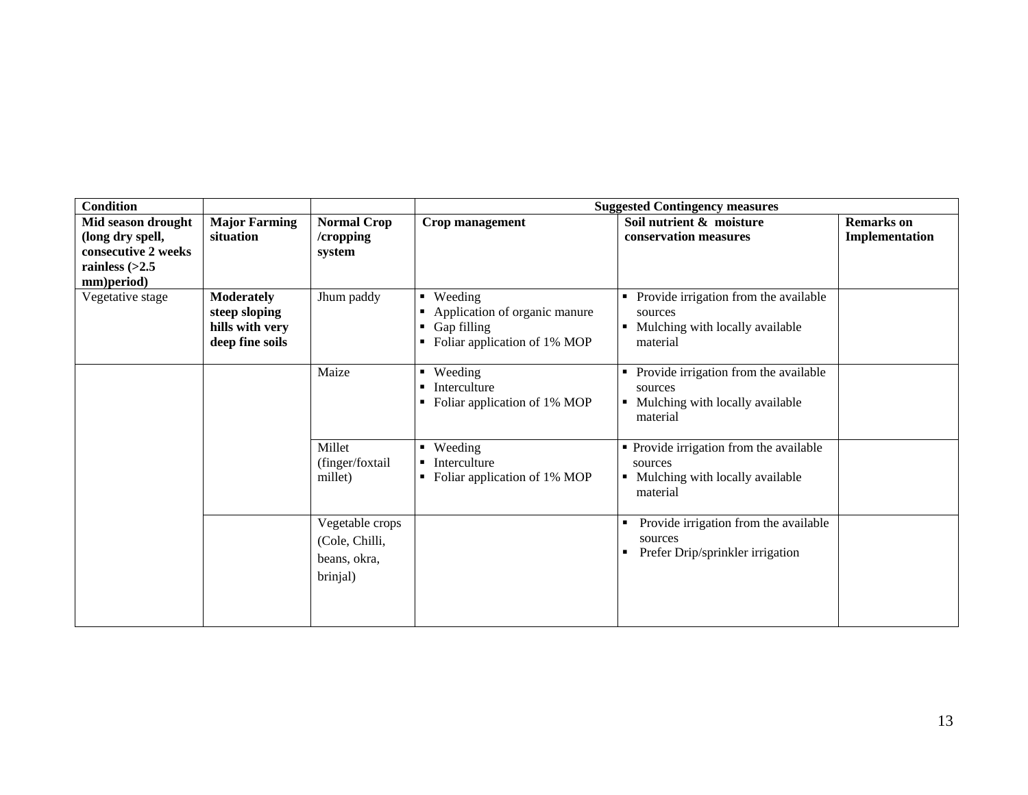| <b>Condition</b>                                                                                |                                                                          |                                                               |                                                                                                           | <b>Suggested Contingency measures</b>                                                               |                                     |
|-------------------------------------------------------------------------------------------------|--------------------------------------------------------------------------|---------------------------------------------------------------|-----------------------------------------------------------------------------------------------------------|-----------------------------------------------------------------------------------------------------|-------------------------------------|
| Mid season drought<br>(long dry spell,<br>consecutive 2 weeks<br>rainless $(>2.5$<br>mm)period) | <b>Major Farming</b><br>situation                                        | <b>Normal Crop</b><br>/cropping<br>system                     | Crop management                                                                                           | Soil nutrient & moisture<br>conservation measures                                                   | <b>Remarks</b> on<br>Implementation |
| Vegetative stage                                                                                | <b>Moderately</b><br>steep sloping<br>hills with very<br>deep fine soils | Jhum paddy                                                    | Weeding<br>$\blacksquare$<br>Application of organic manure<br>Gap filling<br>Foliar application of 1% MOP | Provide irrigation from the available<br>sources<br>• Mulching with locally available<br>material   |                                     |
|                                                                                                 |                                                                          | Maize                                                         | Weeding<br>Interculture<br>Foliar application of 1% MOP                                                   | • Provide irrigation from the available<br>sources<br>• Mulching with locally available<br>material |                                     |
|                                                                                                 |                                                                          | Millet<br>(finger/foxtail<br>millet)                          | Weeding<br>Interculture<br>Foliar application of 1% MOP                                                   | • Provide irrigation from the available<br>sources<br>• Mulching with locally available<br>material |                                     |
|                                                                                                 |                                                                          | Vegetable crops<br>(Cole, Chilli,<br>beans, okra,<br>brinjal) |                                                                                                           | Provide irrigation from the available<br>٠<br>sources<br>Prefer Drip/sprinkler irrigation           |                                     |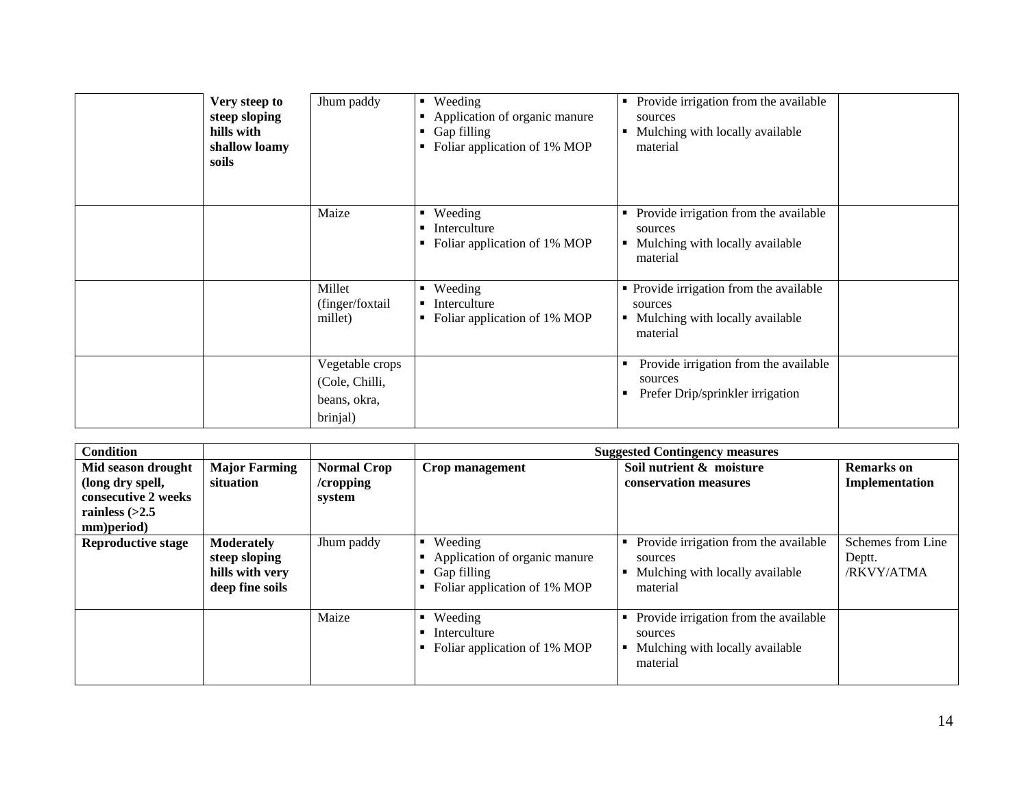| Very steep to<br>steep sloping<br>hills with<br>shallow loamy<br>soils | Jhum paddy                                                    | Weeding<br>$\blacksquare$<br>Application of organic manure<br>Gap filling<br>Foliar application of 1% MOP | Provide irrigation from the available<br>٠<br>sources<br>Mulching with locally available<br>٠<br>material |  |
|------------------------------------------------------------------------|---------------------------------------------------------------|-----------------------------------------------------------------------------------------------------------|-----------------------------------------------------------------------------------------------------------|--|
|                                                                        | Maize                                                         | Weeding<br>Interculture<br>Foliar application of 1% MOP                                                   | • Provide irrigation from the available<br>sources<br>Mulching with locally available<br>material         |  |
|                                                                        | Millet<br>(finger/foxtail)<br>millet)                         | Weeding<br>٠<br>Interculture<br>Foliar application of 1% MOP                                              | • Provide irrigation from the available<br>sources<br>• Mulching with locally available<br>material       |  |
|                                                                        | Vegetable crops<br>(Cole, Chilli,<br>beans, okra,<br>brinjal) |                                                                                                           | Provide irrigation from the available<br>п<br>sources<br>Prefer Drip/sprinkler irrigation<br>п            |  |

| <b>Condition</b>                                                                                |                                                                          |                                              |                                                                                                           | <b>Suggested Contingency measures</b>                                                                               |                                           |
|-------------------------------------------------------------------------------------------------|--------------------------------------------------------------------------|----------------------------------------------|-----------------------------------------------------------------------------------------------------------|---------------------------------------------------------------------------------------------------------------------|-------------------------------------------|
| Mid season drought<br>(long dry spell,<br>consecutive 2 weeks<br>rainless $(>2.5$<br>mm)period) | <b>Major Farming</b><br>situation                                        | <b>Normal Crop</b><br>$/$ cropping<br>system | Crop management                                                                                           | Soil nutrient & moisture<br>conservation measures                                                                   | <b>Remarks</b> on<br>Implementation       |
| <b>Reproductive stage</b>                                                                       | <b>Moderately</b><br>steep sloping<br>hills with very<br>deep fine soils | Jhum paddy                                   | Weeding<br>$\blacksquare$<br>Application of organic manure<br>Gap filling<br>Foliar application of 1% MOP | Provide irrigation from the available<br>٠<br>sources<br>Mulching with locally available<br>٠<br>material           | Schemes from Line<br>Deptt.<br>/RKVY/ATMA |
|                                                                                                 |                                                                          | Maize                                        | Weeding<br>$\blacksquare$<br>Interculture<br>Foliar application of 1% MOP                                 | • Provide irrigation from the available<br>sources<br>Mulching with locally available<br>$\blacksquare$<br>material |                                           |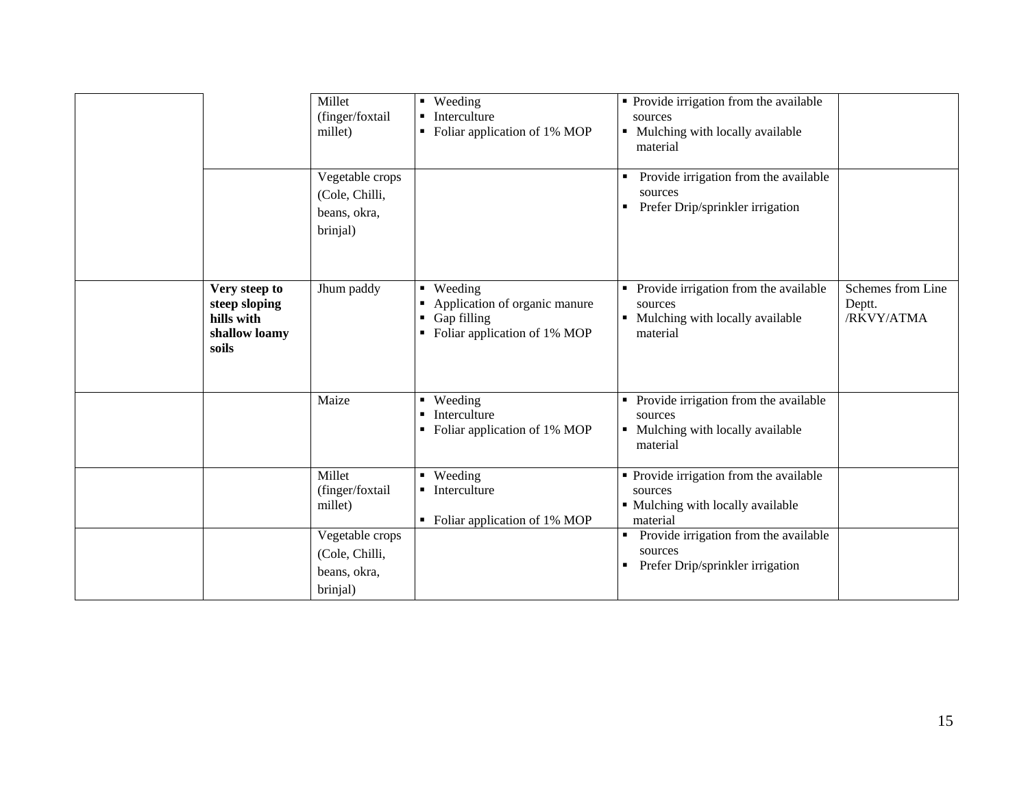|                                                                        | Millet<br>(finger/foxtail<br>millet)                          | • Weeding<br>Interculture<br>$\blacksquare$<br>Foliar application of 1% MOP<br>$\blacksquare$  | • Provide irrigation from the available<br>sources<br>• Mulching with locally available<br>material |                                           |
|------------------------------------------------------------------------|---------------------------------------------------------------|------------------------------------------------------------------------------------------------|-----------------------------------------------------------------------------------------------------|-------------------------------------------|
|                                                                        | Vegetable crops<br>(Cole, Chilli,<br>beans, okra,<br>brinjal) |                                                                                                | Provide irrigation from the available<br>sources<br>Prefer Drip/sprinkler irrigation<br>п           |                                           |
| Very steep to<br>steep sloping<br>hills with<br>shallow loamy<br>soils | Jhum paddy                                                    | • Weeding<br>Application of organic manure<br>٠<br>Gap filling<br>Foliar application of 1% MOP | Provide irrigation from the available<br>sources<br>• Mulching with locally available<br>material   | Schemes from Line<br>Deptt.<br>/RKVY/ATMA |
|                                                                        | Maize                                                         | • Weeding<br>Interculture<br>$\blacksquare$<br>Foliar application of 1% MOP<br>$\blacksquare$  | • Provide irrigation from the available<br>sources<br>• Mulching with locally available<br>material |                                           |
|                                                                        | Millet<br>(finger/foxtail<br>millet)                          | • Weeding<br>• Interculture<br>• Foliar application of 1% MOP                                  | • Provide irrigation from the available<br>sources<br>• Mulching with locally available<br>material |                                           |
|                                                                        | Vegetable crops<br>(Cole, Chilli,<br>beans, okra,<br>brinjal) |                                                                                                | Provide irrigation from the available<br>٠<br>sources<br>Prefer Drip/sprinkler irrigation<br>п      |                                           |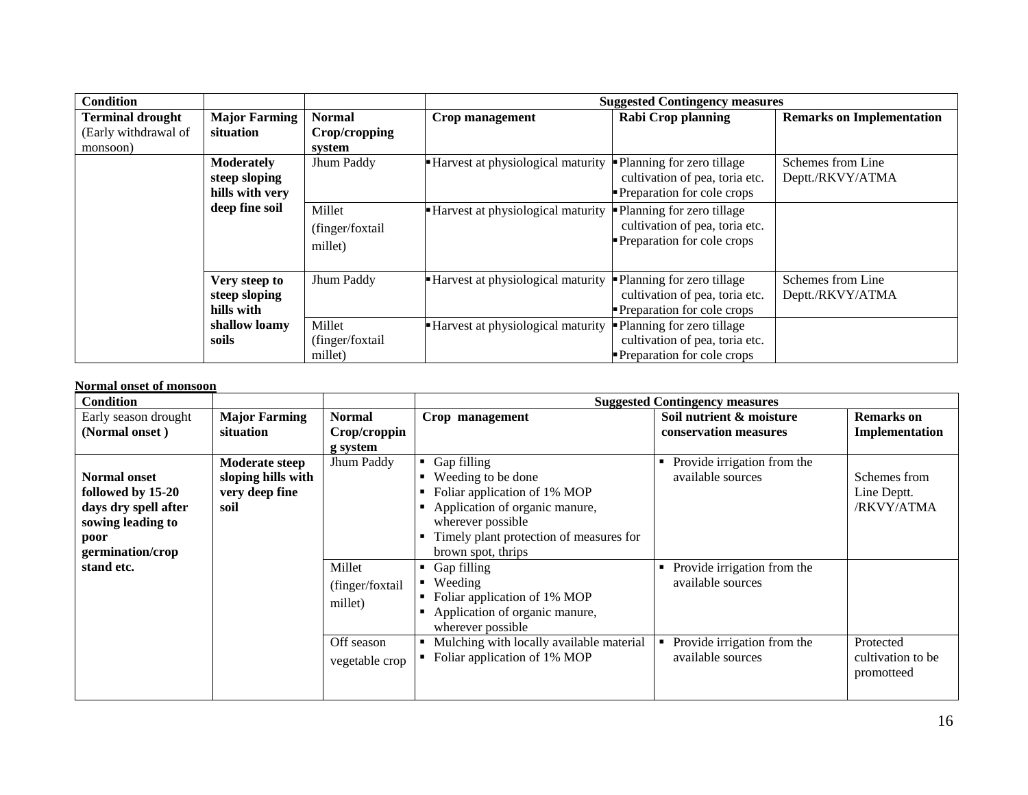| <b>Condition</b>        |                      |                 |                                     | <b>Suggested Contingency measures</b> |                                  |
|-------------------------|----------------------|-----------------|-------------------------------------|---------------------------------------|----------------------------------|
| <b>Terminal drought</b> | <b>Major Farming</b> | <b>Normal</b>   | Crop management                     | <b>Rabi Crop planning</b>             | <b>Remarks on Implementation</b> |
| (Early withdrawal of    | <b>situation</b>     | Crop/cropping   |                                     |                                       |                                  |
| monsoon)                |                      | system          |                                     |                                       |                                  |
|                         | <b>Moderately</b>    | Jhum Paddy      | Harvest at physiological maturity   | • Planning for zero tillage           | Schemes from Line                |
|                         | steep sloping        |                 |                                     | cultivation of pea, toria etc.        | Deptt./RKVY/ATMA                 |
|                         | hills with very      |                 |                                     | Preparation for cole crops            |                                  |
|                         | deep fine soil       | Millet          | • Harvest at physiological maturity | Planning for zero tillage             |                                  |
|                         |                      | (finger/foxtail |                                     | cultivation of pea, toria etc.        |                                  |
|                         |                      | millet)         |                                     | Preparation for cole crops            |                                  |
|                         |                      |                 |                                     |                                       |                                  |
|                         |                      |                 |                                     |                                       |                                  |
|                         | Very steep to        | Jhum Paddy      | - Harvest at physiological maturity | • Planning for zero tillage           | Schemes from Line                |
|                         | steep sloping        |                 |                                     | cultivation of pea, toria etc.        | Deptt./RKVY/ATMA                 |
|                         | hills with           |                 |                                     | Preparation for cole crops            |                                  |
|                         | shallow loamy        | Millet          | Harvest at physiological maturity   | • Planning for zero tillage           |                                  |
|                         | soils                | (finger/foxtail |                                     | cultivation of pea, toria etc.        |                                  |
|                         |                      | millet)         |                                     | Preparation for cole crops            |                                  |

#### **Normal onset of monsoon**

| <b>Condition</b>     |                       |                 | <b>Suggested Contingency measures</b>    |                             |                   |  |  |
|----------------------|-----------------------|-----------------|------------------------------------------|-----------------------------|-------------------|--|--|
| Early season drought | <b>Major Farming</b>  | <b>Normal</b>   | Crop management                          | Soil nutrient & moisture    | <b>Remarks</b> on |  |  |
| (Normal onset)       | situation             | Crop/croppin    |                                          | conservation measures       | Implementation    |  |  |
|                      |                       | g system        |                                          |                             |                   |  |  |
|                      | <b>Moderate steep</b> | Jhum Paddy      | Gap filling<br>٠                         | Provide irrigation from the |                   |  |  |
| <b>Normal onset</b>  | sloping hills with    |                 | Weeding to be done                       | available sources           | Schemes from      |  |  |
| followed by 15-20    | very deep fine        |                 | Foliar application of 1% MOP             |                             | Line Deptt.       |  |  |
| days dry spell after | soil                  |                 | Application of organic manure,           |                             | /RKVY/ATMA        |  |  |
| sowing leading to    |                       |                 | wherever possible                        |                             |                   |  |  |
| poor                 |                       |                 | Timely plant protection of measures for  |                             |                   |  |  |
| germination/crop     |                       |                 | brown spot, thrips                       |                             |                   |  |  |
| stand etc.           |                       | Millet          | Gap filling<br>٠                         | Provide irrigation from the |                   |  |  |
|                      |                       | (finger/foxtail | Weeding<br>٠                             | available sources           |                   |  |  |
|                      |                       |                 | Foliar application of 1% MOP             |                             |                   |  |  |
|                      |                       | millet)         | Application of organic manure,           |                             |                   |  |  |
|                      |                       |                 | wherever possible                        |                             |                   |  |  |
|                      |                       | Off season      | Mulching with locally available material | Provide irrigation from the | Protected         |  |  |
|                      |                       | vegetable crop  | Foliar application of 1% MOP             | available sources           | cultivation to be |  |  |
|                      |                       |                 |                                          |                             | promotteed        |  |  |
|                      |                       |                 |                                          |                             |                   |  |  |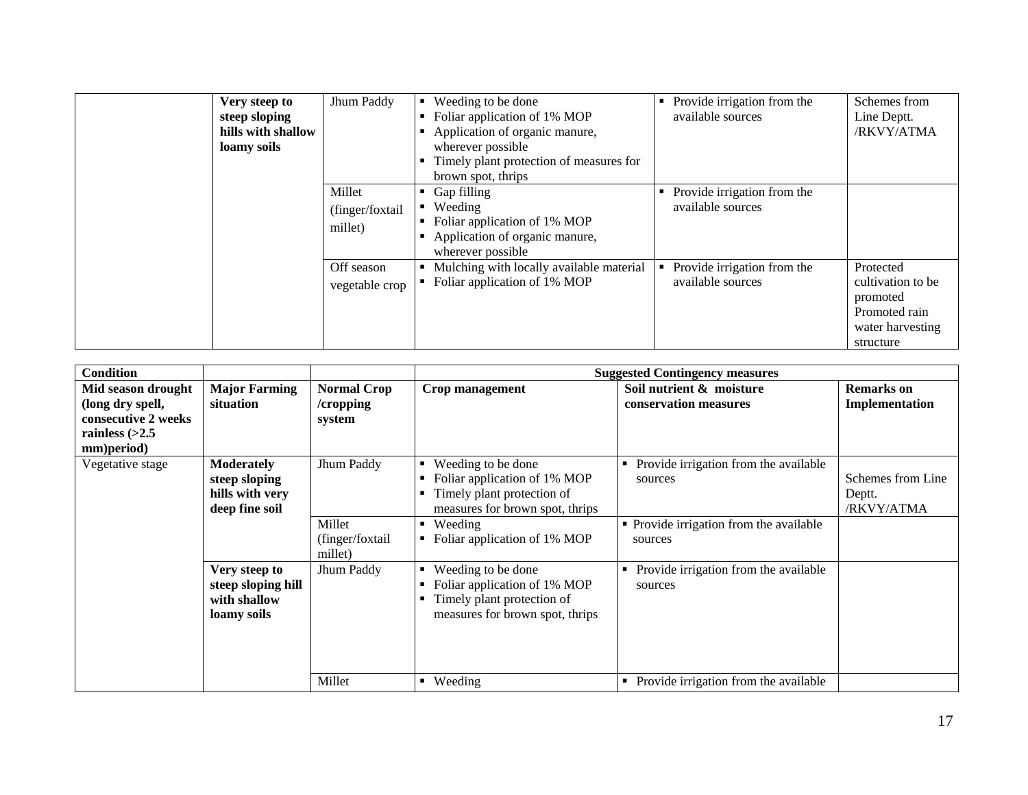| Very steep to<br>steep sloping<br>hills with shallow<br>loamy soils | Jhum Paddy                           | Weeding to be done<br>Foliar application of 1% MOP<br>Application of organic manure,<br>wherever possible<br>Timely plant protection of measures for<br>brown spot, thrips | Provide irrigation from the<br>٠<br>available sources | Schemes from<br>Line Deptt.<br>/RKVY/ATMA                                                    |
|---------------------------------------------------------------------|--------------------------------------|----------------------------------------------------------------------------------------------------------------------------------------------------------------------------|-------------------------------------------------------|----------------------------------------------------------------------------------------------|
|                                                                     | Millet<br>(finger/foxtail<br>millet) | Gap filling<br>Weeding<br>Foliar application of 1% MOP<br>Application of organic manure,<br>wherever possible                                                              | Provide irrigation from the<br>٠<br>available sources |                                                                                              |
|                                                                     | Off season<br>vegetable crop         | Mulching with locally available material<br>Foliar application of 1% MOP                                                                                                   | Provide irrigation from the<br>available sources      | Protected<br>cultivation to be<br>promoted<br>Promoted rain<br>water harvesting<br>structure |

| <b>Condition</b>    |                      |                    |                                   | <b>Suggested Contingency measures</b>      |                   |
|---------------------|----------------------|--------------------|-----------------------------------|--------------------------------------------|-------------------|
| Mid season drought  | <b>Major Farming</b> | <b>Normal Crop</b> | Crop management                   | Soil nutrient & moisture                   | <b>Remarks</b> on |
| (long dry spell,    | situation            | /cropping          |                                   | conservation measures                      | Implementation    |
| consecutive 2 weeks |                      | system             |                                   |                                            |                   |
| rainless $(>2.5$    |                      |                    |                                   |                                            |                   |
| mm)period)          |                      |                    |                                   |                                            |                   |
| Vegetative stage    | <b>Moderately</b>    | Jhum Paddy         | Weeding to be done<br>٠           | Provide irrigation from the available<br>٠ |                   |
|                     | steep sloping        |                    | Foliar application of 1% MOP<br>٠ | sources                                    | Schemes from Line |
|                     | hills with very      |                    | Timely plant protection of<br>٠   |                                            | Deptt.            |
|                     | deep fine soil       |                    | measures for brown spot, thrips   |                                            | /RKVY/ATMA        |
|                     |                      | Millet             | Weeding<br>٠                      | • Provide irrigation from the available    |                   |
|                     |                      | (finger/foxtail    | Foliar application of 1% MOP<br>٠ | sources                                    |                   |
|                     |                      | millet)            |                                   |                                            |                   |
|                     | Very steep to        | Jhum Paddy         | Weeding to be done                | Provide irrigation from the available<br>٠ |                   |
|                     | steep sloping hill   |                    | Foliar application of 1% MOP<br>٠ | sources                                    |                   |
|                     | with shallow         |                    | Timely plant protection of<br>٠   |                                            |                   |
|                     | loamy soils          |                    | measures for brown spot, thrips   |                                            |                   |
|                     |                      |                    |                                   |                                            |                   |
|                     |                      |                    |                                   |                                            |                   |
|                     |                      |                    |                                   |                                            |                   |
|                     |                      | Millet             | Weeding<br>$\blacksquare$         | Provide irrigation from the available<br>٠ |                   |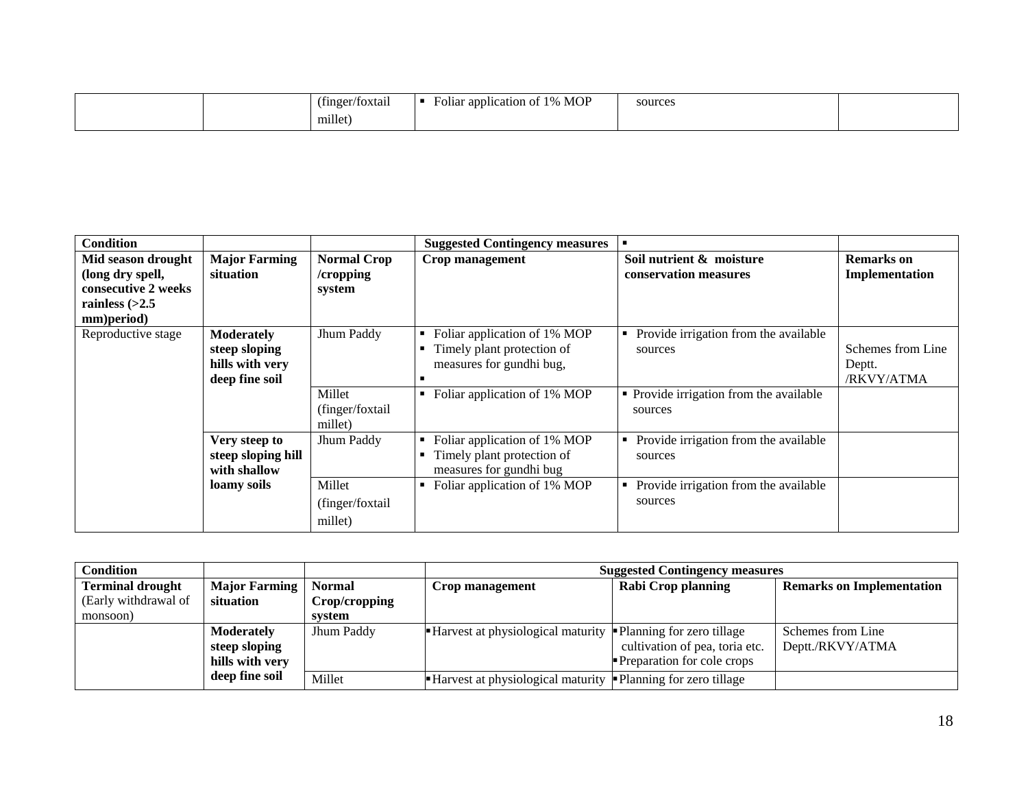| . .<br>(finger/foxtail)<br>. . | <b>MOP</b><br>annlication of<br>$\mathcal{A}$<br><b>F</b> oliar | sources |  |
|--------------------------------|-----------------------------------------------------------------|---------|--|
| millet                         |                                                                 |         |  |

| <b>Condition</b>                                                                                |                                                                         |                                                                | <b>Suggested Contingency measures</b>                                                                                                             |                                                                                                        |                                           |
|-------------------------------------------------------------------------------------------------|-------------------------------------------------------------------------|----------------------------------------------------------------|---------------------------------------------------------------------------------------------------------------------------------------------------|--------------------------------------------------------------------------------------------------------|-------------------------------------------|
| Mid season drought<br>(long dry spell,<br>consecutive 2 weeks<br>rainless $(>2.5$<br>mm)period) | <b>Major Farming</b><br>situation                                       | <b>Normal Crop</b><br>/cropping<br>system                      | Crop management                                                                                                                                   | Soil nutrient & moisture<br>conservation measures                                                      | <b>Remarks</b> on<br>Implementation       |
| Reproductive stage                                                                              | <b>Moderately</b><br>steep sloping<br>hills with very<br>deep fine soil | Jhum Paddy<br>Millet<br>(finger/foxtail                        | Foliar application of 1% MOP<br>٠<br>Timely plant protection of<br>٠<br>measures for gundhi bug,<br>п<br>Foliar application of 1% MOP<br>٠        | Provide irrigation from the available<br>sources<br>• Provide irrigation from the available<br>sources | Schemes from Line<br>Deptt.<br>/RKVY/ATMA |
|                                                                                                 | Very steep to<br>steep sloping hill<br>with shallow<br>loamy soils      | millet)<br>Jhum Paddy<br>Millet<br>(finger/foxtail)<br>millet) | Foliar application of 1% MOP<br>٠<br>Timely plant protection of<br>٠<br>measures for gundhi bug<br>Foliar application of 1% MOP<br>$\blacksquare$ | Provide irrigation from the available<br>sources<br>Provide irrigation from the available<br>sources   |                                           |

| Condition               |                        |               | <b>Suggested Contingency measures</b>                                                     |                                   |                                  |  |
|-------------------------|------------------------|---------------|-------------------------------------------------------------------------------------------|-----------------------------------|----------------------------------|--|
| <b>Terminal drought</b> | Major Farming   Normal |               | Crop management                                                                           | <b>Rabi Crop planning</b>         | <b>Remarks on Implementation</b> |  |
| (Early withdrawal of    | situation              | Crop/cropping |                                                                                           |                                   |                                  |  |
| monsoon)                |                        | svstem        |                                                                                           |                                   |                                  |  |
|                         | <b>Moderately</b>      | Jhum Paddy    | $\blacksquare$ Harvest at physiological maturity $\blacksquare$ Planning for zero tillage |                                   | Schemes from Line                |  |
|                         | steep sloping          |               |                                                                                           | cultivation of pea, toria etc.    | Deptt./RKVY/ATMA                 |  |
|                         | hills with very        |               |                                                                                           | <b>Preparation for cole crops</b> |                                  |  |
|                         | deep fine soil         | Millet        | $\blacksquare$ Harvest at physiological maturity $\blacksquare$ Planning for zero tillage |                                   |                                  |  |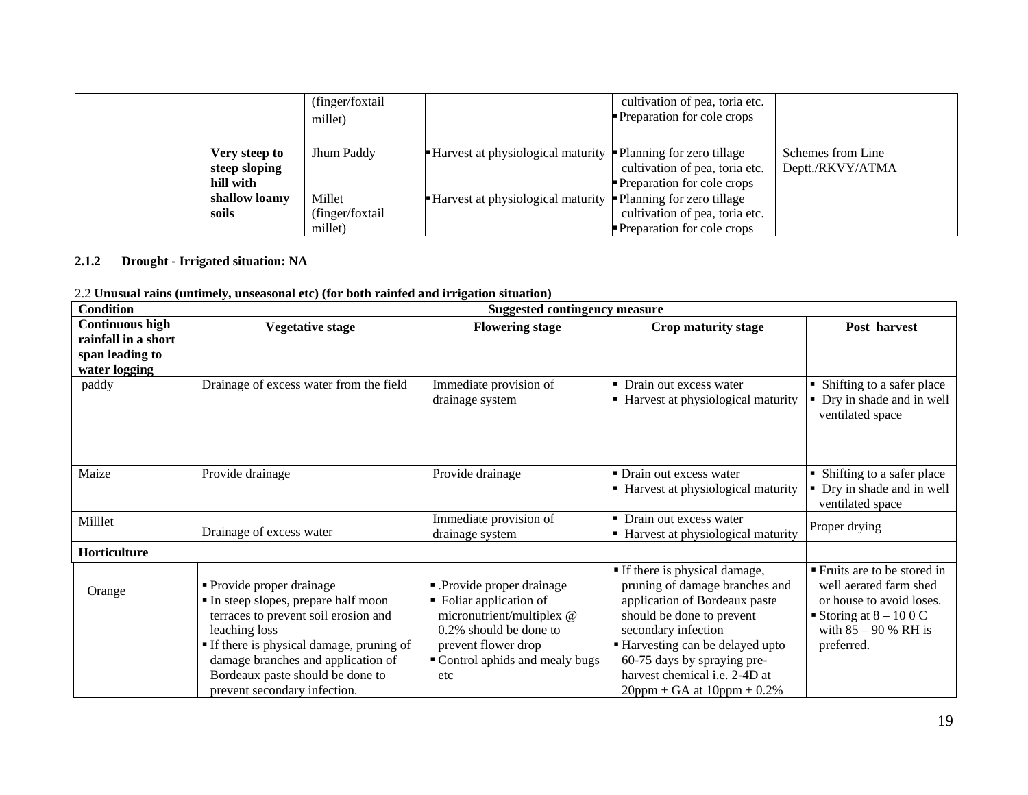|                                             | (finger/foxtail)<br>millet)           |                                                                                           | cultivation of pea, toria etc.<br><b>Preparation for cole crops</b> |                                       |
|---------------------------------------------|---------------------------------------|-------------------------------------------------------------------------------------------|---------------------------------------------------------------------|---------------------------------------|
| Very steep to<br>steep sloping<br>hill with | Jhum Paddy                            | $\blacksquare$ Harvest at physiological maturity $\blacksquare$ Planning for zero tillage | cultivation of pea, toria etc.<br><b>Preparation for cole crops</b> | Schemes from Line<br>Deptt./RKVY/ATMA |
| shallow loamy<br>soils                      | Millet<br>(finger/foxtail)<br>millet) | $\blacksquare$ Harvest at physiological maturity $\blacksquare$ Planning for zero tillage | cultivation of pea, toria etc.<br><b>Preparation for cole crops</b> |                                       |

# **2.1.2 Drought - Irrigated situation: NA**

|  |  | 2.2 Unusual rains (untimely, unseasonal etc) (for both rainfed and irrigation situation) |  |  |  |
|--|--|------------------------------------------------------------------------------------------|--|--|--|
|  |  |                                                                                          |  |  |  |

| <b>Condition</b>                                                                  |                                                                                                                                                                                                                                                                             | <b>Suggested contingency measure</b>                                                                                                                                        |                                                                                                                                                                                                                                                                                             |                                                                                                                                                      |
|-----------------------------------------------------------------------------------|-----------------------------------------------------------------------------------------------------------------------------------------------------------------------------------------------------------------------------------------------------------------------------|-----------------------------------------------------------------------------------------------------------------------------------------------------------------------------|---------------------------------------------------------------------------------------------------------------------------------------------------------------------------------------------------------------------------------------------------------------------------------------------|------------------------------------------------------------------------------------------------------------------------------------------------------|
| <b>Continuous high</b><br>rainfall in a short<br>span leading to<br>water logging | <b>Vegetative stage</b>                                                                                                                                                                                                                                                     | <b>Flowering stage</b>                                                                                                                                                      | Crop maturity stage                                                                                                                                                                                                                                                                         | Post harvest                                                                                                                                         |
| paddy                                                                             | Drainage of excess water from the field                                                                                                                                                                                                                                     | Immediate provision of<br>drainage system                                                                                                                                   | • Drain out excess water<br>• Harvest at physiological maturity                                                                                                                                                                                                                             | • Shifting to a safer place<br>• Dry in shade and in well<br>ventilated space                                                                        |
| Maize                                                                             | Provide drainage                                                                                                                                                                                                                                                            | Provide drainage                                                                                                                                                            | • Drain out excess water<br>• Harvest at physiological maturity                                                                                                                                                                                                                             | • Shifting to a safer place<br>• Dry in shade and in well<br>ventilated space                                                                        |
| Milllet                                                                           | Drainage of excess water                                                                                                                                                                                                                                                    | Immediate provision of<br>drainage system                                                                                                                                   | • Drain out excess water<br>• Harvest at physiological maturity                                                                                                                                                                                                                             | Proper drying                                                                                                                                        |
| Horticulture                                                                      |                                                                                                                                                                                                                                                                             |                                                                                                                                                                             |                                                                                                                                                                                                                                                                                             |                                                                                                                                                      |
| Orange                                                                            | Provide proper drainage<br>In steep slopes, prepare half moon<br>terraces to prevent soil erosion and<br>leaching loss<br>If there is physical damage, pruning of<br>damage branches and application of<br>Bordeaux paste should be done to<br>prevent secondary infection. | - Provide proper drainage.<br>• Foliar application of<br>micronutrient/multiplex @<br>0.2% should be done to<br>prevent flower drop<br>Control aphids and mealy bugs<br>etc | • If there is physical damage,<br>pruning of damage branches and<br>application of Bordeaux paste<br>should be done to prevent<br>secondary infection<br>Harvesting can be delayed upto<br>60-75 days by spraying pre-<br>harvest chemical i.e. 2-4D at<br>$20$ ppm + GA at $10$ ppm + 0.2% | ■ Fruits are to be stored in<br>well aerated farm shed<br>or house to avoid loses.<br>Storing at $8 - 100$ C<br>with $85 - 90$ % RH is<br>preferred. |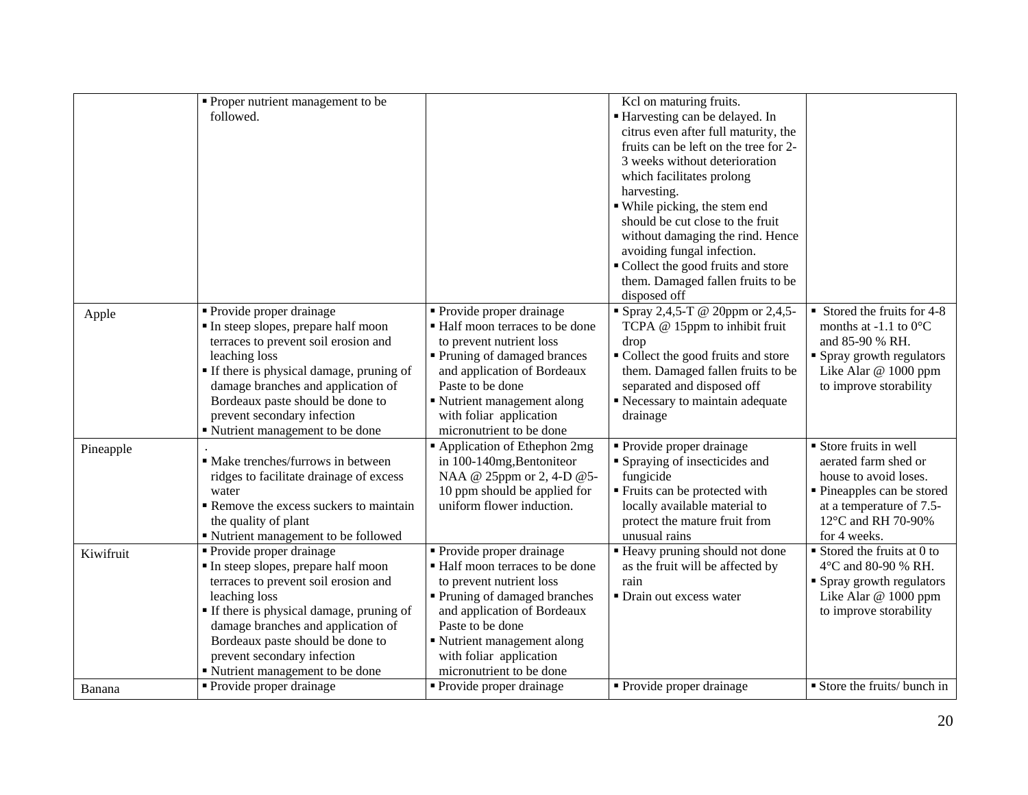|           | • Proper nutrient management to be<br>followed.                                                                                                                                                                                                                                                                  |                                                                                                                                                                                                                                                                   | Kcl on maturing fruits.<br>Harvesting can be delayed. In<br>citrus even after full maturity, the<br>fruits can be left on the tree for 2-<br>3 weeks without deterioration<br>which facilitates prolong<br>harvesting.<br>· While picking, the stem end<br>should be cut close to the fruit<br>without damaging the rind. Hence<br>avoiding fungal infection.<br>• Collect the good fruits and store<br>them. Damaged fallen fruits to be<br>disposed off |                                                                                                                                                                       |
|-----------|------------------------------------------------------------------------------------------------------------------------------------------------------------------------------------------------------------------------------------------------------------------------------------------------------------------|-------------------------------------------------------------------------------------------------------------------------------------------------------------------------------------------------------------------------------------------------------------------|-----------------------------------------------------------------------------------------------------------------------------------------------------------------------------------------------------------------------------------------------------------------------------------------------------------------------------------------------------------------------------------------------------------------------------------------------------------|-----------------------------------------------------------------------------------------------------------------------------------------------------------------------|
| Apple     | • Provide proper drainage<br>In steep slopes, prepare half moon<br>terraces to prevent soil erosion and<br>leaching loss<br>If there is physical damage, pruning of<br>damage branches and application of<br>Bordeaux paste should be done to<br>prevent secondary infection<br>■ Nutrient management to be done | • Provide proper drainage<br>• Half moon terraces to be done<br>to prevent nutrient loss<br>• Pruning of damaged brances<br>and application of Bordeaux<br>Paste to be done<br>■ Nutrient management along<br>with foliar application<br>micronutrient to be done | " Spray 2,4,5-T @ 20ppm or 2,4,5-<br>TCPA @ 15ppm to inhibit fruit<br>drop<br>• Collect the good fruits and store<br>them. Damaged fallen fruits to be<br>separated and disposed off<br>Recessary to maintain adequate<br>drainage                                                                                                                                                                                                                        | Stored the fruits for 4-8<br>months at -1.1 to $0^{\circ}$ C<br>and 85-90 % RH.<br>• Spray growth regulators<br>Like Alar @ 1000 ppm<br>to improve storability        |
| Pineapple | • Make trenches/furrows in between<br>ridges to facilitate drainage of excess<br>water<br>Remove the excess suckers to maintain<br>the quality of plant<br>" Nutrient management to be followed                                                                                                                  | • Application of Ethephon 2mg<br>in 100-140mg, Bentoniteor<br>NAA @ 25ppm or 2, 4-D @ 5-<br>10 ppm should be applied for<br>uniform flower induction.                                                                                                             | • Provide proper drainage<br>• Spraying of insecticides and<br>fungicide<br>■ Fruits can be protected with<br>locally available material to<br>protect the mature fruit from<br>unusual rains                                                                                                                                                                                                                                                             | Store fruits in well<br>aerated farm shed or<br>house to avoid loses.<br>• Pineapples can be stored<br>at a temperature of 7.5-<br>12°C and RH 70-90%<br>for 4 weeks. |
| Kiwifruit | • Provide proper drainage<br>In steep slopes, prepare half moon<br>terraces to prevent soil erosion and<br>leaching loss<br>If there is physical damage, pruning of<br>damage branches and application of<br>Bordeaux paste should be done to<br>prevent secondary infection<br>■ Nutrient management to be done | • Provide proper drainage<br>• Half moon terraces to be done<br>to prevent nutrient loss<br>• Pruning of damaged branches<br>and application of Bordeaux<br>Paste to be done<br>Nutrient management along<br>with foliar application<br>micronutrient to be done  | " Heavy pruning should not done<br>as the fruit will be affected by<br>rain<br>· Drain out excess water                                                                                                                                                                                                                                                                                                                                                   | $\blacksquare$ Stored the fruits at 0 to<br>4°C and 80-90 % RH.<br>■ Spray growth regulators<br>Like Alar @ 1000 ppm<br>to improve storability                        |
| Banana    | • Provide proper drainage                                                                                                                                                                                                                                                                                        | • Provide proper drainage                                                                                                                                                                                                                                         | • Provide proper drainage                                                                                                                                                                                                                                                                                                                                                                                                                                 | Store the fruits/ bunch in                                                                                                                                            |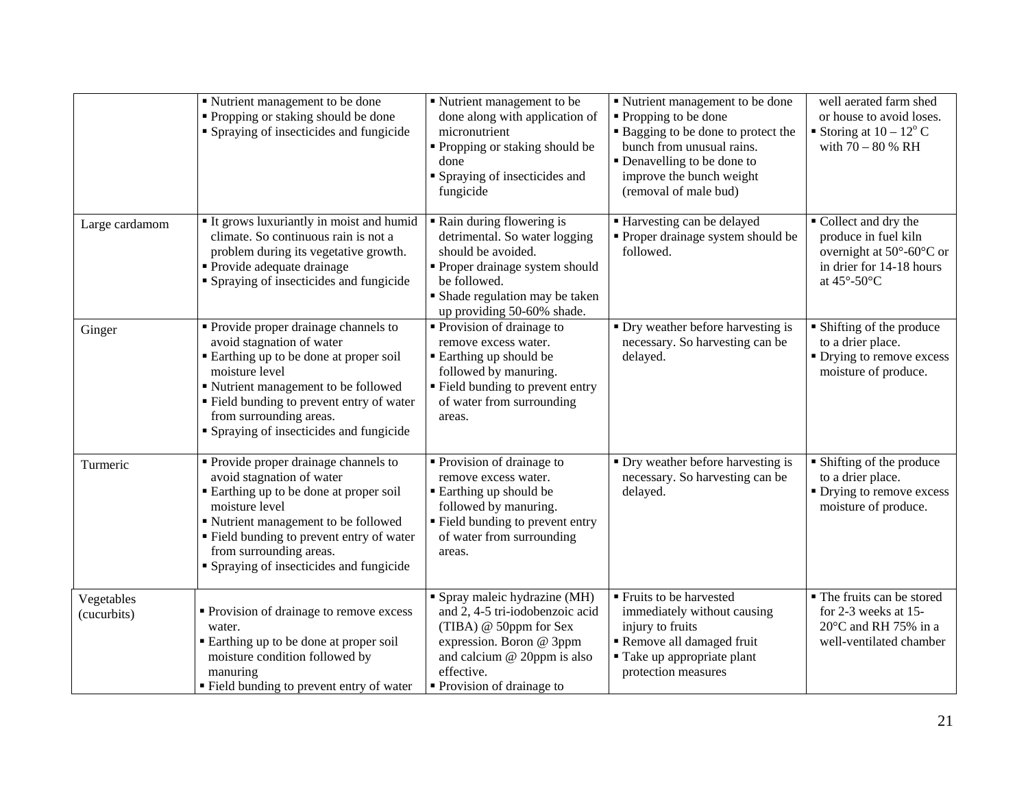|                           | ■ Nutrient management to be done<br>• Propping or staking should be done<br>• Spraying of insecticides and fungicide                                                                                                                                                                        | Nutrient management to be<br>done along with application of<br>micronutrient<br>Propping or staking should be<br>done<br>Spraying of insecticides and<br>fungicide                                | ■ Nutrient management to be done<br>• Propping to be done<br>• Bagging to be done to protect the<br>bunch from unusual rains.<br>• Denavelling to be done to<br>improve the bunch weight<br>(removal of male bud) | well aerated farm shed<br>or house to avoid loses.<br>Storing at $10 - 12^{\circ}$ C<br>with $70 - 80$ % RH        |
|---------------------------|---------------------------------------------------------------------------------------------------------------------------------------------------------------------------------------------------------------------------------------------------------------------------------------------|---------------------------------------------------------------------------------------------------------------------------------------------------------------------------------------------------|-------------------------------------------------------------------------------------------------------------------------------------------------------------------------------------------------------------------|--------------------------------------------------------------------------------------------------------------------|
| Large cardamom            | It grows luxuriantly in moist and humid<br>climate. So continuous rain is not a<br>problem during its vegetative growth.<br>• Provide adequate drainage<br>• Spraying of insecticides and fungicide                                                                                         | Rain during flowering is<br>detrimental. So water logging<br>should be avoided.<br>Proper drainage system should<br>be followed.<br>• Shade regulation may be taken<br>up providing 50-60% shade. | ■ Harvesting can be delayed<br>• Proper drainage system should be<br>followed.                                                                                                                                    | Collect and dry the<br>produce in fuel kiln<br>overnight at 50°-60°C or<br>in drier for 14-18 hours<br>at 45°-50°C |
| Ginger                    | • Provide proper drainage channels to<br>avoid stagnation of water<br>■ Earthing up to be done at proper soil<br>moisture level<br>■ Nutrient management to be followed<br>" Field bunding to prevent entry of water<br>from surrounding areas.<br>• Spraying of insecticides and fungicide | • Provision of drainage to<br>remove excess water.<br>■ Earthing up should be<br>followed by manuring.<br>" Field bunding to prevent entry<br>of water from surrounding<br>areas.                 | • Dry weather before harvesting is<br>necessary. So harvesting can be<br>delayed.                                                                                                                                 | • Shifting of the produce<br>to a drier place.<br>• Drying to remove excess<br>moisture of produce.                |
| Turmeric                  | • Provide proper drainage channels to<br>avoid stagnation of water<br>■ Earthing up to be done at proper soil<br>moisture level<br>" Nutrient management to be followed<br>• Field bunding to prevent entry of water<br>from surrounding areas.<br>• Spraying of insecticides and fungicide | Provision of drainage to<br>remove excess water.<br><b>Earthing up should be</b><br>followed by manuring.<br>" Field bunding to prevent entry<br>of water from surrounding<br>areas.              | • Dry weather before harvesting is<br>necessary. So harvesting can be<br>delayed.                                                                                                                                 | • Shifting of the produce<br>to a drier place.<br>• Drying to remove excess<br>moisture of produce.                |
| Vegetables<br>(cucurbits) | Provision of drainage to remove excess<br>water.<br>• Earthing up to be done at proper soil<br>moisture condition followed by<br>manuring<br>" Field bunding to prevent entry of water                                                                                                      | • Spray maleic hydrazine (MH)<br>and 2, 4-5 tri-iodobenzoic acid<br>(TIBA) @ 50ppm for Sex<br>expression. Boron @ 3ppm<br>and calcium @ 20ppm is also<br>effective.<br>• Provision of drainage to | • Fruits to be harvested<br>immediately without causing<br>injury to fruits<br>Remove all damaged fruit<br>■ Take up appropriate plant<br>protection measures                                                     | • The fruits can be stored<br>for 2-3 weeks at 15-<br>20°C and RH 75% in a<br>well-ventilated chamber              |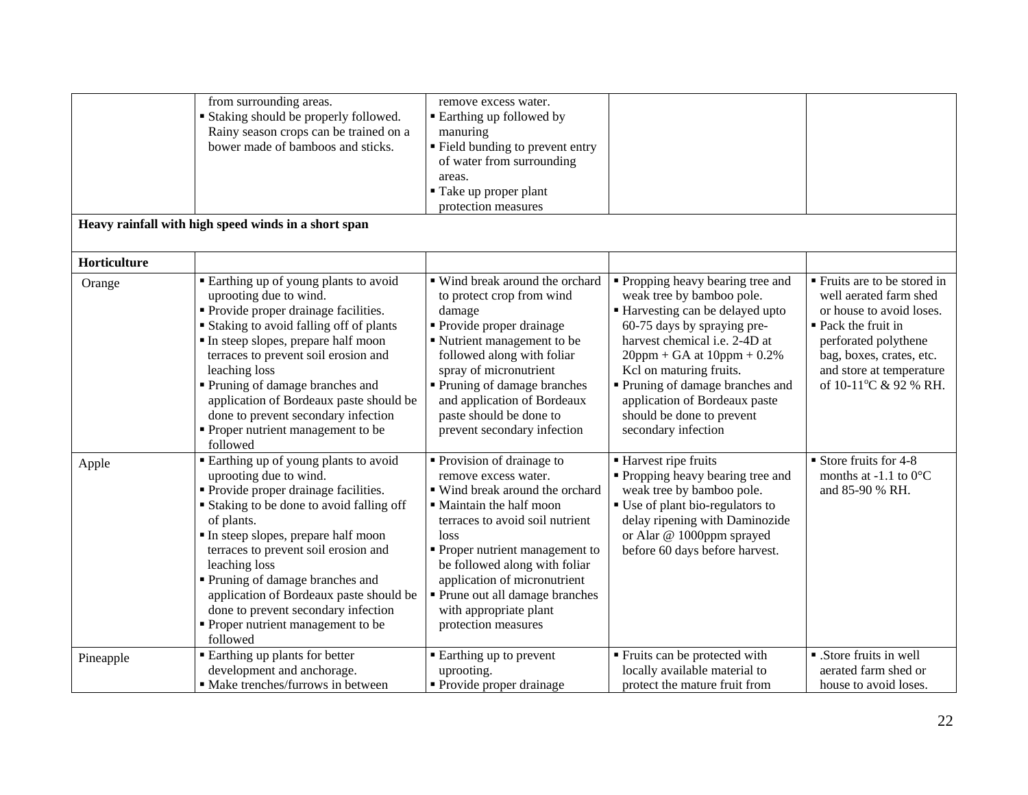|                        | from surrounding areas.<br>Staking should be properly followed.<br>Rainy season crops can be trained on a<br>bower made of bamboos and sticks.<br>Heavy rainfall with high speed winds in a short span                                                                                                                                                                                                                                      | remove excess water.<br><b>Earthing up followed by</b><br>manuring<br>" Field bunding to prevent entry<br>of water from surrounding<br>areas.<br>Take up proper plant<br>protection measures                                                                                                                                                         |                                                                                                                                                                                                                                                                                                                                                        |                                                                                                                                                                                                                    |
|------------------------|---------------------------------------------------------------------------------------------------------------------------------------------------------------------------------------------------------------------------------------------------------------------------------------------------------------------------------------------------------------------------------------------------------------------------------------------|------------------------------------------------------------------------------------------------------------------------------------------------------------------------------------------------------------------------------------------------------------------------------------------------------------------------------------------------------|--------------------------------------------------------------------------------------------------------------------------------------------------------------------------------------------------------------------------------------------------------------------------------------------------------------------------------------------------------|--------------------------------------------------------------------------------------------------------------------------------------------------------------------------------------------------------------------|
|                        |                                                                                                                                                                                                                                                                                                                                                                                                                                             |                                                                                                                                                                                                                                                                                                                                                      |                                                                                                                                                                                                                                                                                                                                                        |                                                                                                                                                                                                                    |
| Horticulture<br>Orange | • Earthing up of young plants to avoid<br>uprooting due to wind.<br>• Provide proper drainage facilities.<br><b>Staking to avoid falling off of plants</b><br>In steep slopes, prepare half moon<br>terraces to prevent soil erosion and<br>leaching loss<br>Pruning of damage branches and<br>application of Bordeaux paste should be<br>done to prevent secondary infection<br>• Proper nutrient management to be<br>followed             | ■ Wind break around the orchard<br>to protect crop from wind<br>damage<br>• Provide proper drainage<br>Nutrient management to be<br>followed along with foliar<br>spray of micronutrient<br>• Pruning of damage branches<br>and application of Bordeaux<br>paste should be done to<br>prevent secondary infection                                    | • Propping heavy bearing tree and<br>weak tree by bamboo pole.<br>Harvesting can be delayed upto<br>60-75 days by spraying pre-<br>harvest chemical i.e. 2-4D at<br>$20$ ppm + GA at $10$ ppm + 0.2%<br>Kcl on maturing fruits.<br>Pruning of damage branches and<br>application of Bordeaux paste<br>should be done to prevent<br>secondary infection | ■ Fruits are to be stored in<br>well aerated farm shed<br>or house to avoid loses.<br>■ Pack the fruit in<br>perforated polythene<br>bag, boxes, crates, etc.<br>and store at temperature<br>of 10-11°C & 92 % RH. |
| Apple                  | • Earthing up of young plants to avoid<br>uprooting due to wind.<br>• Provide proper drainage facilities.<br>• Staking to be done to avoid falling off<br>of plants.<br>In steep slopes, prepare half moon<br>terraces to prevent soil erosion and<br>leaching loss<br>• Pruning of damage branches and<br>application of Bordeaux paste should be<br>done to prevent secondary infection<br>• Proper nutrient management to be<br>followed | • Provision of drainage to<br>remove excess water.<br>■ Wind break around the orchard<br>• Maintain the half moon<br>terraces to avoid soil nutrient<br>loss<br>• Proper nutrient management to<br>be followed along with foliar<br>application of micronutrient<br>• Prune out all damage branches<br>with appropriate plant<br>protection measures | Harvest ripe fruits<br>• Propping heavy bearing tree and<br>weak tree by bamboo pole.<br>• Use of plant bio-regulators to<br>delay ripening with Daminozide<br>or Alar @ 1000ppm sprayed<br>before 60 days before harvest.                                                                                                                             | Store fruits for 4-8<br>months at -1.1 to $0^{\circ}$ C<br>and 85-90 % RH.                                                                                                                                         |
| Pineapple              | <b>Earthing up plants for better</b><br>development and anchorage.<br>· Make trenches/furrows in between                                                                                                                                                                                                                                                                                                                                    | • Earthing up to prevent<br>uprooting.<br>• Provide proper drainage                                                                                                                                                                                                                                                                                  | Fruits can be protected with<br>locally available material to<br>protect the mature fruit from                                                                                                                                                                                                                                                         | • Store fruits in well<br>aerated farm shed or<br>house to avoid loses.                                                                                                                                            |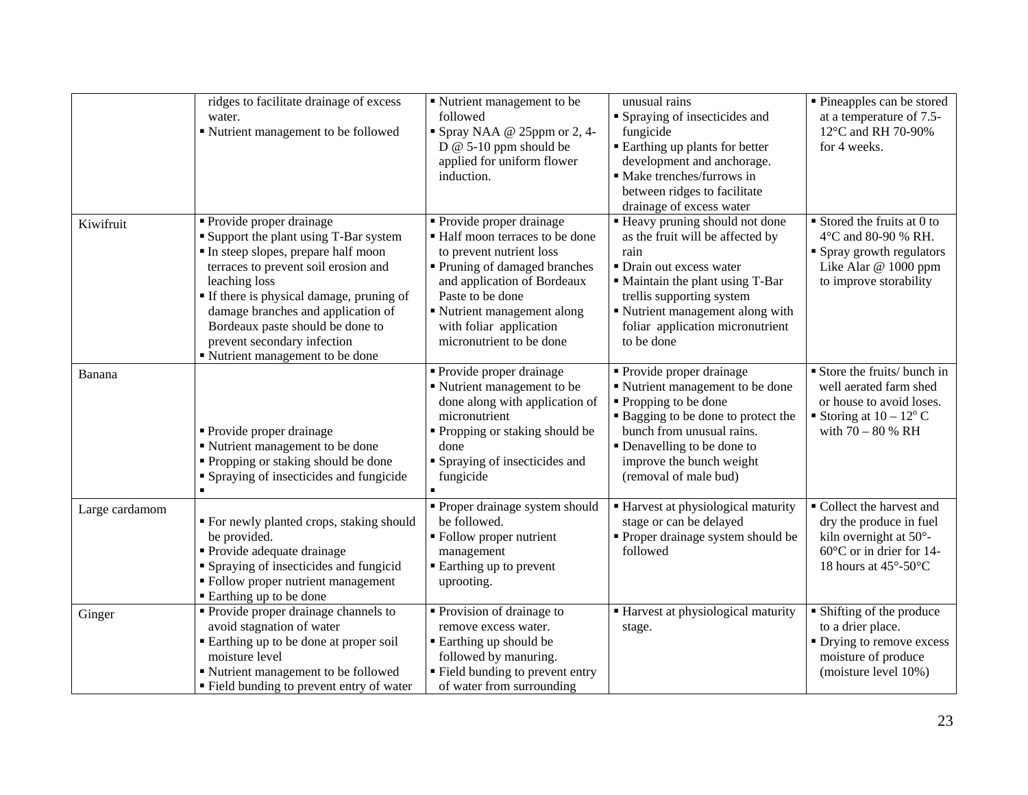|                | ridges to facilitate drainage of excess<br>water.<br>Nutrient management to be followed                                                                                                                                                                                                                                                                         | • Nutrient management to be<br>followed<br>$\blacksquare$ Spray NAA @ 25ppm or 2, 4-<br>$D \& 5-10$ ppm should be<br>applied for uniform flower<br>induction.                                                                                                  | unusual rains<br>• Spraying of insecticides and<br>fungicide<br><b>Earthing up plants for better</b><br>development and anchorage.<br>• Make trenches/furrows in<br>between ridges to facilitate<br>drainage of excess water                                 | • Pineapples can be stored<br>at a temperature of 7.5-<br>12°C and RH 70-90%<br>for 4 weeks.                                                   |
|----------------|-----------------------------------------------------------------------------------------------------------------------------------------------------------------------------------------------------------------------------------------------------------------------------------------------------------------------------------------------------------------|----------------------------------------------------------------------------------------------------------------------------------------------------------------------------------------------------------------------------------------------------------------|--------------------------------------------------------------------------------------------------------------------------------------------------------------------------------------------------------------------------------------------------------------|------------------------------------------------------------------------------------------------------------------------------------------------|
| Kiwifruit      | • Provide proper drainage<br><b>Support the plant using T-Bar system</b><br>In steep slopes, prepare half moon<br>terraces to prevent soil erosion and<br>leaching loss<br>If there is physical damage, pruning of<br>damage branches and application of<br>Bordeaux paste should be done to<br>prevent secondary infection<br>" Nutrient management to be done | • Provide proper drainage<br>• Half moon terraces to be done<br>to prevent nutrient loss<br>Pruning of damaged branches<br>and application of Bordeaux<br>Paste to be done<br>Nutrient management along<br>with foliar application<br>micronutrient to be done | " Heavy pruning should not done<br>as the fruit will be affected by<br>rain<br>• Drain out excess water<br>" Maintain the plant using T-Bar<br>trellis supporting system<br>Nutrient management along with<br>foliar application micronutrient<br>to be done | $\blacksquare$ Stored the fruits at 0 to<br>4°C and 80-90 % RH.<br>• Spray growth regulators<br>Like Alar @ 1000 ppm<br>to improve storability |
| Banana         | • Provide proper drainage<br>Nutrient management to be done<br>" Propping or staking should be done<br>• Spraying of insecticides and fungicide                                                                                                                                                                                                                 | • Provide proper drainage<br>• Nutrient management to be<br>done along with application of<br>micronutrient<br>• Propping or staking should be<br>done<br>• Spraying of insecticides and<br>fungicide                                                          | • Provide proper drainage<br>Nutrient management to be done<br>• Propping to be done<br><b>Bagging to be done to protect the</b><br>bunch from unusual rains.<br>• Denavelling to be done to<br>improve the bunch weight<br>(removal of male bud)            | Store the fruits/ bunch in<br>well aerated farm shed<br>or house to avoid loses.<br>Storing at $10 - 12^{\circ}$ C<br>with $70 - 80$ % RH      |
| Large cardamom | " For newly planted crops, staking should<br>be provided.<br>• Provide adequate drainage<br>• Spraying of insecticides and fungicid<br>• Follow proper nutrient management<br>■ Earthing up to be done                                                                                                                                                          | • Proper drainage system should<br>be followed.<br>• Follow proper nutrient<br>management<br><b>Earthing up to prevent</b><br>uprooting.                                                                                                                       | <b>Harvest at physiological maturity</b><br>stage or can be delayed<br>• Proper drainage system should be<br>followed                                                                                                                                        | Collect the harvest and<br>dry the produce in fuel<br>kiln overnight at 50°-<br>$60^{\circ}$ C or in drier for 14-<br>18 hours at 45°-50°C     |
| Ginger         | • Provide proper drainage channels to<br>avoid stagnation of water<br>Earthing up to be done at proper soil<br>moisture level<br>Nutrient management to be followed<br>" Field bunding to prevent entry of water                                                                                                                                                | Provision of drainage to<br>remove excess water.<br><b>Earthing up should be</b><br>followed by manuring.<br>" Field bunding to prevent entry<br>of water from surrounding                                                                                     | Harvest at physiological maturity<br>stage.                                                                                                                                                                                                                  | • Shifting of the produce<br>to a drier place.<br>• Drying to remove excess<br>moisture of produce<br>(moisture level 10%)                     |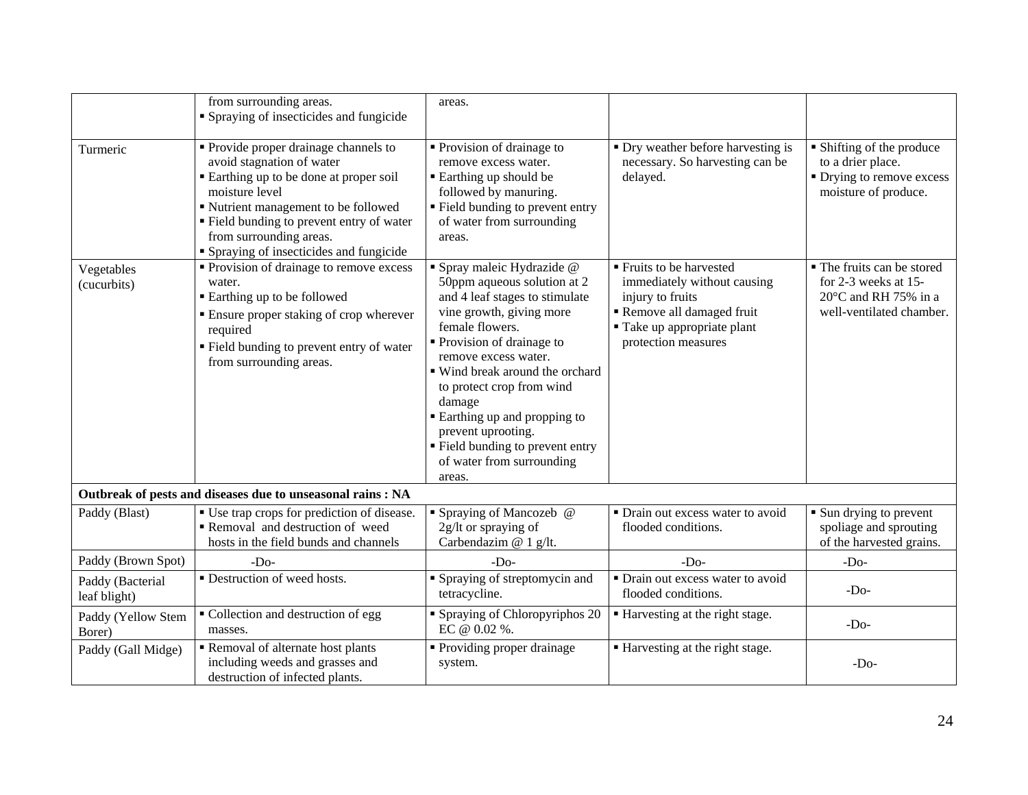|                                  | from surrounding areas.<br>• Spraying of insecticides and fungicide                                                                                                                                                                                                                     | areas.                                                                                                                                                                                                                                                                                                                                                                                                            |                                                                                                                                                               |                                                                                                        |
|----------------------------------|-----------------------------------------------------------------------------------------------------------------------------------------------------------------------------------------------------------------------------------------------------------------------------------------|-------------------------------------------------------------------------------------------------------------------------------------------------------------------------------------------------------------------------------------------------------------------------------------------------------------------------------------------------------------------------------------------------------------------|---------------------------------------------------------------------------------------------------------------------------------------------------------------|--------------------------------------------------------------------------------------------------------|
| Turmeric                         | • Provide proper drainage channels to<br>avoid stagnation of water<br>Earthing up to be done at proper soil<br>moisture level<br>Nutrient management to be followed<br>• Field bunding to prevent entry of water<br>from surrounding areas.<br>• Spraying of insecticides and fungicide | Provision of drainage to<br>remove excess water.<br>■ Earthing up should be<br>followed by manuring.<br>" Field bunding to prevent entry<br>of water from surrounding<br>areas.                                                                                                                                                                                                                                   | • Dry weather before harvesting is<br>necessary. So harvesting can be<br>delayed.                                                                             | • Shifting of the produce<br>to a drier place.<br>• Drying to remove excess<br>moisture of produce.    |
| Vegetables<br>(cucurbits)        | Provision of drainage to remove excess<br>water.<br><b>Earthing up to be followed</b><br><b>Ensure proper staking of crop wherever</b><br>required<br>Field bunding to prevent entry of water<br>from surrounding areas.                                                                | · Spray maleic Hydrazide @<br>50ppm aqueous solution at 2<br>and 4 leaf stages to stimulate<br>vine growth, giving more<br>female flowers.<br>• Provision of drainage to<br>remove excess water.<br>■ Wind break around the orchard<br>to protect crop from wind<br>damage<br><b>Earthing up and propping to</b><br>prevent uprooting.<br>• Field bunding to prevent entry<br>of water from surrounding<br>areas. | ■ Fruits to be harvested<br>immediately without causing<br>injury to fruits<br>Remove all damaged fruit<br>" Take up appropriate plant<br>protection measures | • The fruits can be stored<br>for 2-3 weeks at 15-<br>20°C and RH 75% in a<br>well-ventilated chamber. |
|                                  | Outbreak of pests and diseases due to unseasonal rains : NA                                                                                                                                                                                                                             |                                                                                                                                                                                                                                                                                                                                                                                                                   |                                                                                                                                                               |                                                                                                        |
| Paddy (Blast)                    | • Use trap crops for prediction of disease.<br>Removal and destruction of weed<br>hosts in the field bunds and channels                                                                                                                                                                 | • Spraying of Mancozeb @<br>2g/lt or spraying of<br>Carbendazim @ 1 g/lt.                                                                                                                                                                                                                                                                                                                                         | • Drain out excess water to avoid<br>flooded conditions.                                                                                                      | • Sun drying to prevent<br>spoliage and sprouting<br>of the harvested grains.                          |
| Paddy (Brown Spot)               | $-D0$                                                                                                                                                                                                                                                                                   | $-D0$                                                                                                                                                                                                                                                                                                                                                                                                             | $-Do-$                                                                                                                                                        | $-Do-$                                                                                                 |
| Paddy (Bacterial<br>leaf blight) | • Destruction of weed hosts.                                                                                                                                                                                                                                                            | Spraying of streptomycin and<br>tetracycline.                                                                                                                                                                                                                                                                                                                                                                     | • Drain out excess water to avoid<br>flooded conditions.                                                                                                      | $-Do-$                                                                                                 |
| Paddy (Yellow Stem<br>Borer)     | • Collection and destruction of egg<br>masses.                                                                                                                                                                                                                                          | • Spraying of Chloropyriphos 20<br>EC @ 0.02 %.                                                                                                                                                                                                                                                                                                                                                                   | Harvesting at the right stage.                                                                                                                                | $-Do-$                                                                                                 |
| Paddy (Gall Midge)               | Removal of alternate host plants<br>including weeds and grasses and<br>destruction of infected plants.                                                                                                                                                                                  | • Providing proper drainage<br>system.                                                                                                                                                                                                                                                                                                                                                                            | ■ Harvesting at the right stage.                                                                                                                              | $-Do-$                                                                                                 |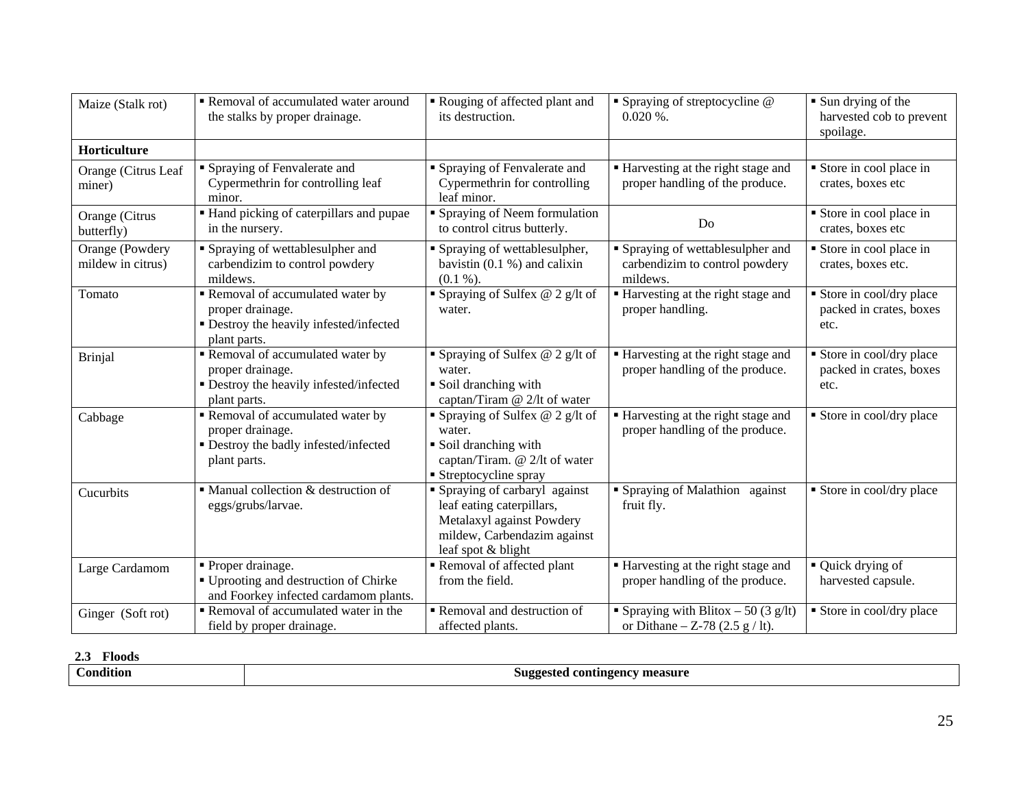| Maize (Stalk rot)                    | Removal of accumulated water around<br>the stalks by proper drainage.                                          | Rouging of affected plant and<br>its destruction.                                                                                             | $\blacksquare$ Spraying of streptocycline $@$<br>$0.020\%$ .                    | $\blacksquare$ Sun drying of the<br>harvested cob to prevent<br>spoilage. |
|--------------------------------------|----------------------------------------------------------------------------------------------------------------|-----------------------------------------------------------------------------------------------------------------------------------------------|---------------------------------------------------------------------------------|---------------------------------------------------------------------------|
| Horticulture                         |                                                                                                                |                                                                                                                                               |                                                                                 |                                                                           |
| Orange (Citrus Leaf<br>miner)        | • Spraying of Fenvalerate and<br>Cypermethrin for controlling leaf<br>minor.                                   | • Spraying of Fenvalerate and<br>Cypermethrin for controlling<br>leaf minor.                                                                  | • Harvesting at the right stage and<br>proper handling of the produce.          | Store in cool place in<br>crates, boxes etc                               |
| Orange (Citrus<br>butterfly)         | Hand picking of caterpillars and pupae<br>in the nursery.                                                      | • Spraying of Neem formulation<br>to control citrus butterly.                                                                                 | Do                                                                              | Store in cool place in<br>crates, boxes etc                               |
| Orange (Powdery<br>mildew in citrus) | • Spraying of wettablesulpher and<br>carbendizim to control powdery<br>mildews.                                | • Spraying of wettablesulpher,<br>bavistin $(0.1 \%)$ and calixin<br>$(0.1\%).$                                                               | • Spraying of wettablesulpher and<br>carbendizim to control powdery<br>mildews. | Store in cool place in<br>crates, boxes etc.                              |
| Tomato                               | Removal of accumulated water by<br>proper drainage.<br>• Destroy the heavily infested/infected<br>plant parts. | Spraying of Sulfex $@$ 2 g/lt of<br>water.                                                                                                    | ■ Harvesting at the right stage and<br>proper handling.                         | Store in cool/dry place<br>packed in crates, boxes<br>etc.                |
| <b>Brinjal</b>                       | Removal of accumulated water by<br>proper drainage.<br>• Destroy the heavily infested/infected<br>plant parts. | Spraying of Sulfex $@$ 2 g/lt of<br>water.<br>Soil dranching with<br>captan/Tiram @ 2/lt of water                                             | Harvesting at the right stage and<br>proper handling of the produce.            | Store in cool/dry place<br>packed in crates, boxes<br>etc.                |
| Cabbage                              | Removal of accumulated water by<br>proper drainage.<br>• Destroy the badly infested/infected<br>plant parts.   | Spraying of Sulfex $@$ 2 g/lt of<br>water.<br>• Soil dranching with<br>captan/Tiram. @ 2/lt of water<br>■ Streptocycline spray                | ■ Harvesting at the right stage and<br>proper handling of the produce.          | Store in cool/dry place                                                   |
| Cucurbits                            | $\blacksquare$ Manual collection & destruction of<br>eggs/grubs/larvae.                                        | • Spraying of carbaryl against<br>leaf eating caterpillars,<br>Metalaxyl against Powdery<br>mildew, Carbendazim against<br>leaf spot & blight | • Spraying of Malathion against<br>fruit fly.                                   | Store in cool/dry place                                                   |
| Large Cardamom                       | • Proper drainage.<br>" Uprooting and destruction of Chirke<br>and Foorkey infected cardamom plants.           | Removal of affected plant<br>from the field.                                                                                                  | • Harvesting at the right stage and<br>proper handling of the produce.          | • Quick drying of<br>harvested capsule.                                   |
| Ginger (Soft rot)                    | Removal of accumulated water in the<br>field by proper drainage.                                               | Removal and destruction of<br>affected plants.                                                                                                | • Spraying with Blitox – 50 (3 g/lt)<br>or Dithane $- Z$ -78 (2.5 g / lt).      | Store in cool/dry place                                                   |

# **2.3 Floods**

| $\cdots$<br>ondition | <b>contingency measure</b><br>Suggested<br>-- |
|----------------------|-----------------------------------------------|
|                      |                                               |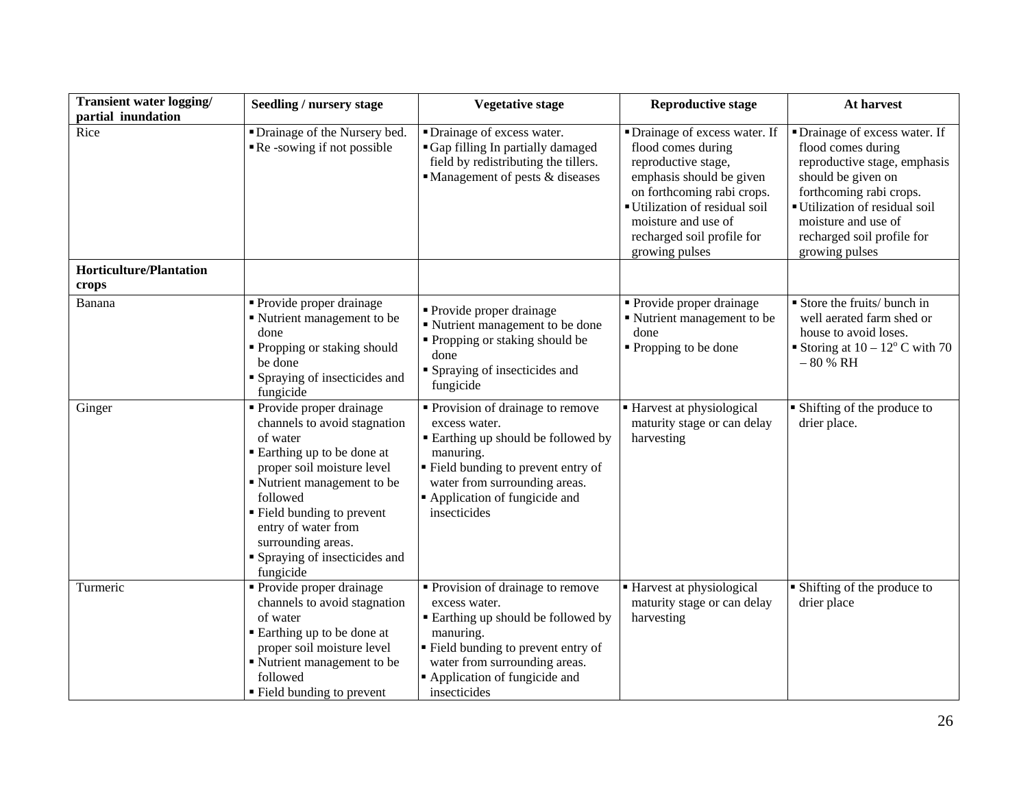| <b>Transient water logging/</b><br>partial inundation | <b>Seedling / nursery stage</b>                                                                                                                                                                                                                                                                       | <b>Vegetative stage</b>                                                                                                                                                                                                           | <b>Reproductive stage</b>                                                                                                                                                                                                                    | At harvest                                                                                                                                                                                                                                   |
|-------------------------------------------------------|-------------------------------------------------------------------------------------------------------------------------------------------------------------------------------------------------------------------------------------------------------------------------------------------------------|-----------------------------------------------------------------------------------------------------------------------------------------------------------------------------------------------------------------------------------|----------------------------------------------------------------------------------------------------------------------------------------------------------------------------------------------------------------------------------------------|----------------------------------------------------------------------------------------------------------------------------------------------------------------------------------------------------------------------------------------------|
| Rice                                                  | • Drainage of the Nursery bed.<br>Re-sowing if not possible                                                                                                                                                                                                                                           | • Drainage of excess water.<br>Gap filling In partially damaged<br>field by redistributing the tillers.<br>Management of pests & diseases                                                                                         | • Drainage of excess water. If<br>flood comes during<br>reproductive stage,<br>emphasis should be given<br>on forthcoming rabi crops.<br>Utilization of residual soil<br>moisture and use of<br>recharged soil profile for<br>growing pulses | • Drainage of excess water. If<br>flood comes during<br>reproductive stage, emphasis<br>should be given on<br>forthcoming rabi crops.<br>Utilization of residual soil<br>moisture and use of<br>recharged soil profile for<br>growing pulses |
| <b>Horticulture/Plantation</b><br>crops               |                                                                                                                                                                                                                                                                                                       |                                                                                                                                                                                                                                   |                                                                                                                                                                                                                                              |                                                                                                                                                                                                                                              |
| Banana                                                | Provide proper drainage<br>Kutrient management to be<br>done<br>• Propping or staking should<br>be done<br>• Spraying of insecticides and<br>fungicide                                                                                                                                                | • Provide proper drainage<br>" Nutrient management to be done<br>• Propping or staking should be<br>done<br>• Spraying of insecticides and<br>fungicide                                                                           | • Provide proper drainage<br>Nutrient management to be<br>done<br>• Propping to be done                                                                                                                                                      | Store the fruits/ bunch in<br>well aerated farm shed or<br>house to avoid loses.<br>Storing at $10 - 12^{\circ}$ C with 70<br>$-80$ % RH                                                                                                     |
| Ginger                                                | • Provide proper drainage<br>channels to avoid stagnation<br>of water<br>■ Earthing up to be done at<br>proper soil moisture level<br>Kutrient management to be<br>followed<br>■ Field bunding to prevent<br>entry of water from<br>surrounding areas.<br>• Spraying of insecticides and<br>fungicide | • Provision of drainage to remove<br>excess water.<br>Earthing up should be followed by<br>manuring.<br>" Field bunding to prevent entry of<br>water from surrounding areas.<br>Application of fungicide and<br>insecticides      | Harvest at physiological<br>maturity stage or can delay<br>harvesting                                                                                                                                                                        | • Shifting of the produce to<br>drier place.                                                                                                                                                                                                 |
| Turmeric                                              | • Provide proper drainage<br>channels to avoid stagnation<br>of water<br>■ Earthing up to be done at<br>proper soil moisture level<br>Kutrient management to be<br>followed<br>• Field bunding to prevent                                                                                             | • Provision of drainage to remove<br>excess water.<br><b>Earthing up should be followed by</b><br>manuring.<br>Field bunding to prevent entry of<br>water from surrounding areas.<br>Application of fungicide and<br>insecticides | ■ Harvest at physiological<br>maturity stage or can delay<br>harvesting                                                                                                                                                                      | • Shifting of the produce to<br>drier place                                                                                                                                                                                                  |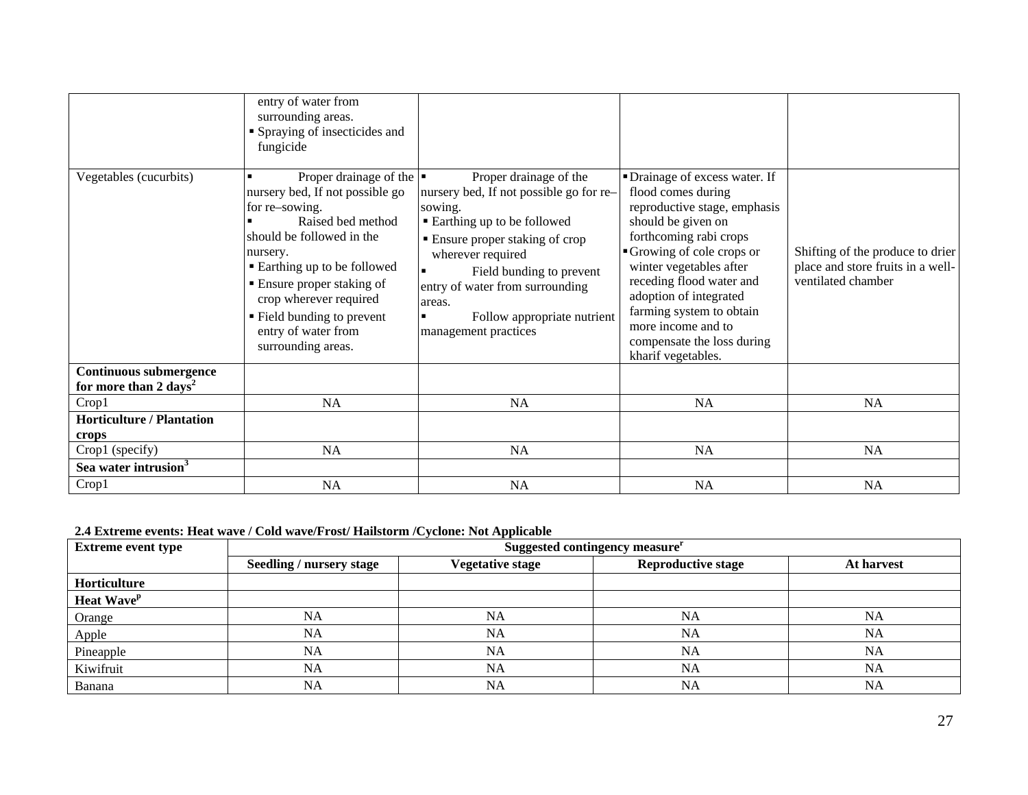|                                                                    | entry of water from<br>surrounding areas.<br>• Spraying of insecticides and<br>fungicide                                                                                                                                                                                                                                           |                                                                                                                                                                                                                                                                                                           |                                                                                                                                                                                                                                                                                                                                                         |                                                                                             |
|--------------------------------------------------------------------|------------------------------------------------------------------------------------------------------------------------------------------------------------------------------------------------------------------------------------------------------------------------------------------------------------------------------------|-----------------------------------------------------------------------------------------------------------------------------------------------------------------------------------------------------------------------------------------------------------------------------------------------------------|---------------------------------------------------------------------------------------------------------------------------------------------------------------------------------------------------------------------------------------------------------------------------------------------------------------------------------------------------------|---------------------------------------------------------------------------------------------|
| Vegetables (cucurbits)                                             | Proper drainage of the $\vert \bullet \vert$<br>nursery bed, If not possible go<br>for re-sowing.<br>Raised bed method<br>should be followed in the<br>nursery.<br>■ Earthing up to be followed<br>• Ensure proper staking of<br>crop wherever required<br>• Field bunding to prevent<br>entry of water from<br>surrounding areas. | Proper drainage of the<br>nursery bed, If not possible go for re-<br>sowing.<br>■ Earthing up to be followed<br>■ Ensure proper staking of crop<br>wherever required<br>Field bunding to prevent<br>entry of water from surrounding<br>areas.<br>Follow appropriate nutrient<br>٠<br>management practices | • Drainage of excess water. If<br>flood comes during<br>reproductive stage, emphasis<br>should be given on<br>forthcoming rabi crops<br>Growing of cole crops or<br>winter vegetables after<br>receding flood water and<br>adoption of integrated<br>farming system to obtain<br>more income and to<br>compensate the loss during<br>kharif vegetables. | Shifting of the produce to drier<br>place and store fruits in a well-<br>ventilated chamber |
| <b>Continuous submergence</b><br>for more than 2 days <sup>2</sup> |                                                                                                                                                                                                                                                                                                                                    |                                                                                                                                                                                                                                                                                                           |                                                                                                                                                                                                                                                                                                                                                         |                                                                                             |
| Crop1                                                              | NA                                                                                                                                                                                                                                                                                                                                 | NA                                                                                                                                                                                                                                                                                                        | NA                                                                                                                                                                                                                                                                                                                                                      | NA                                                                                          |
| <b>Horticulture / Plantation</b><br>crops                          |                                                                                                                                                                                                                                                                                                                                    |                                                                                                                                                                                                                                                                                                           |                                                                                                                                                                                                                                                                                                                                                         |                                                                                             |
| Crop1 (specify)                                                    | <b>NA</b>                                                                                                                                                                                                                                                                                                                          | <b>NA</b>                                                                                                                                                                                                                                                                                                 | <b>NA</b>                                                                                                                                                                                                                                                                                                                                               | <b>NA</b>                                                                                   |
| Sea water intrusion <sup>3</sup>                                   |                                                                                                                                                                                                                                                                                                                                    |                                                                                                                                                                                                                                                                                                           |                                                                                                                                                                                                                                                                                                                                                         |                                                                                             |
| Crop1                                                              | NA                                                                                                                                                                                                                                                                                                                                 | NA                                                                                                                                                                                                                                                                                                        | NA                                                                                                                                                                                                                                                                                                                                                      | NA                                                                                          |

**2.4 Extreme events: Heat wave / Cold wave/Frost/ Hailstorm /Cyclone: Not Applicable**

| <b>Extreme event type</b> | . A set of the set of the set of the set of the set of the set of the set of $\mathbf{H}$ , then the<br>Suggested contingency measure <sup>r</sup> |                         |                           |            |
|---------------------------|----------------------------------------------------------------------------------------------------------------------------------------------------|-------------------------|---------------------------|------------|
|                           | <b>Seedling / nursery stage</b>                                                                                                                    | <b>Vegetative stage</b> | <b>Reproductive stage</b> | At harvest |
| Horticulture              |                                                                                                                                                    |                         |                           |            |
| Heat Wave <sup>p</sup>    |                                                                                                                                                    |                         |                           |            |
| Orange                    | <b>NA</b>                                                                                                                                          | <b>NA</b>               | <b>NA</b>                 | NA         |
| Apple                     | <b>NA</b>                                                                                                                                          | NA                      | <b>NA</b>                 | <b>NA</b>  |
| Pineapple                 | <b>NA</b>                                                                                                                                          | NA                      | NA                        | NA         |
| Kiwifruit                 | <b>NA</b>                                                                                                                                          | NA                      | <b>NA</b>                 | <b>NA</b>  |
| Banana                    | <b>NA</b>                                                                                                                                          | NA                      | <b>NA</b>                 | NA         |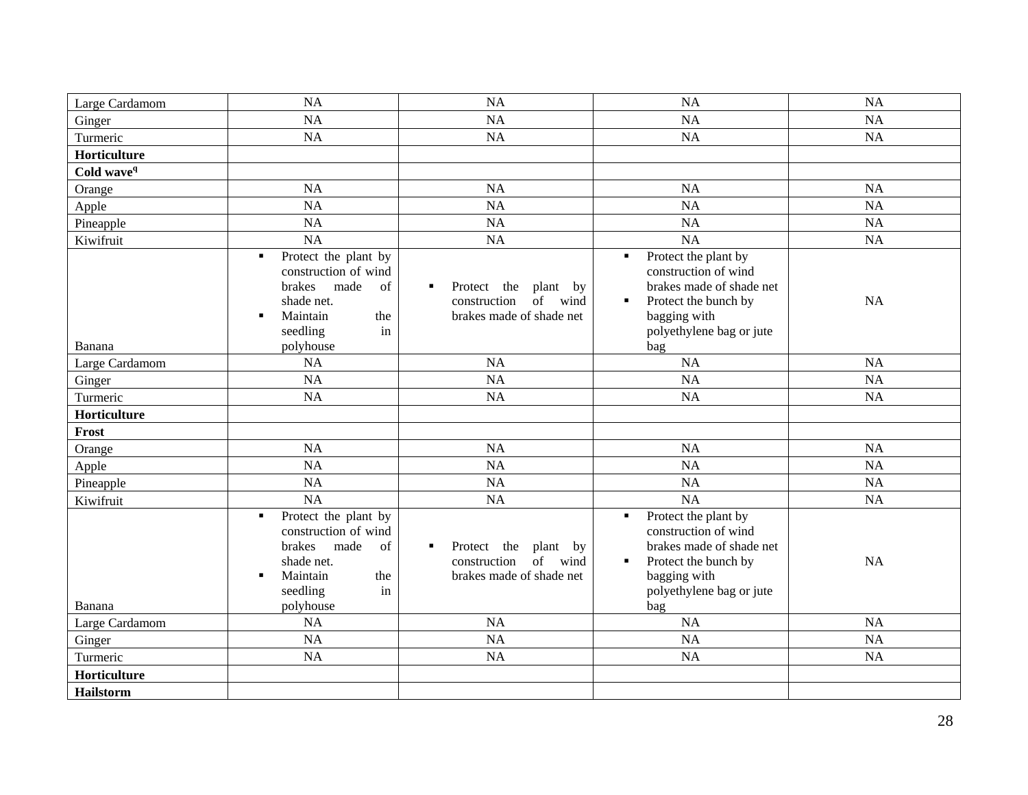| Large Cardamom         | <b>NA</b>                                                                                                                                                                | <b>NA</b>                                                                                        | NA                                                                                                                                                                                      | NA        |
|------------------------|--------------------------------------------------------------------------------------------------------------------------------------------------------------------------|--------------------------------------------------------------------------------------------------|-----------------------------------------------------------------------------------------------------------------------------------------------------------------------------------------|-----------|
| Ginger                 | <b>NA</b>                                                                                                                                                                | NA                                                                                               | NA                                                                                                                                                                                      | <b>NA</b> |
| Turmeric               | <b>NA</b>                                                                                                                                                                | NA                                                                                               | NA                                                                                                                                                                                      | NA        |
| Horticulture           |                                                                                                                                                                          |                                                                                                  |                                                                                                                                                                                         |           |
| Cold wave <sup>q</sup> |                                                                                                                                                                          |                                                                                                  |                                                                                                                                                                                         |           |
| Orange                 | <b>NA</b>                                                                                                                                                                | NA                                                                                               | <b>NA</b>                                                                                                                                                                               | NA        |
| Apple                  | <b>NA</b>                                                                                                                                                                | NA                                                                                               | NA                                                                                                                                                                                      | NA        |
| Pineapple              | NA                                                                                                                                                                       | <b>NA</b>                                                                                        | NA                                                                                                                                                                                      | NA        |
| Kiwifruit              | <b>NA</b>                                                                                                                                                                | <b>NA</b>                                                                                        | NA                                                                                                                                                                                      | NA        |
| Banana                 | Protect the plant by<br>$\blacksquare$<br>construction of wind<br>brakes<br>of<br>made<br>shade net.<br>Maintain<br>the<br>$\blacksquare$<br>seedling<br>in<br>polyhouse | Protect the<br>plant by<br>of wind<br>construction<br>brakes made of shade net                   | Protect the plant by<br>$\blacksquare$<br>construction of wind<br>brakes made of shade net<br>Protect the bunch by<br>٠<br>bagging with<br>polyethylene bag or jute<br>bag              | NA        |
| Large Cardamom         | <b>NA</b>                                                                                                                                                                | <b>NA</b>                                                                                        | NA                                                                                                                                                                                      | NA        |
| Ginger                 | <b>NA</b>                                                                                                                                                                | <b>NA</b>                                                                                        | NA                                                                                                                                                                                      | <b>NA</b> |
| Turmeric               | <b>NA</b>                                                                                                                                                                | <b>NA</b>                                                                                        | NA                                                                                                                                                                                      | NA        |
| Horticulture           |                                                                                                                                                                          |                                                                                                  |                                                                                                                                                                                         |           |
| Frost                  |                                                                                                                                                                          |                                                                                                  |                                                                                                                                                                                         |           |
| Orange                 | <b>NA</b>                                                                                                                                                                | <b>NA</b>                                                                                        | NA                                                                                                                                                                                      | NA        |
| Apple                  | <b>NA</b>                                                                                                                                                                | NA                                                                                               | NA                                                                                                                                                                                      | NA        |
| Pineapple              | NA                                                                                                                                                                       | <b>NA</b>                                                                                        | NA                                                                                                                                                                                      | NA        |
| Kiwifruit              | <b>NA</b>                                                                                                                                                                | <b>NA</b>                                                                                        | <b>NA</b>                                                                                                                                                                               | NA        |
| Banana                 | Protect the plant by<br>$\blacksquare$<br>construction of wind<br>brakes<br>made<br>of<br>shade net.<br>Maintain<br>the<br>$\blacksquare$<br>seedling<br>in<br>polyhouse | Protect the<br>plant by<br>$\blacksquare$<br>of wind<br>construction<br>brakes made of shade net | Protect the plant by<br>$\blacksquare$<br>construction of wind<br>brakes made of shade net<br>Protect the bunch by<br>$\blacksquare$<br>bagging with<br>polyethylene bag or jute<br>bag | NA        |
| Large Cardamom         | <b>NA</b>                                                                                                                                                                | <b>NA</b>                                                                                        | NA                                                                                                                                                                                      | NA        |
| Ginger                 | <b>NA</b>                                                                                                                                                                | <b>NA</b>                                                                                        | <b>NA</b>                                                                                                                                                                               | NA        |
| Turmeric               | NA                                                                                                                                                                       | <b>NA</b>                                                                                        | <b>NA</b>                                                                                                                                                                               | <b>NA</b> |
| Horticulture           |                                                                                                                                                                          |                                                                                                  |                                                                                                                                                                                         |           |
| <b>Hailstorm</b>       |                                                                                                                                                                          |                                                                                                  |                                                                                                                                                                                         |           |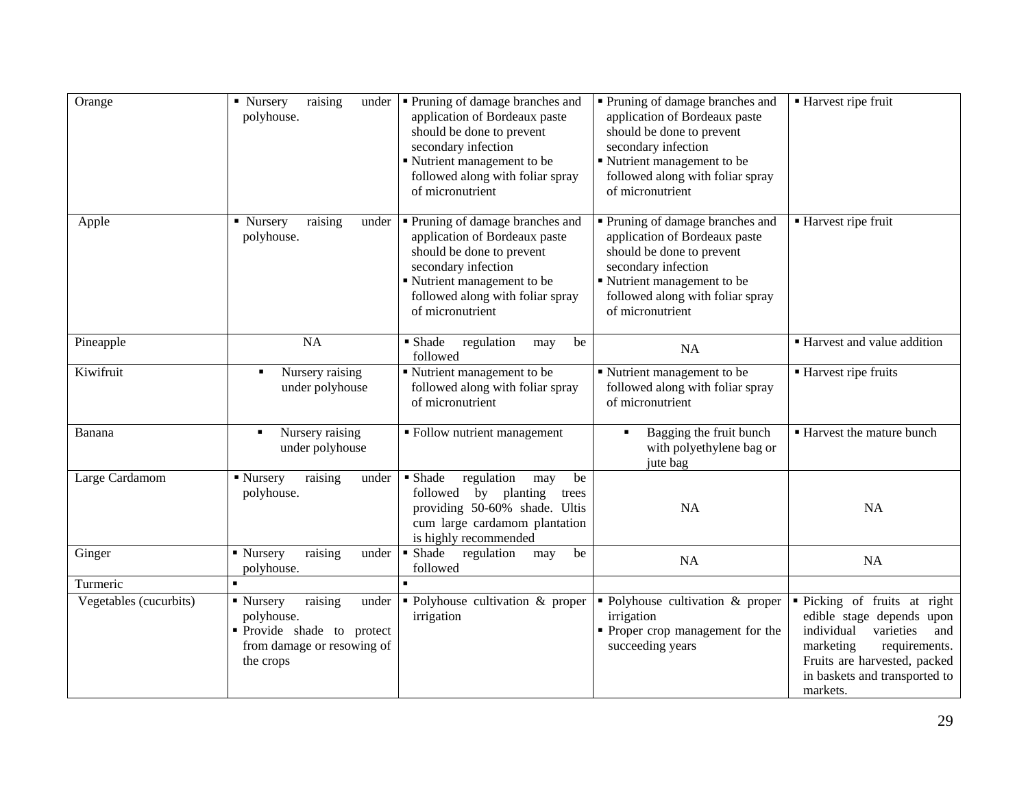| Orange                 | raising<br>• Nursery<br>under<br>polyhouse.                                                                          | • Pruning of damage branches and<br>application of Bordeaux paste<br>should be done to prevent<br>secondary infection<br>Nutrient management to be<br>followed along with foliar spray<br>of micronutrient | • Pruning of damage branches and<br>application of Bordeaux paste<br>should be done to prevent<br>secondary infection<br>Nutrient management to be<br>followed along with foliar spray<br>of micronutrient | ■ Harvest ripe fruit                                                                                                                                                                                   |
|------------------------|----------------------------------------------------------------------------------------------------------------------|------------------------------------------------------------------------------------------------------------------------------------------------------------------------------------------------------------|------------------------------------------------------------------------------------------------------------------------------------------------------------------------------------------------------------|--------------------------------------------------------------------------------------------------------------------------------------------------------------------------------------------------------|
| Apple                  | • Nursery<br>raising<br>under<br>polyhouse.                                                                          | " Pruning of damage branches and<br>application of Bordeaux paste<br>should be done to prevent<br>secondary infection<br>Nutrient management to be<br>followed along with foliar spray<br>of micronutrient | " Pruning of damage branches and<br>application of Bordeaux paste<br>should be done to prevent<br>secondary infection<br>Nutrient management to be<br>followed along with foliar spray<br>of micronutrient | ■ Harvest ripe fruit                                                                                                                                                                                   |
| Pineapple              | <b>NA</b>                                                                                                            | • Shade<br>regulation<br>be<br>may<br>followed                                                                                                                                                             | NA                                                                                                                                                                                                         | ■ Harvest and value addition                                                                                                                                                                           |
| Kiwifruit              | Nursery raising<br>٠<br>under polyhouse                                                                              | Nutrient management to be<br>followed along with foliar spray<br>of micronutrient                                                                                                                          | Nutrient management to be<br>followed along with foliar spray<br>of micronutrient                                                                                                                          | ■ Harvest ripe fruits                                                                                                                                                                                  |
| Banana                 | Nursery raising<br>under polyhouse                                                                                   | • Follow nutrient management                                                                                                                                                                               | Bagging the fruit bunch<br>with polyethylene bag or<br>jute bag                                                                                                                                            | ■ Harvest the mature bunch                                                                                                                                                                             |
| Large Cardamom         | ■ Nursery<br>raising<br>under<br>polyhouse.                                                                          | • Shade<br>regulation<br>be<br>may<br>followed by planting<br>trees<br>providing 50-60% shade. Ultis<br>cum large cardamom plantation<br>is highly recommended                                             | <b>NA</b>                                                                                                                                                                                                  | <b>NA</b>                                                                                                                                                                                              |
| Ginger                 | raising<br>• Nursery<br>under<br>polyhouse.                                                                          | • Shade<br>regulation<br>be<br>may<br>followed                                                                                                                                                             | <b>NA</b>                                                                                                                                                                                                  | NA                                                                                                                                                                                                     |
| Turmeric               | $\blacksquare$                                                                                                       | $\blacksquare$                                                                                                                                                                                             |                                                                                                                                                                                                            |                                                                                                                                                                                                        |
| Vegetables (cucurbits) | raising<br>• Nursery<br>under<br>polyhouse.<br>• Provide shade to protect<br>from damage or resowing of<br>the crops | • Polyhouse cultivation & proper<br>irrigation                                                                                                                                                             | • Polyhouse cultivation & proper<br>irrigation<br>• Proper crop management for the<br>succeeding years                                                                                                     | • Picking of fruits at right<br>edible stage depends upon<br>individual<br>varieties<br>and<br>requirements.<br>marketing<br>Fruits are harvested, packed<br>in baskets and transported to<br>markets. |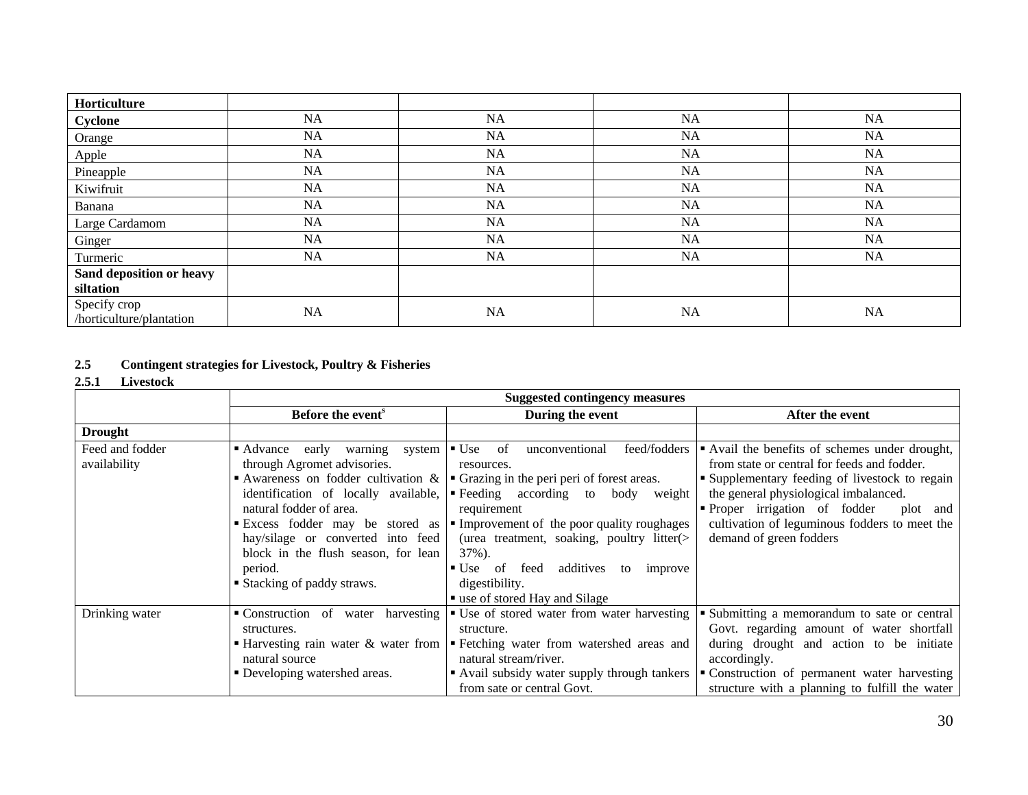| Horticulture                             |           |    |           |    |
|------------------------------------------|-----------|----|-----------|----|
| Cyclone                                  | NA        | NA | NA        | NA |
| Orange                                   | NA        | NA | NA        | NA |
| Apple                                    | NA        | NA | NA        | NA |
| Pineapple                                | NA        | NA | NA        | NA |
| Kiwifruit                                | NA        | NA | NA        | NA |
| Banana                                   | <b>NA</b> | NA | <b>NA</b> | NA |
| Large Cardamom                           | NA        | NA | NA        | NA |
| Ginger                                   | NA        | NA | <b>NA</b> | NA |
| Turmeric                                 | NA        | NA | NA        | NA |
| Sand deposition or heavy<br>siltation    |           |    |           |    |
| Specify crop<br>/horticulture/plantation | NA        | NA | <b>NA</b> | NA |

# **2.5 Contingent strategies for Livestock, Poultry & Fisheries**

### **2.5.1 Livestock**

|                                 | <b>Suggested contingency measures</b>                                                                                                                                                                                                                     |                                                                                                                                                                                                                                                                                                                                                                                                                                                                                               |                                                                                                                                                                                                                                                                                                                   |
|---------------------------------|-----------------------------------------------------------------------------------------------------------------------------------------------------------------------------------------------------------------------------------------------------------|-----------------------------------------------------------------------------------------------------------------------------------------------------------------------------------------------------------------------------------------------------------------------------------------------------------------------------------------------------------------------------------------------------------------------------------------------------------------------------------------------|-------------------------------------------------------------------------------------------------------------------------------------------------------------------------------------------------------------------------------------------------------------------------------------------------------------------|
|                                 | Before the event <sup>s</sup>                                                                                                                                                                                                                             | During the event                                                                                                                                                                                                                                                                                                                                                                                                                                                                              | After the event                                                                                                                                                                                                                                                                                                   |
| <b>Drought</b>                  |                                                                                                                                                                                                                                                           |                                                                                                                                                                                                                                                                                                                                                                                                                                                                                               |                                                                                                                                                                                                                                                                                                                   |
| Feed and fodder<br>availability | • Advance early warning<br>system<br>through Agromet advisories.<br>identification of locally available,<br>natural fodder of area.<br>hay/silage or converted into feed<br>block in the flush season, for lean<br>period.<br>■ Stacking of paddy straws. | feed/fodders<br>$\bullet$ Use of<br>unconventional<br>resources.<br>Awareness on fodder cultivation & $\vert \cdot \vert$ Grazing in the peri peri of forest areas.<br>Every Eventually Eventually Every Feeding according to body weight<br>requirement<br>Excess fodder may be stored as Flunprovement of the poor quality roughages<br>(urea treatment, soaking, poultry litter $($<br>$37\%$ ).<br>• Use of feed additives to improve<br>digestibility.<br>■ use of stored Hay and Silage | • Avail the benefits of schemes under drought,<br>from state or central for feeds and fodder.<br>• Supplementary feeding of livestock to regain<br>the general physiological imbalanced.<br>• Proper irrigation of fodder<br>plot and<br>cultivation of leguminous fodders to meet the<br>demand of green fodders |
| Drinking water                  | • Construction of water harvesting<br>structures.<br>Harvesting rain water & water from<br>natural source<br>• Developing watershed areas.                                                                                                                | ■ Use of stored water from water harvesting<br>structure.<br>• Fetching water from watershed areas and<br>natural stream/river.<br>• Avail subsidy water supply through tankers<br>from sate or central Govt.                                                                                                                                                                                                                                                                                 | Submitting a memorandum to sate or central<br>Govt. regarding amount of water shortfall<br>during drought and action to be initiate<br>accordingly.<br>• Construction of permanent water harvesting<br>structure with a planning to fulfill the water                                                             |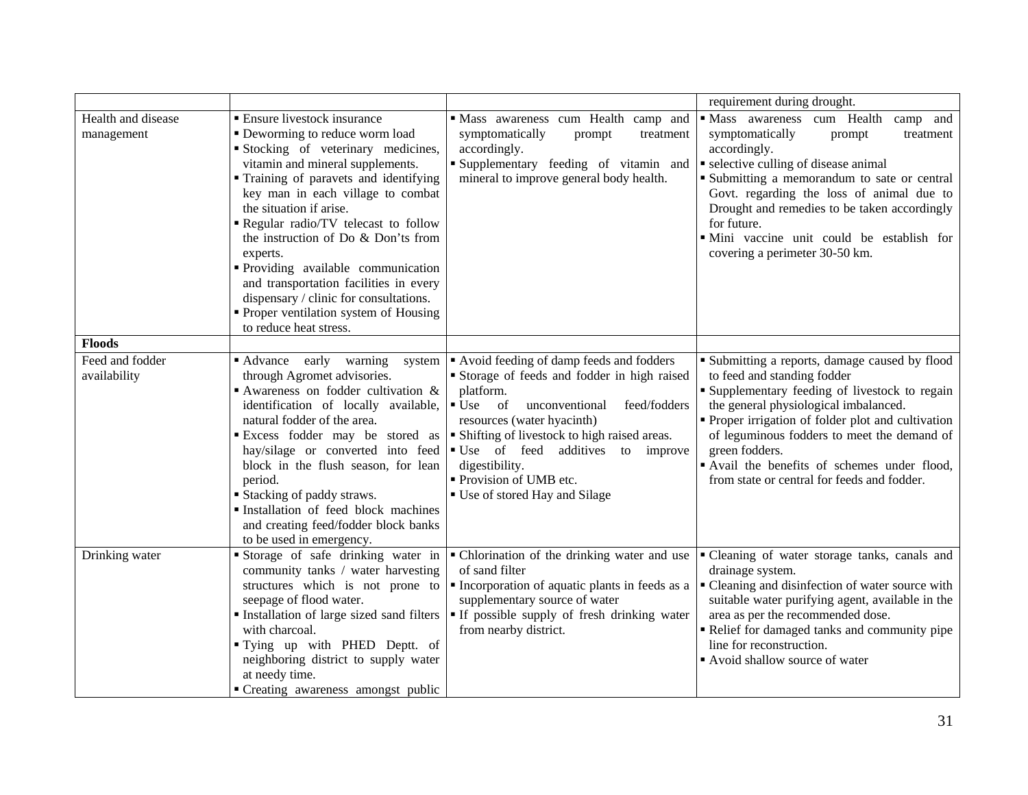|                                  |                                                                                                                                                                                                                                                                                                                                                                                                                                                                                                                                                | requirement during drought.                                                                                                                                                                                                                                                                                                                                  |                                                                                                                                                                                                                                                                                                                                                                                                   |  |  |
|----------------------------------|------------------------------------------------------------------------------------------------------------------------------------------------------------------------------------------------------------------------------------------------------------------------------------------------------------------------------------------------------------------------------------------------------------------------------------------------------------------------------------------------------------------------------------------------|--------------------------------------------------------------------------------------------------------------------------------------------------------------------------------------------------------------------------------------------------------------------------------------------------------------------------------------------------------------|---------------------------------------------------------------------------------------------------------------------------------------------------------------------------------------------------------------------------------------------------------------------------------------------------------------------------------------------------------------------------------------------------|--|--|
| Health and disease<br>management | <b>Ensure livestock insurance</b><br>• Deworming to reduce worm load<br>Stocking of veterinary medicines,<br>vitamin and mineral supplements.<br>" Training of paravets and identifying<br>key man in each village to combat<br>the situation if arise.<br>Regular radio/TV telecast to follow<br>the instruction of Do & Don'ts from<br>experts.<br>Providing available communication<br>and transportation facilities in every<br>dispensary / clinic for consultations.<br>• Proper ventilation system of Housing<br>to reduce heat stress. | " Mass awareness cum Health camp and<br>symptomatically<br>prompt<br>treatment<br>accordingly.<br>Supplementary feeding of vitamin and<br>mineral to improve general body health.                                                                                                                                                                            | · Mass awareness cum Health<br>camp and<br>symptomatically<br>prompt<br>treatment<br>accordingly.<br>• selective culling of disease animal<br>• Submitting a memorandum to sate or central<br>Govt. regarding the loss of animal due to<br>Drought and remedies to be taken accordingly<br>for future.<br>· Mini vaccine unit could be establish for<br>covering a perimeter 30-50 km.            |  |  |
| <b>Floods</b>                    |                                                                                                                                                                                                                                                                                                                                                                                                                                                                                                                                                |                                                                                                                                                                                                                                                                                                                                                              |                                                                                                                                                                                                                                                                                                                                                                                                   |  |  |
| Feed and fodder<br>availability  | • Advance early warning<br>system<br>through Agromet advisories.<br>Awareness on fodder cultivation $\&$<br>identification of locally available, $\bullet$ Use of<br>natural fodder of the area.<br>hay/silage or converted into feed $\bullet$ Use of feed additives to<br>block in the flush season, for lean<br>period.<br><b>Stacking of paddy straws.</b><br>Installation of feed block machines<br>and creating feed/fodder block banks<br>to be used in emergency.                                                                      | Avoid feeding of damp feeds and fodders<br>Storage of feeds and fodder in high raised<br>platform.<br>feed/fodders<br>unconventional<br>resources (water hyacinth)<br>Excess fodder may be stored as $\vert \cdot \vert$ Shifting of livestock to high raised areas.<br>improve<br>digestibility.<br>Provision of UMB etc.<br>■ Use of stored Hay and Silage | • Submitting a reports, damage caused by flood<br>to feed and standing fodder<br><b>Supplementary feeding of livestock to regain</b><br>the general physiological imbalanced.<br>• Proper irrigation of folder plot and cultivation<br>of leguminous fodders to meet the demand of<br>green fodders.<br>Avail the benefits of schemes under flood,<br>from state or central for feeds and fodder. |  |  |
| Drinking water                   | Storage of safe drinking water in<br>community tanks / water harvesting<br>structures which is not prone to<br>seepage of flood water.<br>with charcoal.<br>"Tying up with PHED Deptt. of<br>neighboring district to supply water<br>at needy time.<br>• Creating awareness amongst public                                                                                                                                                                                                                                                     | • Chlorination of the drinking water and use<br>of sand filter<br>• Incorporation of aquatic plants in feeds as a<br>supplementary source of water<br>Installation of large sized sand filters   If possible supply of fresh drinking water<br>from nearby district.                                                                                         | " Cleaning of water storage tanks, canals and<br>drainage system.<br>• Cleaning and disinfection of water source with<br>suitable water purifying agent, available in the<br>area as per the recommended dose.<br>Relief for damaged tanks and community pipe<br>line for reconstruction.<br>Avoid shallow source of water                                                                        |  |  |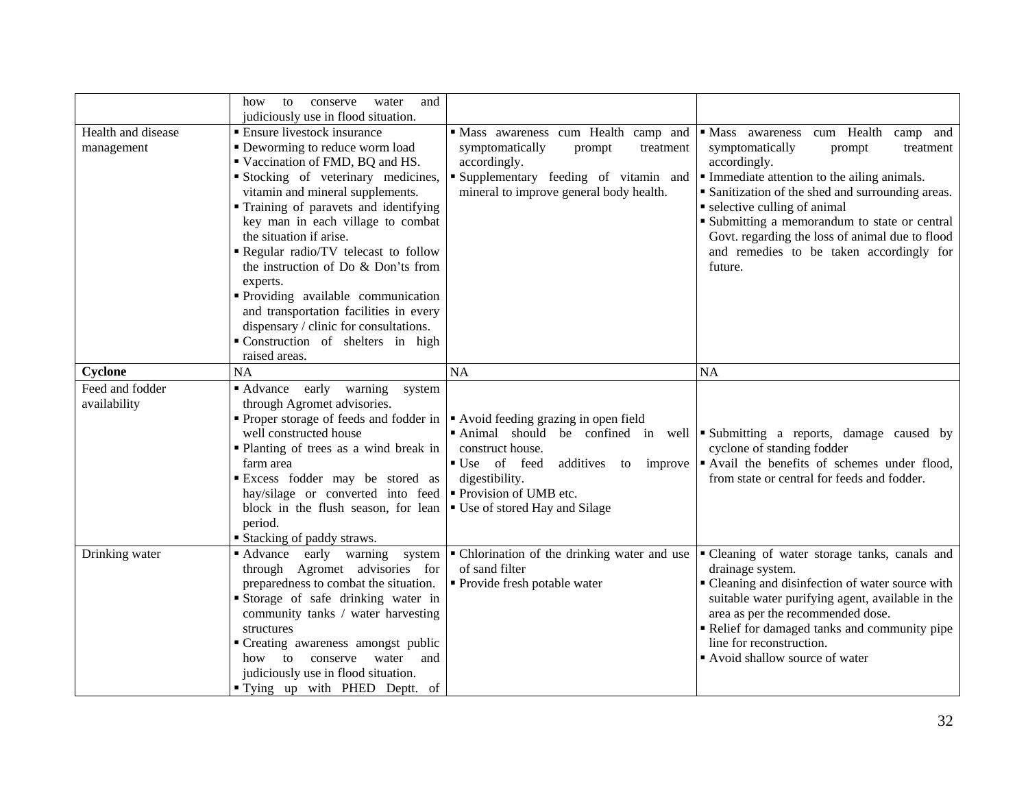|                    | and<br>how<br>to<br>conserve<br>water<br>judiciously use in flood situation. |                                              |                                                                              |
|--------------------|------------------------------------------------------------------------------|----------------------------------------------|------------------------------------------------------------------------------|
| Health and disease | ■ Ensure livestock insurance                                                 | Mass awareness cum Health camp and           | • Mass awareness cum Health<br>camp and                                      |
| management         | • Deworming to reduce worm load                                              | symptomatically<br>prompt<br>treatment       | symptomatically<br>treatment<br>prompt                                       |
|                    | Vaccination of FMD, BQ and HS.                                               | accordingly.                                 | accordingly.                                                                 |
|                    | Stocking of veterinary medicines,                                            | Supplementary feeding of vitamin and         | • Immediate attention to the ailing animals.                                 |
|                    | vitamin and mineral supplements.                                             | mineral to improve general body health.      | • Sanitization of the shed and surrounding areas.                            |
|                    | Training of paravets and identifying                                         |                                              | • selective culling of animal                                                |
|                    | key man in each village to combat                                            |                                              | • Submitting a memorandum to state or central                                |
|                    | the situation if arise.                                                      |                                              | Govt. regarding the loss of animal due to flood                              |
|                    | Regular radio/TV telecast to follow                                          |                                              | and remedies to be taken accordingly for                                     |
|                    | the instruction of Do & Don'ts from                                          |                                              | future.                                                                      |
|                    | experts.                                                                     |                                              |                                                                              |
|                    | Providing available communication                                            |                                              |                                                                              |
|                    | and transportation facilities in every                                       |                                              |                                                                              |
|                    | dispensary / clinic for consultations.                                       |                                              |                                                                              |
|                    | "Construction of shelters in high                                            |                                              |                                                                              |
|                    | raised areas.                                                                |                                              |                                                                              |
| Cyclone            | <b>NA</b>                                                                    | <b>NA</b>                                    | <b>NA</b>                                                                    |
| Feed and fodder    | • Advance early warning<br>system                                            |                                              |                                                                              |
| availability       | through Agromet advisories.                                                  |                                              |                                                                              |
|                    | Proper storage of feeds and fodder in                                        | Avoid feeding grazing in open field          |                                                                              |
|                    | well constructed house                                                       |                                              | • Animal should be confined in well • Submitting a reports, damage caused by |
|                    | • Planting of trees as a wind break in                                       | construct house.                             | cyclone of standing fodder                                                   |
|                    | farm area                                                                    | ■ Use of feed<br>additives to improve        | " Avail the benefits of schemes under flood,                                 |
|                    | Excess fodder may be stored as                                               | digestibility.                               | from state or central for feeds and fodder.                                  |
|                    | hay/silage or converted into feed <b>P</b> rovision of UMB etc.              |                                              |                                                                              |
|                    | block in the flush season, for lean                                          | ■ Use of stored Hay and Silage               |                                                                              |
|                    | period.                                                                      |                                              |                                                                              |
|                    | <b>Stacking of paddy straws.</b>                                             |                                              |                                                                              |
| Drinking water     | • Advance<br>early warning<br>system                                         | • Chlorination of the drinking water and use | " Cleaning of water storage tanks, canals and                                |
|                    | through Agromet advisories for                                               | of sand filter                               | drainage system.                                                             |
|                    | preparedness to combat the situation.                                        | • Provide fresh potable water                | • Cleaning and disinfection of water source with                             |
|                    | Storage of safe drinking water in                                            |                                              | suitable water purifying agent, available in the                             |
|                    | community tanks / water harvesting                                           |                                              | area as per the recommended dose.                                            |
|                    | structures                                                                   |                                              | Relief for damaged tanks and community pipe<br>line for reconstruction.      |
|                    | " Creating awareness amongst public<br>and<br>how to<br>conserve<br>water    |                                              | Avoid shallow source of water                                                |
|                    | judiciously use in flood situation.                                          |                                              |                                                                              |
|                    | "Tying up with PHED Deptt. of                                                |                                              |                                                                              |
|                    |                                                                              |                                              |                                                                              |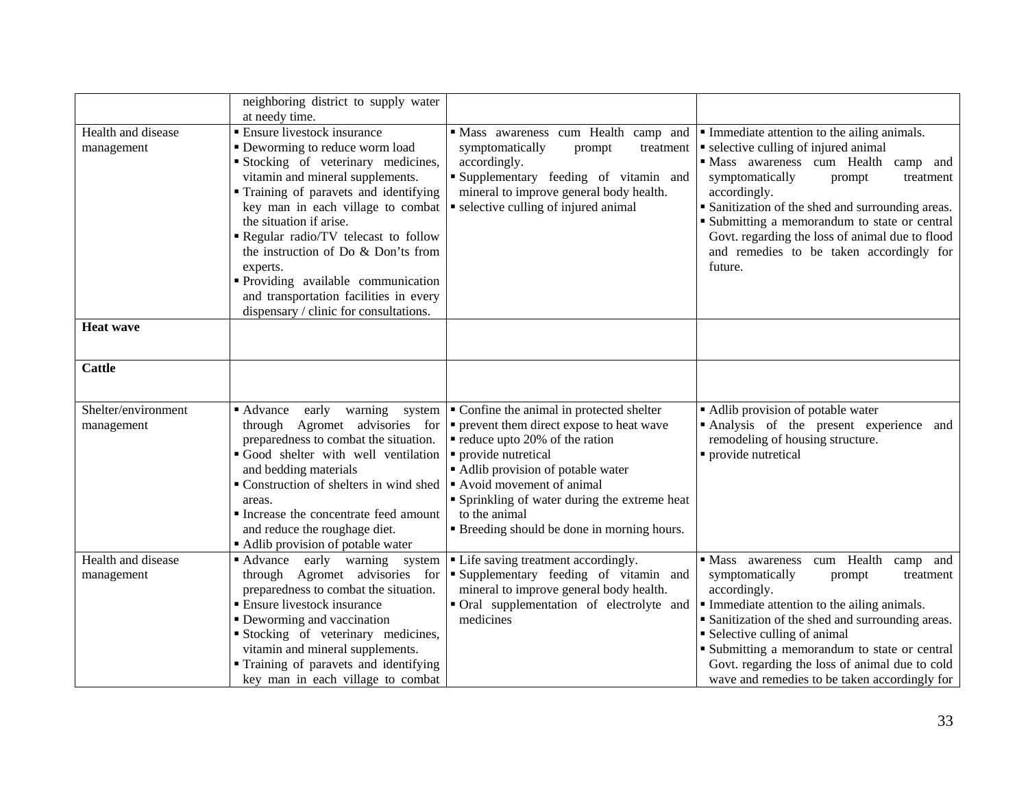|                     | neighboring district to supply water<br>at needy time. |                                                            |                                                   |
|---------------------|--------------------------------------------------------|------------------------------------------------------------|---------------------------------------------------|
| Health and disease  | • Ensure livestock insurance                           | Mass awareness cum Health camp and                         | Immediate attention to the ailing animals.        |
| management          | • Deworming to reduce worm load                        | symptomatically<br>prompt<br>treatment                     | • selective culling of injured animal             |
|                     | Stocking of veterinary medicines,                      | accordingly.                                               | · Mass awareness cum Health<br>camp and           |
|                     | vitamin and mineral supplements.                       | Supplementary feeding of vitamin and                       | symptomatically<br>prompt<br>treatment            |
|                     | " Training of paravets and identifying                 | mineral to improve general body health.                    | accordingly.                                      |
|                     | key man in each village to combat                      | • selective culling of injured animal                      | • Sanitization of the shed and surrounding areas. |
|                     | the situation if arise.                                |                                                            | • Submitting a memorandum to state or central     |
|                     | Regular radio/TV telecast to follow                    |                                                            | Govt. regarding the loss of animal due to flood   |
|                     | the instruction of Do & Don'ts from                    |                                                            | and remedies to be taken accordingly for          |
|                     | experts.                                               |                                                            | future.                                           |
|                     | Providing available communication                      |                                                            |                                                   |
|                     | and transportation facilities in every                 |                                                            |                                                   |
|                     | dispensary / clinic for consultations.                 |                                                            |                                                   |
| <b>Heat wave</b>    |                                                        |                                                            |                                                   |
|                     |                                                        |                                                            |                                                   |
| <b>Cattle</b>       |                                                        |                                                            |                                                   |
|                     |                                                        |                                                            |                                                   |
| Shelter/environment | ■ Advance<br>early<br>warning<br>system                | • Confine the animal in protected shelter                  | • Adlib provision of potable water                |
| management          | through Agromet advisories for                         | • prevent them direct expose to heat wave                  | Analysis of the present experience and            |
|                     | preparedness to combat the situation.                  | reduce upto 20% of the ration                              | remodeling of housing structure.                  |
|                     | Good shelter with well ventilation                     | • provide nutretical                                       | • provide nutretical                              |
|                     | and bedding materials                                  | • Adlib provision of potable water                         |                                                   |
|                     | Construction of shelters in wind shed                  | Avoid movement of animal                                   |                                                   |
|                     | areas.                                                 | • Sprinkling of water during the extreme heat              |                                                   |
|                     | Increase the concentrate feed amount                   | to the animal                                              |                                                   |
|                     | and reduce the roughage diet.                          | <b>Example 1</b> Breeding should be done in morning hours. |                                                   |
|                     | Adlib provision of potable water                       |                                                            |                                                   |
| Health and disease  | Advance early warning system                           | • Life saving treatment accordingly.                       | · Mass awareness cum Health<br>camp and           |
| management          | through Agromet advisories for                         | "Supplementary feeding of vitamin and                      | symptomatically<br>treatment<br>prompt            |
|                     | preparedness to combat the situation.                  | mineral to improve general body health.                    | accordingly.                                      |
|                     | <b>Ensure livestock insurance</b>                      | • Oral supplementation of electrolyte and                  | Immediate attention to the ailing animals.        |
|                     | • Deworming and vaccination                            | medicines                                                  | • Sanitization of the shed and surrounding areas. |
|                     | Stocking of veterinary medicines,                      |                                                            | • Selective culling of animal                     |
|                     | vitamin and mineral supplements.                       |                                                            | • Submitting a memorandum to state or central     |
|                     | " Training of paravets and identifying                 |                                                            | Govt. regarding the loss of animal due to cold    |
|                     | key man in each village to combat                      |                                                            | wave and remedies to be taken accordingly for     |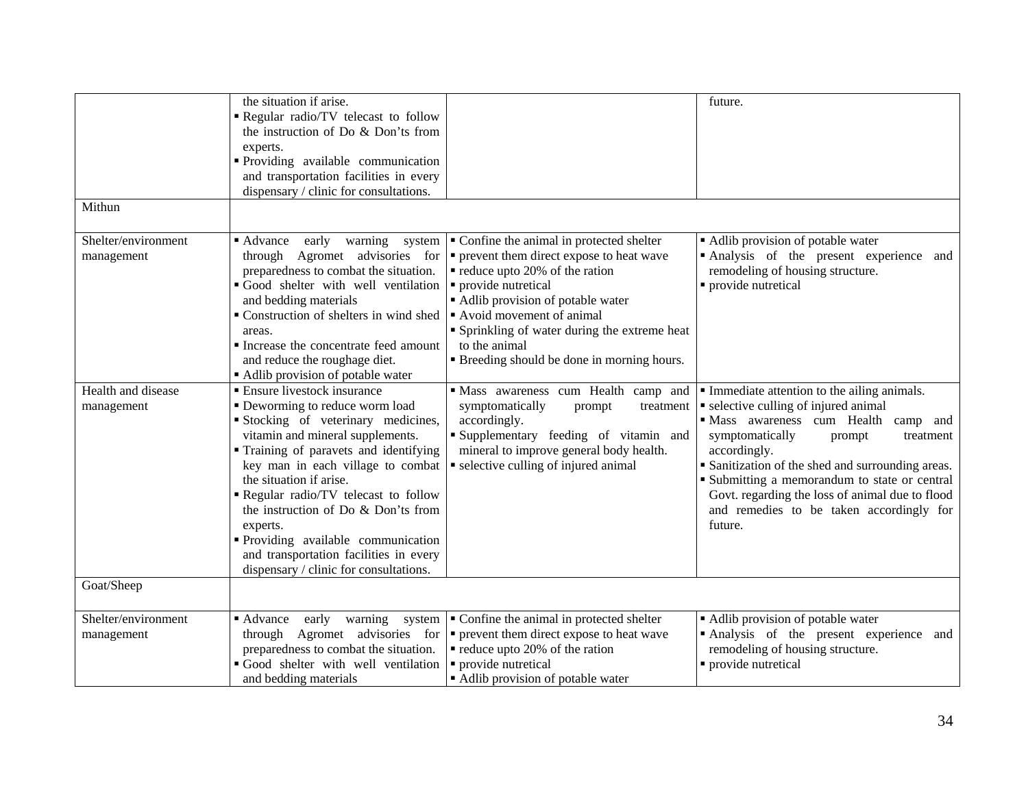| Mithun                            | the situation if arise.<br>Regular radio/TV telecast to follow<br>the instruction of Do & Don'ts from<br>experts.<br>Providing available communication<br>and transportation facilities in every<br>dispensary / clinic for consultations.                                                                                                                                                                                                                              |                                                                                                                                                                                                                                                                                                                                                                                                                             | future.                                                                                                                                                                                                                                                                                                                                                                                                    |
|-----------------------------------|-------------------------------------------------------------------------------------------------------------------------------------------------------------------------------------------------------------------------------------------------------------------------------------------------------------------------------------------------------------------------------------------------------------------------------------------------------------------------|-----------------------------------------------------------------------------------------------------------------------------------------------------------------------------------------------------------------------------------------------------------------------------------------------------------------------------------------------------------------------------------------------------------------------------|------------------------------------------------------------------------------------------------------------------------------------------------------------------------------------------------------------------------------------------------------------------------------------------------------------------------------------------------------------------------------------------------------------|
| Shelter/environment<br>management | $\blacksquare$ Advance<br>early<br>warning<br>preparedness to combat the situation.<br>Good shelter with well ventilation<br>and bedding materials<br>• Construction of shelters in wind shed<br>areas.<br>Increase the concentrate feed amount<br>and reduce the roughage diet.<br>Adlib provision of potable water                                                                                                                                                    | system $\vert \cdot \vert$ Confine the animal in protected shelter<br>through Agromet advisories for $\vert \cdot \vert$ prevent them direct expose to heat wave<br>• reduce upto 20% of the ration<br>• provide nutretical<br>Adlib provision of potable water<br>Avoid movement of animal<br>• Sprinkling of water during the extreme heat<br>to the animal<br><b>Example 1</b> Breeding should be done in morning hours. | • Adlib provision of potable water<br>Analysis of the present experience and<br>remodeling of housing structure.<br>• provide nutretical                                                                                                                                                                                                                                                                   |
| Health and disease<br>management  | • Ensure livestock insurance<br>• Deworming to reduce worm load<br>Stocking of veterinary medicines,<br>vitamin and mineral supplements.<br>" Training of paravets and identifying<br>key man in each village to combat<br>the situation if arise.<br>Regular radio/TV telecast to follow<br>the instruction of Do & Don'ts from<br>experts.<br>· Providing available communication<br>and transportation facilities in every<br>dispensary / clinic for consultations. | Mass awareness cum Health camp and<br>symptomatically<br>prompt<br>treatment<br>accordingly.<br>Supplementary feeding of vitamin and<br>mineral to improve general body health.<br>• selective culling of injured animal                                                                                                                                                                                                    | • Immediate attention to the ailing animals.<br>• selective culling of injured animal<br>· Mass awareness cum Health<br>camp and<br>symptomatically<br>treatment<br>prompt<br>accordingly.<br>• Sanitization of the shed and surrounding areas.<br>• Submitting a memorandum to state or central<br>Govt. regarding the loss of animal due to flood<br>and remedies to be taken accordingly for<br>future. |
| Goat/Sheep                        |                                                                                                                                                                                                                                                                                                                                                                                                                                                                         |                                                                                                                                                                                                                                                                                                                                                                                                                             |                                                                                                                                                                                                                                                                                                                                                                                                            |
| Shelter/environment<br>management | ■ Advance<br>warning<br>early<br>system<br>through Agromet advisories for<br>preparedness to combat the situation.<br>Good shelter with well ventilation<br>and bedding materials                                                                                                                                                                                                                                                                                       | • Confine the animal in protected shelter<br>prevent them direct expose to heat wave<br>reduce upto 20% of the ration<br>· provide nutretical<br>Adlib provision of potable water                                                                                                                                                                                                                                           | • Adlib provision of potable water<br>Analysis of the present experience and<br>remodeling of housing structure.<br>· provide nutretical                                                                                                                                                                                                                                                                   |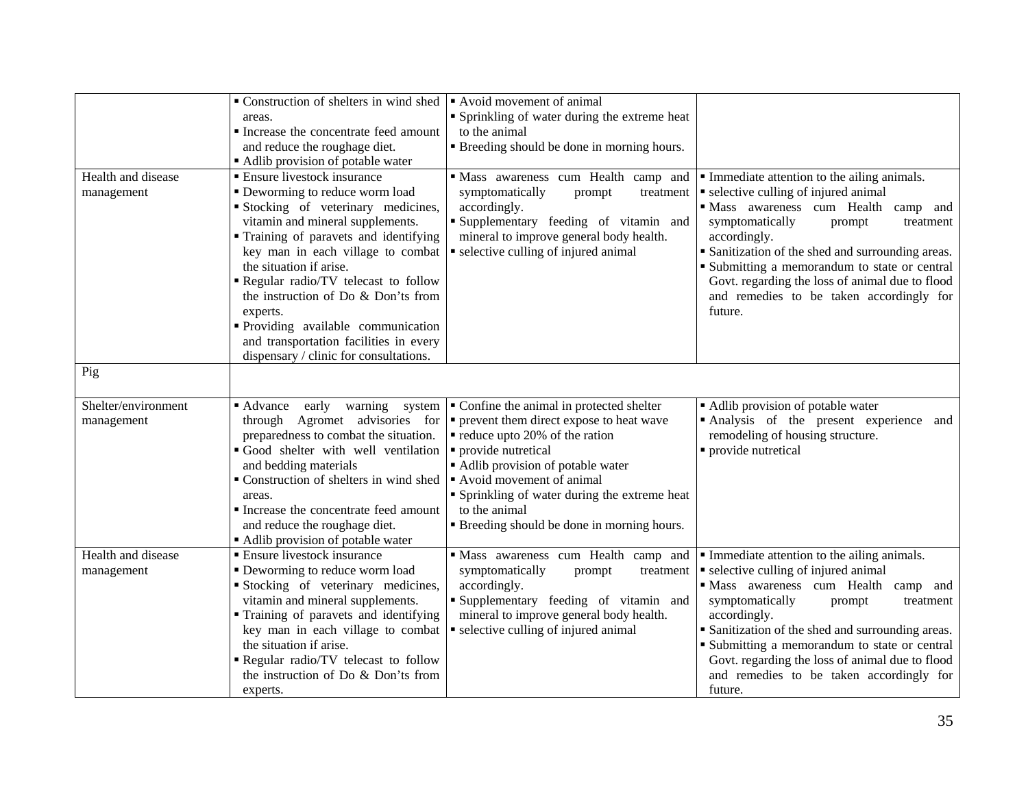|                                   | Construction of shelters in wind shed<br>areas.<br>Increase the concentrate feed amount<br>and reduce the roughage diet.<br>• Adlib provision of potable water                                                                                                                                                                                                                                                                                                        | Avoid movement of animal<br>• Sprinkling of water during the extreme heat<br>to the animal<br><b>Example 1</b> Breeding should be done in morning hours.                                                                                                                                                                                            |                                                                                                                                                                                                                                                                                                                                                                                                          |
|-----------------------------------|-----------------------------------------------------------------------------------------------------------------------------------------------------------------------------------------------------------------------------------------------------------------------------------------------------------------------------------------------------------------------------------------------------------------------------------------------------------------------|-----------------------------------------------------------------------------------------------------------------------------------------------------------------------------------------------------------------------------------------------------------------------------------------------------------------------------------------------------|----------------------------------------------------------------------------------------------------------------------------------------------------------------------------------------------------------------------------------------------------------------------------------------------------------------------------------------------------------------------------------------------------------|
| Health and disease<br>management  | • Ensure livestock insurance<br>• Deworming to reduce worm load<br>Stocking of veterinary medicines,<br>vitamin and mineral supplements.<br>" Training of paravets and identifying<br>key man in each village to combat<br>the situation if arise.<br>Regular radio/TV telecast to follow<br>the instruction of Do & Don'ts from<br>experts.<br>Providing available communication<br>and transportation facilities in every<br>dispensary / clinic for consultations. | Mass awareness cum Health camp and<br>symptomatically<br>prompt<br>treatment<br>accordingly.<br>Supplementary feeding of vitamin and<br>mineral to improve general body health.<br>• selective culling of injured animal                                                                                                                            | Immediate attention to the ailing animals.<br>• selective culling of injured animal<br>· Mass awareness cum Health<br>camp and<br>symptomatically<br>prompt<br>treatment<br>accordingly.<br>• Sanitization of the shed and surrounding areas.<br>• Submitting a memorandum to state or central<br>Govt. regarding the loss of animal due to flood<br>and remedies to be taken accordingly for<br>future. |
| Pig                               |                                                                                                                                                                                                                                                                                                                                                                                                                                                                       |                                                                                                                                                                                                                                                                                                                                                     |                                                                                                                                                                                                                                                                                                                                                                                                          |
| Shelter/environment<br>management | $\blacksquare$ Advance<br>early<br>warning<br>system<br>through Agromet advisories for<br>preparedness to combat the situation.<br>Good shelter with well ventilation<br>and bedding materials<br>Construction of shelters in wind shed<br>areas.<br>Increase the concentrate feed amount<br>and reduce the roughage diet.<br>Adlib provision of potable water                                                                                                        | • Confine the animal in protected shelter<br>• prevent them direct expose to heat wave<br>• reduce upto 20% of the ration<br>• provide nutretical<br>• Adlib provision of potable water<br>Avoid movement of animal<br>• Sprinkling of water during the extreme heat<br>to the animal<br><b>Example 3</b> Breeding should be done in morning hours. | • Adlib provision of potable water<br>Analysis of the present experience and<br>remodeling of housing structure.<br>• provide nutretical                                                                                                                                                                                                                                                                 |
| Health and disease<br>management  | <b>Ensure livestock insurance</b><br>• Deworming to reduce worm load<br>Stocking of veterinary medicines,<br>vitamin and mineral supplements.<br>" Training of paravets and identifying<br>key man in each village to combat<br>the situation if arise.<br>Regular radio/TV telecast to follow<br>the instruction of Do & Don'ts from<br>experts.                                                                                                                     | Mass awareness cum Health camp and<br>symptomatically<br>prompt<br>treatment<br>accordingly.<br>"Supplementary feeding of vitamin and<br>mineral to improve general body health.<br>• selective culling of injured animal                                                                                                                           | Immediate attention to the ailing animals.<br>• selective culling of injured animal<br>· Mass awareness cum Health camp and<br>symptomatically<br>treatment<br>prompt<br>accordingly.<br>• Sanitization of the shed and surrounding areas.<br>• Submitting a memorandum to state or central<br>Govt. regarding the loss of animal due to flood<br>and remedies to be taken accordingly for<br>future.    |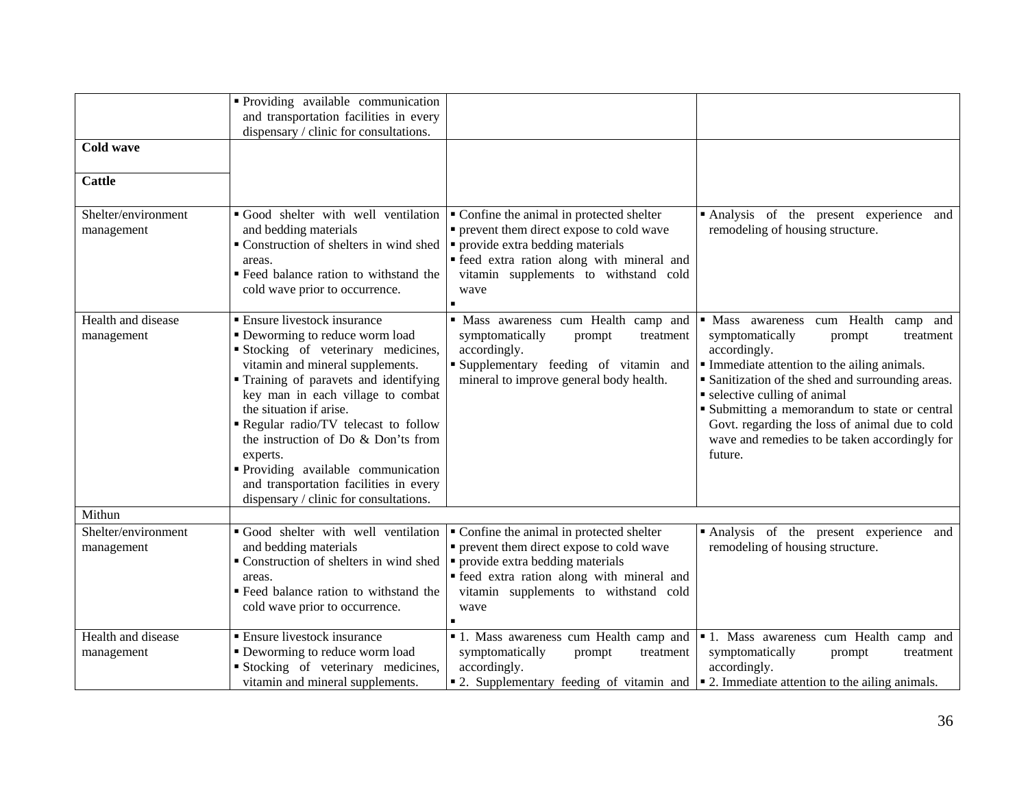|                                   | Providing available communication<br>and transportation facilities in every<br>dispensary / clinic for consultations.                                                                                                                                                                                                                                                                                                                                                    |                                                                                                                                                                                                                            |                                                                                                                                                                                                                                                                                                                                                                                                 |
|-----------------------------------|--------------------------------------------------------------------------------------------------------------------------------------------------------------------------------------------------------------------------------------------------------------------------------------------------------------------------------------------------------------------------------------------------------------------------------------------------------------------------|----------------------------------------------------------------------------------------------------------------------------------------------------------------------------------------------------------------------------|-------------------------------------------------------------------------------------------------------------------------------------------------------------------------------------------------------------------------------------------------------------------------------------------------------------------------------------------------------------------------------------------------|
| <b>Cold wave</b>                  |                                                                                                                                                                                                                                                                                                                                                                                                                                                                          |                                                                                                                                                                                                                            |                                                                                                                                                                                                                                                                                                                                                                                                 |
| <b>Cattle</b>                     |                                                                                                                                                                                                                                                                                                                                                                                                                                                                          |                                                                                                                                                                                                                            |                                                                                                                                                                                                                                                                                                                                                                                                 |
| Shelter/environment<br>management | Good shelter with well ventilation<br>and bedding materials<br>Construction of shelters in wind shed<br>areas.<br>■ Feed balance ration to withstand the<br>cold wave prior to occurrence.                                                                                                                                                                                                                                                                               | • Confine the animal in protected shelter<br>• prevent them direct expose to cold wave<br>• provide extra bedding materials<br>· feed extra ration along with mineral and<br>vitamin supplements to withstand cold<br>wave | Analysis of the present experience and<br>remodeling of housing structure.                                                                                                                                                                                                                                                                                                                      |
| Health and disease<br>management  | <b>Ensure livestock insurance</b><br>• Deworming to reduce worm load<br>Stocking of veterinary medicines,<br>vitamin and mineral supplements.<br>Training of paravets and identifying<br>key man in each village to combat<br>the situation if arise.<br>Regular radio/TV telecast to follow<br>the instruction of Do & Don'ts from<br>experts.<br>Providing available communication<br>and transportation facilities in every<br>dispensary / clinic for consultations. | · Mass awareness cum Health camp and<br>symptomatically<br>prompt<br>treatment<br>accordingly.<br>Supplementary feeding of vitamin and<br>mineral to improve general body health.                                          | Mass awareness cum Health camp and<br>symptomatically<br>treatment<br>prompt<br>accordingly.<br>Immediate attention to the ailing animals.<br>• Sanitization of the shed and surrounding areas.<br>• selective culling of animal<br>• Submitting a memorandum to state or central<br>Govt. regarding the loss of animal due to cold<br>wave and remedies to be taken accordingly for<br>future. |
| Mithun                            |                                                                                                                                                                                                                                                                                                                                                                                                                                                                          |                                                                                                                                                                                                                            |                                                                                                                                                                                                                                                                                                                                                                                                 |
| Shelter/environment<br>management | Good shelter with well ventilation<br>and bedding materials<br>• Construction of shelters in wind shed $\vert \cdot \vert$ provide extra bedding materials<br>areas.<br>" Feed balance ration to withstand the<br>cold wave prior to occurrence.                                                                                                                                                                                                                         | • Confine the animal in protected shelter<br>• prevent them direct expose to cold wave<br>· feed extra ration along with mineral and<br>vitamin supplements to withstand cold<br>wave                                      | Analysis of the present experience and<br>remodeling of housing structure.                                                                                                                                                                                                                                                                                                                      |
| Health and disease<br>management  | <b>Ensure livestock insurance</b><br>• Deworming to reduce worm load<br>Stocking of veterinary medicines,<br>vitamin and mineral supplements.                                                                                                                                                                                                                                                                                                                            | I. Mass awareness cum Health camp and<br>symptomatically<br>prompt<br>treatment<br>accordingly.                                                                                                                            | I. Mass awareness cum Health camp and<br>symptomatically<br>prompt<br>treatment<br>accordingly.<br>■ 2. Supplementary feeding of vitamin and $\vert$ ■ 2. Immediate attention to the ailing animals.                                                                                                                                                                                            |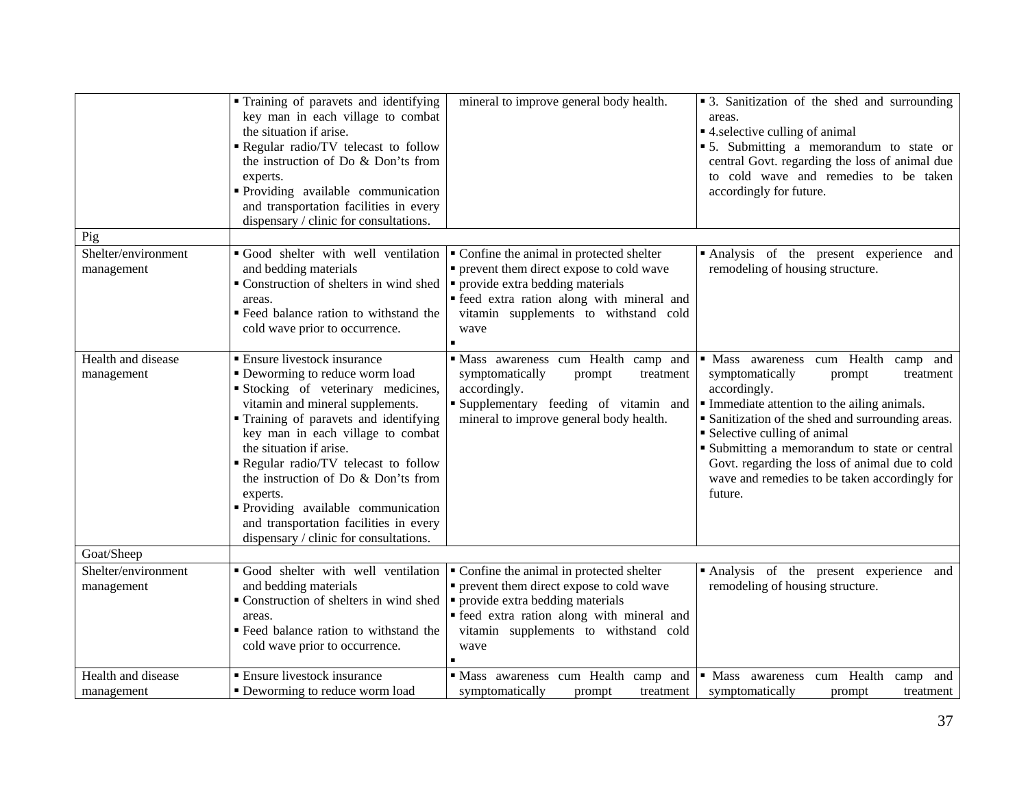|                                   | • Training of paravets and identifying<br>key man in each village to combat<br>the situation if arise.<br>Regular radio/TV telecast to follow<br>the instruction of Do & Don'ts from<br>experts.<br>· Providing available communication<br>and transportation facilities in every<br>dispensary / clinic for consultations.                                                                                                                                                  | mineral to improve general body health.                                                                                                                                                                                    | • 3. Sanitization of the shed and surrounding<br>areas.<br>■ 4. selective culling of animal<br>• 5. Submitting a memorandum to state or<br>central Govt. regarding the loss of animal due<br>to cold wave and remedies to be taken<br>accordingly for future.                                                                                                                                        |
|-----------------------------------|------------------------------------------------------------------------------------------------------------------------------------------------------------------------------------------------------------------------------------------------------------------------------------------------------------------------------------------------------------------------------------------------------------------------------------------------------------------------------|----------------------------------------------------------------------------------------------------------------------------------------------------------------------------------------------------------------------------|------------------------------------------------------------------------------------------------------------------------------------------------------------------------------------------------------------------------------------------------------------------------------------------------------------------------------------------------------------------------------------------------------|
| Pig                               |                                                                                                                                                                                                                                                                                                                                                                                                                                                                              |                                                                                                                                                                                                                            |                                                                                                                                                                                                                                                                                                                                                                                                      |
| Shelter/environment<br>management | Good shelter with well ventilation<br>and bedding materials<br>Construction of shelters in wind shed<br>areas.<br>■ Feed balance ration to withstand the<br>cold wave prior to occurrence.                                                                                                                                                                                                                                                                                   | • Confine the animal in protected shelter<br>• prevent them direct expose to cold wave<br>• provide extra bedding materials<br>· feed extra ration along with mineral and<br>vitamin supplements to withstand cold<br>wave | Analysis of the present experience and<br>remodeling of housing structure.                                                                                                                                                                                                                                                                                                                           |
| Health and disease<br>management  | <b>Ensure livestock insurance</b><br>• Deworming to reduce worm load<br>Stocking of veterinary medicines,<br>vitamin and mineral supplements.<br>• Training of paravets and identifying<br>key man in each village to combat<br>the situation if arise.<br>Regular radio/TV telecast to follow<br>the instruction of Do & Don'ts from<br>experts.<br>· Providing available communication<br>and transportation facilities in every<br>dispensary / clinic for consultations. | Mass awareness cum Health camp and<br>symptomatically<br>prompt<br>treatment<br>accordingly.<br>Supplementary feeding of vitamin and<br>mineral to improve general body health.                                            | · Mass awareness cum Health<br>camp and<br>symptomatically<br>treatment<br>prompt<br>accordingly.<br>Immediate attention to the ailing animals.<br>• Sanitization of the shed and surrounding areas.<br>• Selective culling of animal<br>• Submitting a memorandum to state or central<br>Govt. regarding the loss of animal due to cold<br>wave and remedies to be taken accordingly for<br>future. |
| Goat/Sheep                        |                                                                                                                                                                                                                                                                                                                                                                                                                                                                              |                                                                                                                                                                                                                            |                                                                                                                                                                                                                                                                                                                                                                                                      |
| Shelter/environment<br>management | Good shelter with well ventilation<br>and bedding materials<br>Construction of shelters in wind shed<br>areas.<br>" Feed balance ration to withstand the<br>cold wave prior to occurrence.                                                                                                                                                                                                                                                                                   | • Confine the animal in protected shelter<br>• prevent them direct expose to cold wave<br>• provide extra bedding materials<br>· feed extra ration along with mineral and<br>vitamin supplements to withstand cold<br>wave | Analysis of the present experience and<br>remodeling of housing structure.                                                                                                                                                                                                                                                                                                                           |
| Health and disease                | <b>Ensure livestock insurance</b>                                                                                                                                                                                                                                                                                                                                                                                                                                            | · Mass awareness cum Health camp and                                                                                                                                                                                       | · Mass awareness cum Health camp<br>and                                                                                                                                                                                                                                                                                                                                                              |
| management                        | • Deworming to reduce worm load                                                                                                                                                                                                                                                                                                                                                                                                                                              | symptomatically<br>treatment<br>prompt                                                                                                                                                                                     | symptomatically<br>treatment<br>prompt                                                                                                                                                                                                                                                                                                                                                               |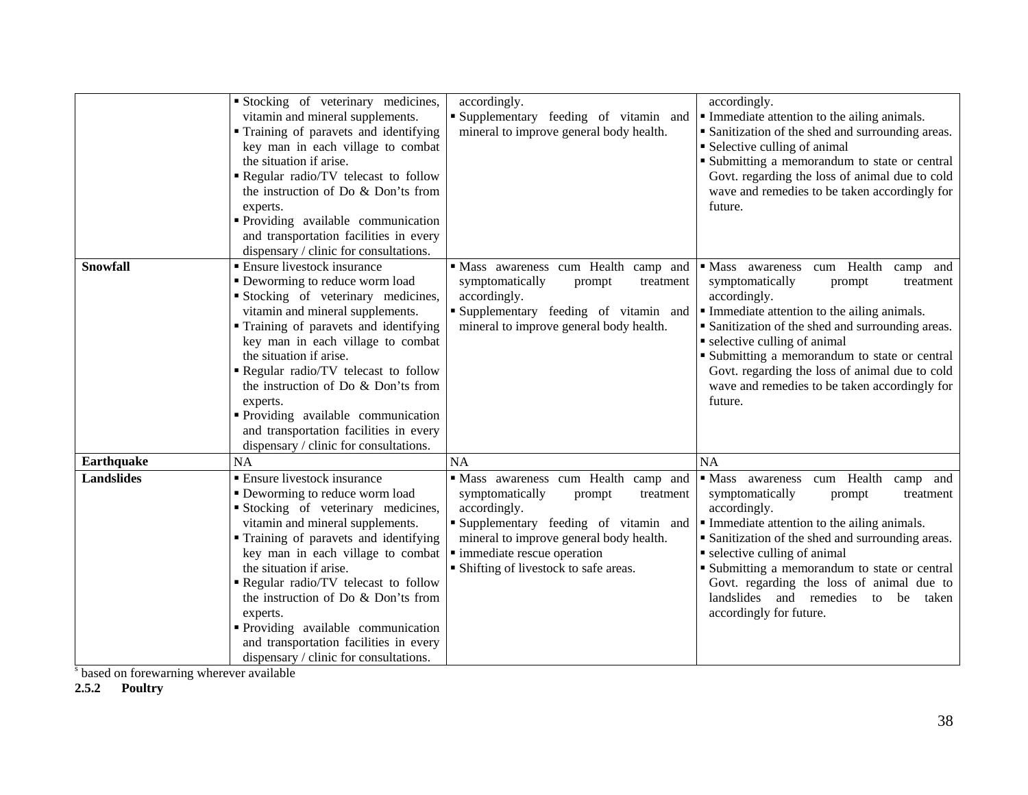|                   | Stocking of veterinary medicines,<br>vitamin and mineral supplements.<br>" Training of paravets and identifying<br>key man in each village to combat<br>the situation if arise.<br>Regular radio/TV telecast to follow<br>the instruction of Do & Don'ts from<br>experts.<br>Providing available communication<br>and transportation facilities in every<br>dispensary / clinic for consultations.                                                                         | accordingly.<br>"Supplementary feeding of vitamin and<br>mineral to improve general body health.                                                                                                                                                           | accordingly.<br>• Immediate attention to the ailing animals.<br>Sanitization of the shed and surrounding areas.<br>• Selective culling of animal<br>• Submitting a memorandum to state or central<br>Govt. regarding the loss of animal due to cold<br>wave and remedies to be taken accordingly for<br>future.                                                                                            |  |
|-------------------|----------------------------------------------------------------------------------------------------------------------------------------------------------------------------------------------------------------------------------------------------------------------------------------------------------------------------------------------------------------------------------------------------------------------------------------------------------------------------|------------------------------------------------------------------------------------------------------------------------------------------------------------------------------------------------------------------------------------------------------------|------------------------------------------------------------------------------------------------------------------------------------------------------------------------------------------------------------------------------------------------------------------------------------------------------------------------------------------------------------------------------------------------------------|--|
| Snowfall          | <b>Ensure livestock insurance</b><br>• Deworming to reduce worm load<br>Stocking of veterinary medicines,<br>vitamin and mineral supplements.<br>• Training of paravets and identifying<br>key man in each village to combat<br>the situation if arise.<br>Regular radio/TV telecast to follow<br>the instruction of Do & Don'ts from<br>experts.<br>Providing available communication<br>and transportation facilities in every<br>dispensary / clinic for consultations. | · Mass awareness cum Health camp and<br>symptomatically<br>treatment<br>prompt<br>accordingly.<br>"Supplementary feeding of vitamin and<br>mineral to improve general body health.                                                                         | · Mass awareness cum Health<br>camp and<br>symptomatically<br>treatment<br>prompt<br>accordingly.<br>Immediate attention to the ailing animals.<br>• Sanitization of the shed and surrounding areas.<br>• selective culling of animal<br>Submitting a memorandum to state or central<br>Govt. regarding the loss of animal due to cold<br>wave and remedies to be taken accordingly for<br>future.         |  |
| Earthquake        | NA                                                                                                                                                                                                                                                                                                                                                                                                                                                                         | <b>NA</b>                                                                                                                                                                                                                                                  | <b>NA</b>                                                                                                                                                                                                                                                                                                                                                                                                  |  |
| <b>Landslides</b> | <b>Ensure livestock insurance</b><br>• Deworming to reduce worm load<br>Stocking of veterinary medicines,<br>vitamin and mineral supplements.<br>" Training of paravets and identifying<br>key man in each village to combat<br>the situation if arise.<br>Regular radio/TV telecast to follow<br>the instruction of Do & Don'ts from<br>experts.<br>Providing available communication<br>and transportation facilities in every<br>dispensary / clinic for consultations. | Mass awareness cum Health camp and<br>symptomatically<br>prompt<br>treatment<br>accordingly.<br>"Supplementary feeding of vitamin and<br>mineral to improve general body health.<br>· immediate rescue operation<br>• Shifting of livestock to safe areas. | cum Health<br>• Mass awareness<br>camp and<br>symptomatically<br>treatment<br>prompt<br>accordingly.<br>• Immediate attention to the ailing animals.<br>• Sanitization of the shed and surrounding areas.<br>• selective culling of animal<br>• Submitting a memorandum to state or central<br>Govt. regarding the loss of animal due to<br>landslides and remedies to be taken<br>accordingly for future. |  |

<sup>s</sup> based on forewarning wherever available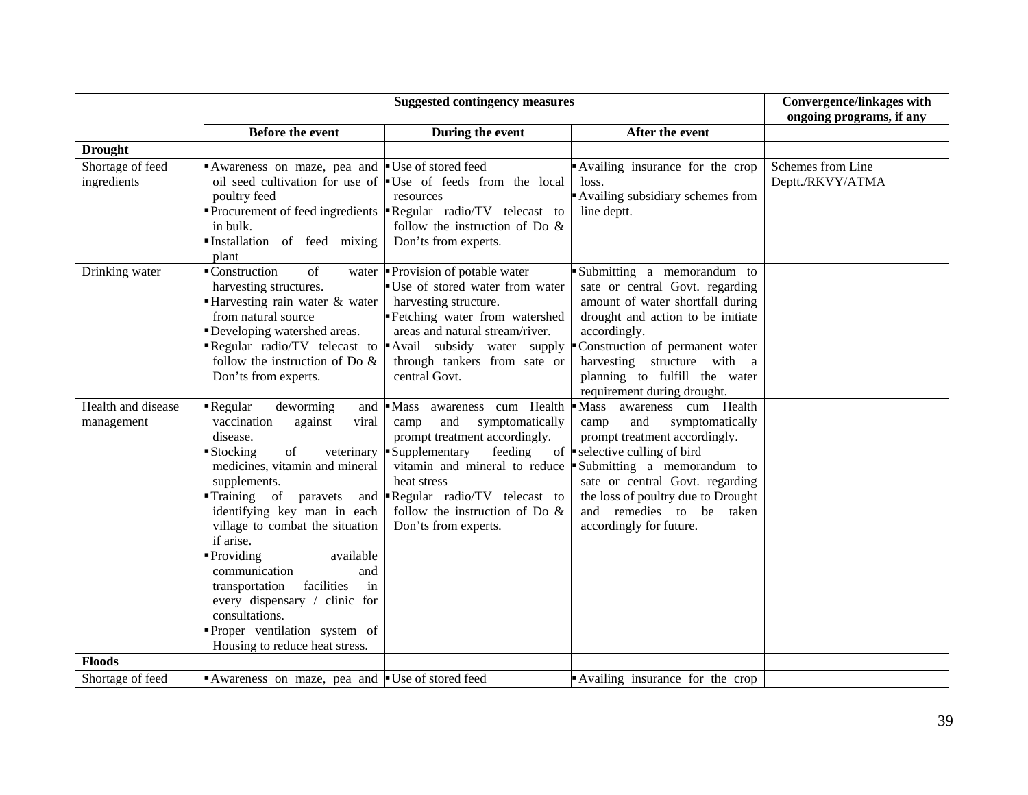|                                  |                                                                                                                                                                                                                                                                                                                                                                                                                                                                                            | <b>Convergence/linkages with</b><br>ongoing programs, if any                                                                                                                                                                                       |                                                                                                                                                                                                                                                                                                                                                          |                                       |
|----------------------------------|--------------------------------------------------------------------------------------------------------------------------------------------------------------------------------------------------------------------------------------------------------------------------------------------------------------------------------------------------------------------------------------------------------------------------------------------------------------------------------------------|----------------------------------------------------------------------------------------------------------------------------------------------------------------------------------------------------------------------------------------------------|----------------------------------------------------------------------------------------------------------------------------------------------------------------------------------------------------------------------------------------------------------------------------------------------------------------------------------------------------------|---------------------------------------|
|                                  | <b>Before the event</b>                                                                                                                                                                                                                                                                                                                                                                                                                                                                    | During the event                                                                                                                                                                                                                                   | After the event                                                                                                                                                                                                                                                                                                                                          |                                       |
| <b>Drought</b>                   |                                                                                                                                                                                                                                                                                                                                                                                                                                                                                            |                                                                                                                                                                                                                                                    |                                                                                                                                                                                                                                                                                                                                                          |                                       |
| Shortage of feed<br>ingredients  | Awareness on maze, pea and Use of stored feed<br>poultry feed<br>in bulk.<br>Installation of feed mixing<br>plant                                                                                                                                                                                                                                                                                                                                                                          | oil seed cultivation for use of $\bullet$ Use of feeds from the local<br>resources<br>Procurement of feed ingredients $\blacksquare$ Regular radio/TV telecast to<br>follow the instruction of Do $\&$<br>Don'ts from experts.                     | Availing insurance for the crop<br>loss.<br>Availing subsidiary schemes from<br>line deptt.                                                                                                                                                                                                                                                              | Schemes from Line<br>Deptt./RKVY/ATMA |
| Drinking water                   | Construction<br>of<br>harvesting structures.<br>Harvesting rain water & water<br>from natural source<br>Developing watershed areas.<br>follow the instruction of Do $\&$<br>Don'ts from experts.                                                                                                                                                                                                                                                                                           | water <b>P</b> rovision of potable water<br>Use of stored water from water<br>harvesting structure.<br>Fetching water from watershed<br>areas and natural stream/river.<br>through tankers from sate or<br>central Govt.                           | Submitting a memorandum to<br>sate or central Govt. regarding<br>amount of water shortfall during<br>drought and action to be initiate<br>accordingly.<br>Regular radio/TV telecast to Avail subsidy water supply Construction of permanent water<br>harvesting structure with a<br>planning to fulfill the water<br>requirement during drought.         |                                       |
| Health and disease<br>management | Regular<br>deworming<br>and<br>vaccination<br>against<br>viral<br>disease.<br>Stocking<br>of<br>veterinary<br>medicines, vitamin and mineral<br>supplements.<br>Training of<br>paravets<br>identifying key man in each<br>village to combat the situation<br>if arise.<br><b>Providing</b><br>available<br>communication<br>and<br>facilities<br>in<br>transportation<br>every dispensary / clinic for<br>consultations.<br>Proper ventilation system of<br>Housing to reduce heat stress. | Mass awareness cum Health<br>and<br>symptomatically<br>camp<br>prompt treatment accordingly.<br>Supplementary<br>feeding<br>heat stress<br>and <b>Regular</b> radio/ $TV$ telecast to<br>follow the instruction of Do $\&$<br>Don'ts from experts. | Mass awareness cum Health<br>and<br>symptomatically<br>camp<br>prompt treatment accordingly.<br>of $\blacktriangleright$ selective culling of bird<br>vitamin and mineral to reduce $\bullet$ Submitting a memorandum to<br>sate or central Govt. regarding<br>the loss of poultry due to Drought<br>and remedies to be taken<br>accordingly for future. |                                       |
| <b>Floods</b>                    |                                                                                                                                                                                                                                                                                                                                                                                                                                                                                            |                                                                                                                                                                                                                                                    |                                                                                                                                                                                                                                                                                                                                                          |                                       |
| Shortage of feed                 | Awareness on maze, pea and Use of stored feed                                                                                                                                                                                                                                                                                                                                                                                                                                              |                                                                                                                                                                                                                                                    | Availing insurance for the crop                                                                                                                                                                                                                                                                                                                          |                                       |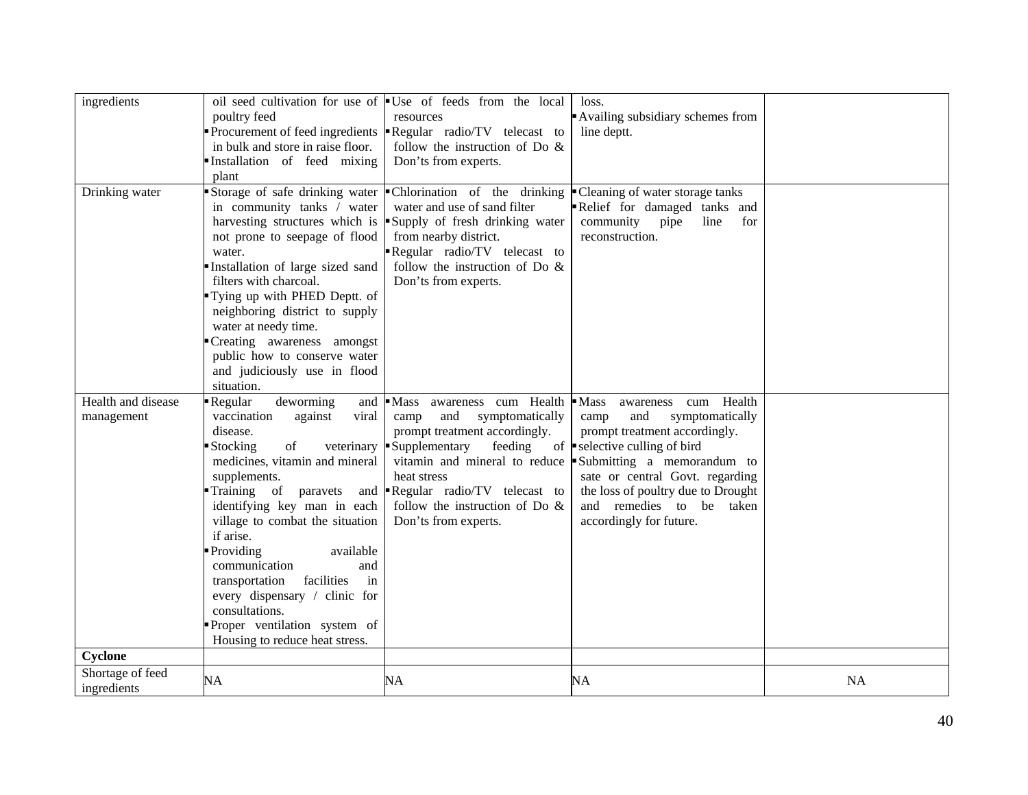| ingredients                      | poultry feed<br>in bulk and store in raise floor.<br>Installation of feed mixing<br>plant                                                                                                                                                                                                                                                                                                                                                                                 | oil seed cultivation for use of $\bullet$ Use of feeds from the local<br>resources<br>Procurement of feed ingredients <b>Regular</b> radio/TV telecast to<br>follow the instruction of Do &<br>Don'ts from experts.                                                                     | loss.<br>Availing subsidiary schemes from<br>line deptt.                                                                                                                                                                                                                                                               |           |
|----------------------------------|---------------------------------------------------------------------------------------------------------------------------------------------------------------------------------------------------------------------------------------------------------------------------------------------------------------------------------------------------------------------------------------------------------------------------------------------------------------------------|-----------------------------------------------------------------------------------------------------------------------------------------------------------------------------------------------------------------------------------------------------------------------------------------|------------------------------------------------------------------------------------------------------------------------------------------------------------------------------------------------------------------------------------------------------------------------------------------------------------------------|-----------|
| Drinking water                   | Storage of safe drinking water<br>in community tanks / water<br>harvesting structures which is<br>not prone to seepage of flood<br>water.<br>Installation of large sized sand<br>filters with charcoal.<br>Tying up with PHED Deptt. of<br>neighboring district to supply<br>water at needy time.<br>"Creating awareness amongst<br>public how to conserve water<br>and judiciously use in flood<br>situation.                                                            | Chlorination of the drinking<br>water and use of sand filter<br>Supply of fresh drinking water<br>from nearby district.<br>Regular radio/TV telecast to<br>follow the instruction of Do $\&$<br>Don'ts from experts.                                                                    | Cleaning of water storage tanks<br>Relief for damaged tanks and<br>community<br>pipe<br>line<br>for<br>reconstruction.                                                                                                                                                                                                 |           |
| Health and disease<br>management | deworming<br>Regular<br>vaccination<br>against<br>viral<br>disease.<br>of<br>Stocking<br>veterinary<br>medicines, vitamin and mineral<br>supplements.<br>Training of paravets<br>identifying key man in each<br>village to combat the situation<br>if arise.<br>Providing<br>available<br>communication<br>and<br>in<br>transportation<br>facilities<br>every dispensary / clinic for<br>consultations.<br>Proper ventilation system of<br>Housing to reduce heat stress. | and Mass awareness cum Health<br>and<br>symptomatically<br>camp<br>prompt treatment accordingly.<br>Supplementary<br>feeding<br>vitamin and mineral to reduce<br>heat stress<br>and <b>Regular</b> radio/ $TV$ telecast to<br>follow the instruction of Do $\&$<br>Don'ts from experts. | awareness cum Health<br>$\blacksquare$ Mass<br>and<br>symptomatically<br>camp<br>prompt treatment accordingly.<br>of $\bullet$ selective culling of bird<br>Submitting a memorandum to<br>sate or central Govt. regarding<br>the loss of poultry due to Drought<br>and remedies to be taken<br>accordingly for future. |           |
| Cyclone                          |                                                                                                                                                                                                                                                                                                                                                                                                                                                                           |                                                                                                                                                                                                                                                                                         |                                                                                                                                                                                                                                                                                                                        |           |
| Shortage of feed<br>ingredients  | NA                                                                                                                                                                                                                                                                                                                                                                                                                                                                        | NA                                                                                                                                                                                                                                                                                      | NA                                                                                                                                                                                                                                                                                                                     | <b>NA</b> |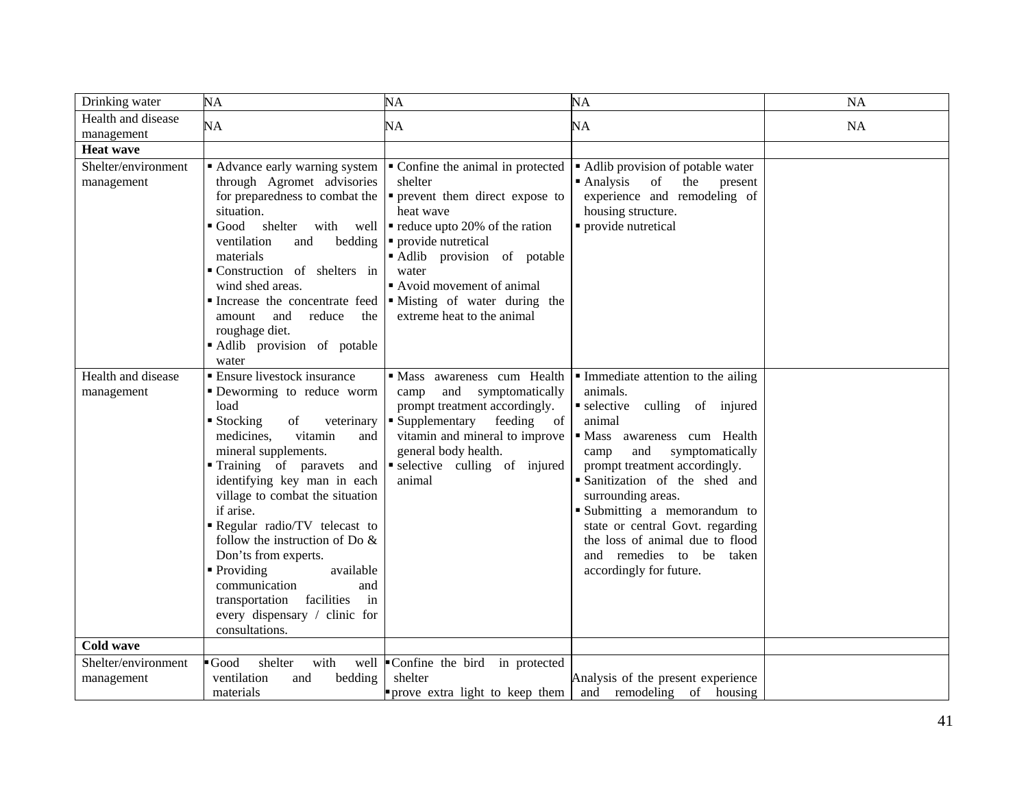| Drinking water      | NA                                                             | NA                                                                       | NA                                                              | NA        |
|---------------------|----------------------------------------------------------------|--------------------------------------------------------------------------|-----------------------------------------------------------------|-----------|
| Health and disease  | NA                                                             | NA                                                                       | NA                                                              | <b>NA</b> |
| management          |                                                                |                                                                          |                                                                 |           |
| <b>Heat wave</b>    |                                                                |                                                                          |                                                                 |           |
| Shelter/environment | • Advance early warning system                                 | • Confine the animal in protected                                        | • Adlib provision of potable water                              |           |
| management          | through Agromet advisories                                     | shelter                                                                  | of<br>$\blacksquare$ Analysis<br>the<br>present                 |           |
|                     | for preparedness to combat the<br>situation.                   | • prevent them direct expose to<br>heat wave                             | experience and remodeling of<br>housing structure.              |           |
|                     | $\blacksquare$ Good<br>shelter with well                       | $\blacksquare$ reduce upto 20% of the ration                             | • provide nutretical                                            |           |
|                     | ventilation<br>and<br>bedding                                  | • provide nutretical                                                     |                                                                 |           |
|                     | materials                                                      | Adlib provision of potable                                               |                                                                 |           |
|                     | Construction of shelters in                                    | water                                                                    |                                                                 |           |
|                     | wind shed areas.                                               | Avoid movement of animal                                                 |                                                                 |           |
|                     |                                                                | Increase the concentrate feed $\blacksquare$ Misting of water during the |                                                                 |           |
|                     | reduce<br>amount<br>and<br>the                                 | extreme heat to the animal                                               |                                                                 |           |
|                     | roughage diet.                                                 |                                                                          |                                                                 |           |
|                     | Adlib provision of potable<br>water                            |                                                                          |                                                                 |           |
| Health and disease  | <b>Ensure livestock insurance</b>                              | · Mass awareness cum Health                                              | • Immediate attention to the ailing                             |           |
| management          | Deworming to reduce worm                                       | camp and symptomatically                                                 | animals.                                                        |           |
|                     | load                                                           | prompt treatment accordingly.                                            | selective culling of injured                                    |           |
|                     | $\blacksquare$ Stocking<br>of<br>veterinary                    | • Supplementary<br>feeding of                                            | animal                                                          |           |
|                     | medicines.<br>vitamin<br>and                                   | vitamin and mineral to improve                                           | · Mass awareness cum Health                                     |           |
|                     | mineral supplements.                                           | general body health.                                                     | and<br>symptomatically<br>camp                                  |           |
|                     | Training of paravets<br>and                                    | selective culling of injured<br>animal                                   | prompt treatment accordingly.<br>· Sanitization of the shed and |           |
|                     | identifying key man in each<br>village to combat the situation |                                                                          | surrounding areas.                                              |           |
|                     | if arise.                                                      |                                                                          | Submitting a memorandum to                                      |           |
|                     | Regular radio/TV telecast to                                   |                                                                          | state or central Govt. regarding                                |           |
|                     | follow the instruction of Do $\&$                              |                                                                          | the loss of animal due to flood                                 |           |
|                     | Don'ts from experts.                                           |                                                                          | and remedies to be taken                                        |           |
|                     | • Providing<br>available                                       |                                                                          | accordingly for future.                                         |           |
|                     | communication<br>and                                           |                                                                          |                                                                 |           |
|                     | facilities<br>transportation<br>in                             |                                                                          |                                                                 |           |
|                     | every dispensary / clinic for<br>consultations.                |                                                                          |                                                                 |           |
| <b>Cold wave</b>    |                                                                |                                                                          |                                                                 |           |
| Shelter/environment | $\blacksquare$ Good<br>with<br>shelter                         | well Confine the bird in protected                                       |                                                                 |           |
| management          | ventilation<br>bedding<br>and                                  | shelter                                                                  | Analysis of the present experience                              |           |
|                     | materials                                                      | prove extra light to keep them                                           | and remodeling of housing                                       |           |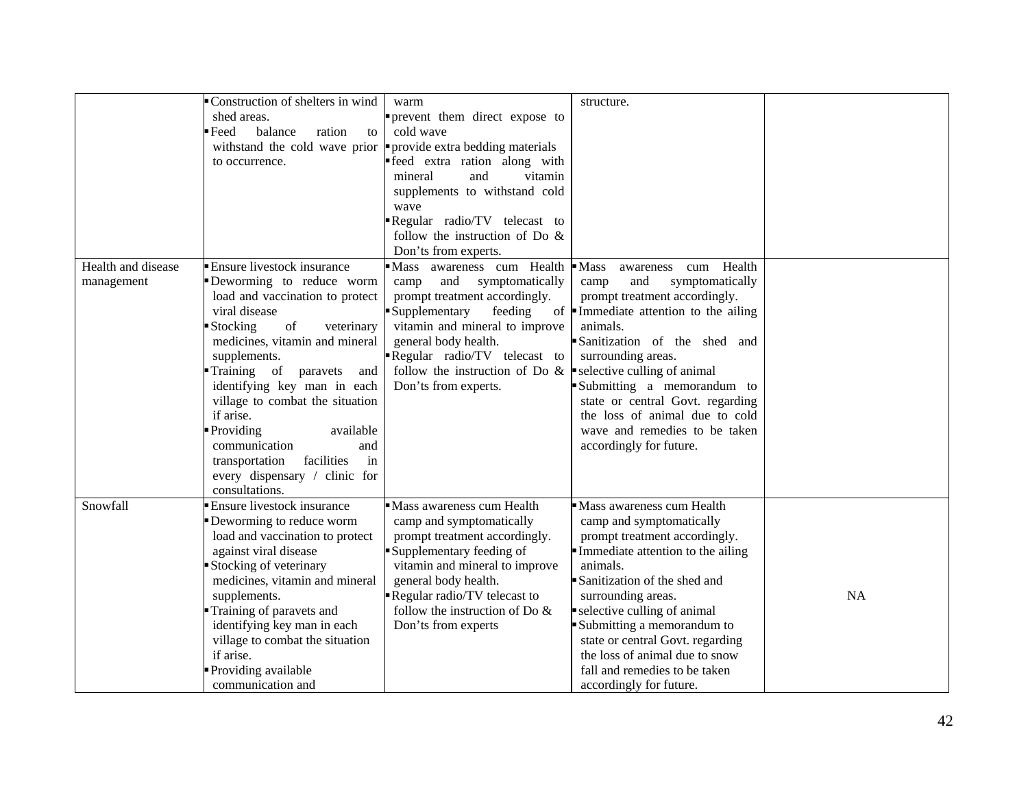|                    | Construction of shelters in wind                 | warm                                                                    | structure.                                       |    |
|--------------------|--------------------------------------------------|-------------------------------------------------------------------------|--------------------------------------------------|----|
|                    | shed areas.                                      | prevent them direct expose to                                           |                                                  |    |
|                    | balance<br>$\blacksquare$ Feed<br>ration<br>to   | cold wave                                                               |                                                  |    |
|                    | withstand the cold wave prior                    | provide extra bedding materials                                         |                                                  |    |
|                    | to occurrence.                                   | feed extra ration along with                                            |                                                  |    |
|                    |                                                  | vitamin<br>and<br>mineral                                               |                                                  |    |
|                    |                                                  | supplements to withstand cold                                           |                                                  |    |
|                    |                                                  | wave                                                                    |                                                  |    |
|                    |                                                  | Regular radio/TV telecast to                                            |                                                  |    |
|                    |                                                  | follow the instruction of Do $\&$                                       |                                                  |    |
|                    |                                                  | Don'ts from experts.                                                    |                                                  |    |
| Health and disease | Ensure livestock insurance                       | Mass awareness cum Health                                               | $-Mass$<br>Health                                |    |
|                    | Deworming to reduce worm                         |                                                                         | cum<br>awareness<br>and                          |    |
| management         |                                                  | and symptomatically<br>camp                                             | symptomatically<br>camp                          |    |
|                    | load and vaccination to protect<br>viral disease | prompt treatment accordingly.                                           | prompt treatment accordingly.                    |    |
|                    |                                                  | Supplementary<br>feeding                                                | of Immediate attention to the ailing<br>animals. |    |
|                    | veterinary<br>Stocking<br>of                     | vitamin and mineral to improve                                          |                                                  |    |
|                    | medicines, vitamin and mineral                   | general body health.                                                    | Sanitization of the shed and                     |    |
|                    | supplements.                                     | Regular radio/TV telecast to                                            | surrounding areas.                               |    |
|                    | Training of paravets<br>and                      | follow the instruction of Do $\&$ $\bullet$ selective culling of animal |                                                  |    |
|                    | identifying key man in each                      | Don'ts from experts.                                                    | Submitting a memorandum to                       |    |
|                    | village to combat the situation                  |                                                                         | state or central Govt. regarding                 |    |
|                    | if arise.                                        |                                                                         | the loss of animal due to cold                   |    |
|                    | Providing<br>available                           |                                                                         | wave and remedies to be taken                    |    |
|                    | communication<br>and                             |                                                                         | accordingly for future.                          |    |
|                    | facilities<br>in<br>transportation               |                                                                         |                                                  |    |
|                    | every dispensary / clinic for                    |                                                                         |                                                  |    |
|                    | consultations.                                   |                                                                         |                                                  |    |
| Snowfall           | Ensure livestock insurance                       | Mass awareness cum Health                                               | Mass awareness cum Health                        |    |
|                    | Deworming to reduce worm                         | camp and symptomatically                                                | camp and symptomatically                         |    |
|                    | load and vaccination to protect                  | prompt treatment accordingly.                                           | prompt treatment accordingly.                    |    |
|                    | against viral disease                            | Supplementary feeding of                                                | Immediate attention to the ailing                |    |
|                    | Stocking of veterinary                           | vitamin and mineral to improve                                          | animals.                                         |    |
|                    | medicines, vitamin and mineral                   | general body health.                                                    | Sanitization of the shed and                     |    |
|                    | supplements.                                     | Regular radio/TV telecast to                                            | surrounding areas.                               | NA |
|                    | Training of paravets and                         | follow the instruction of Do $\&$                                       | selective culling of animal                      |    |
|                    | identifying key man in each                      | Don'ts from experts                                                     | Submitting a memorandum to                       |    |
|                    | village to combat the situation                  |                                                                         | state or central Govt. regarding                 |    |
|                    | if arise.                                        |                                                                         | the loss of animal due to snow                   |    |
|                    | Providing available                              |                                                                         | fall and remedies to be taken                    |    |
|                    | communication and                                |                                                                         | accordingly for future.                          |    |